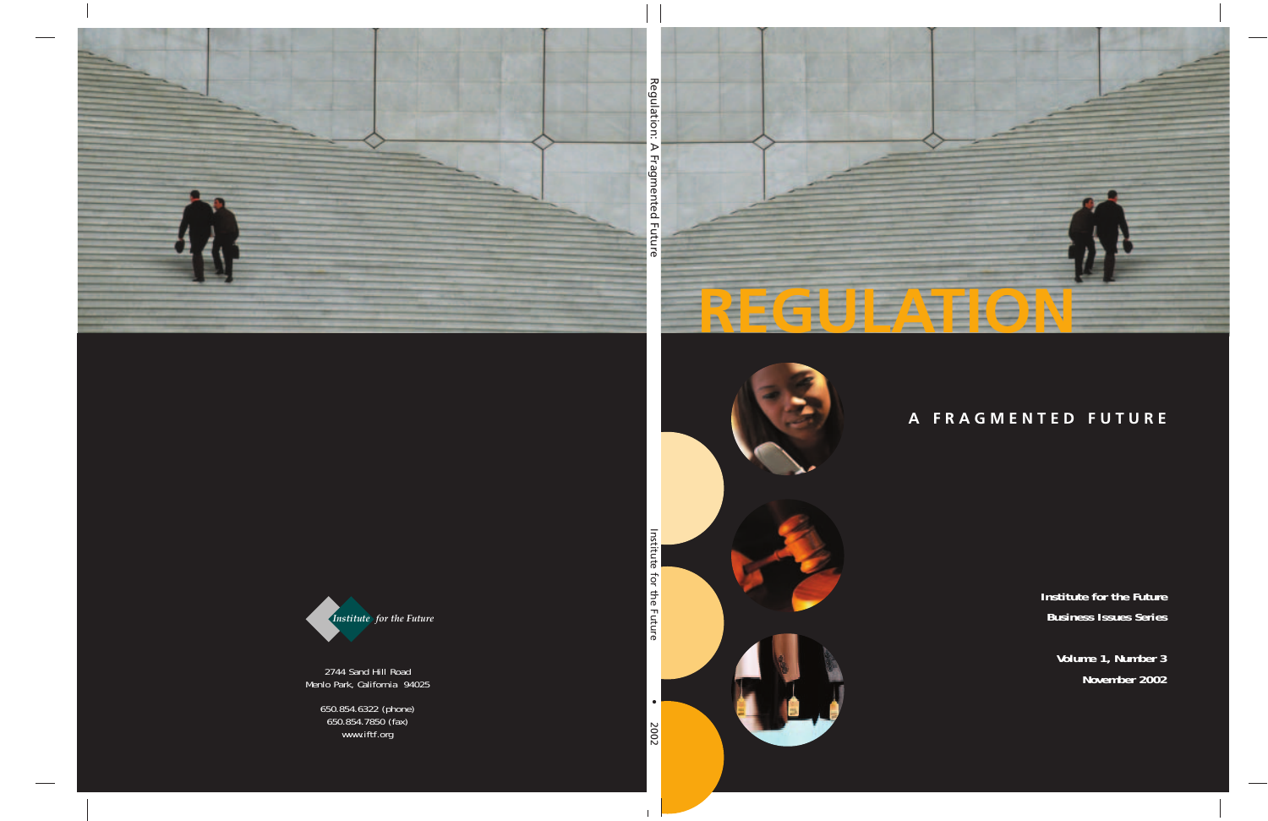



**Institute for the Future Business Issues Series**

> **Volume 1, Number 3 November 2002**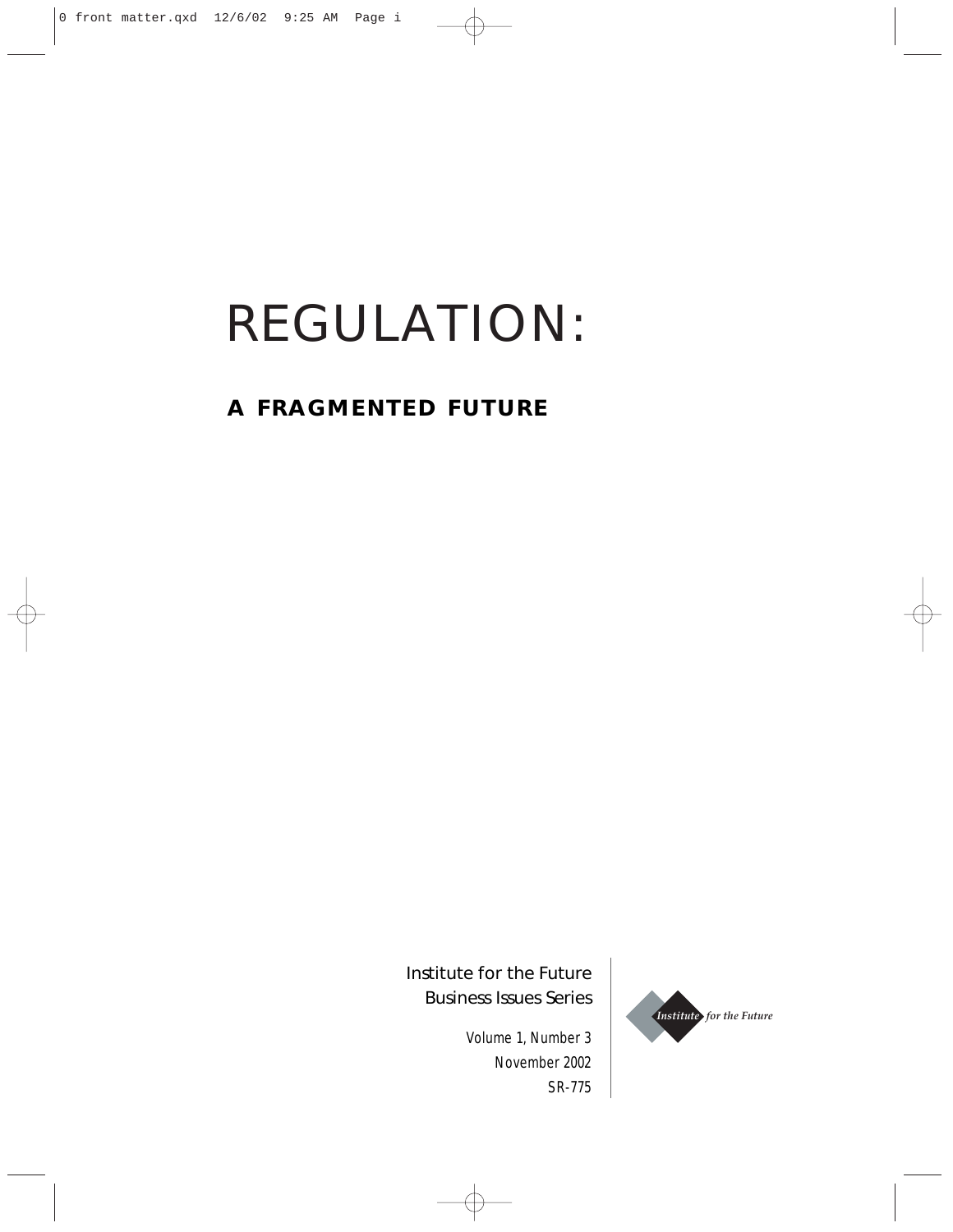# REGULATION:

## **A FRAGMENTED FUTURE**

Institute for the Future Business Issues Series

> Volume 1, Number 3 November 2002 SR-775

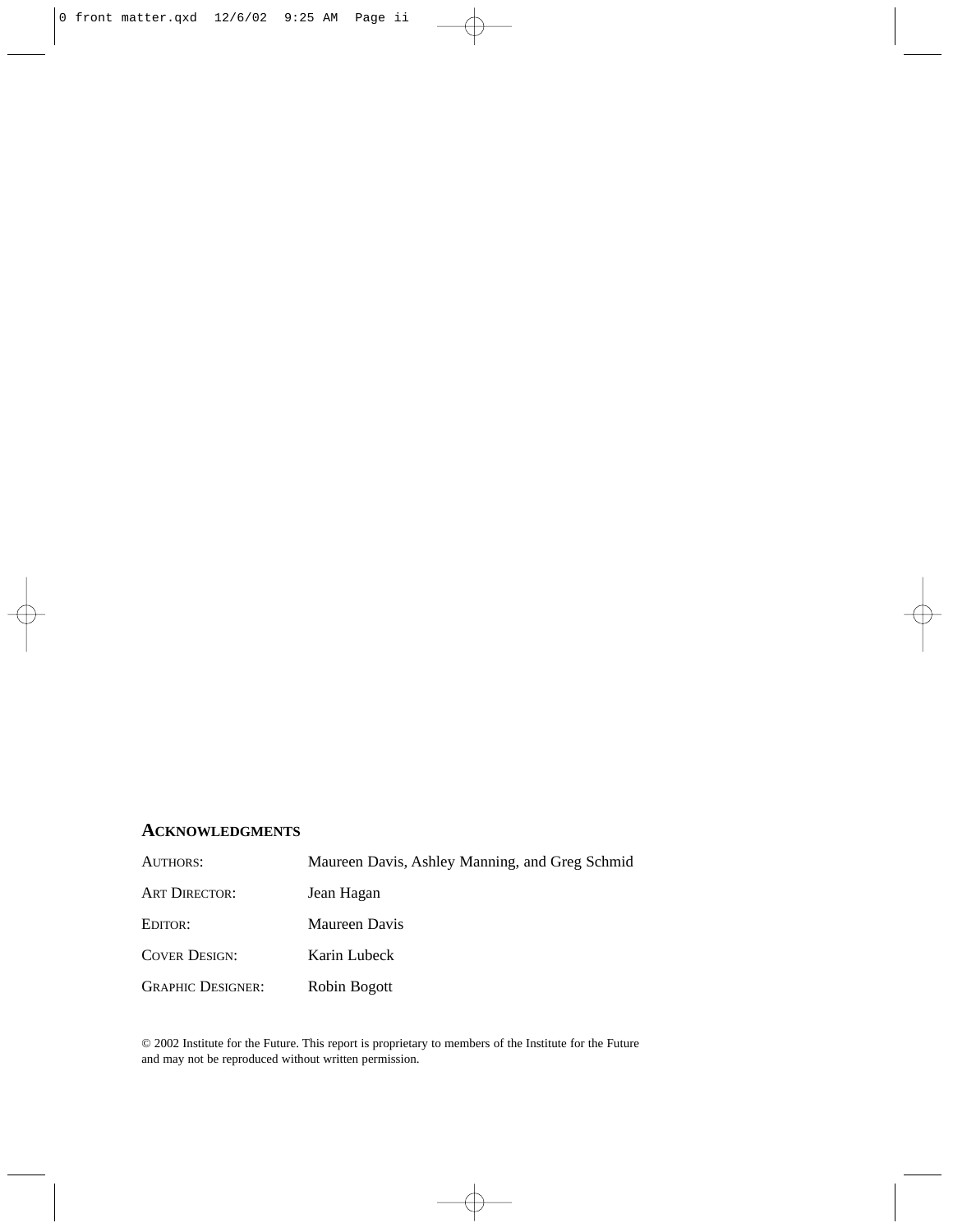## **ACKNOWLEDGMENTS**

| AUTHORS:                 | Maureen Davis, Ashley Manning, and Greg Schmid |
|--------------------------|------------------------------------------------|
| <b>ART DIRECTOR:</b>     | Jean Hagan                                     |
| EDITOR:                  | Maureen Davis                                  |
| <b>COVER DESIGN:</b>     | Karin Lubeck                                   |
| <b>GRAPHIC DESIGNER:</b> | Robin Bogott                                   |

© 2002 Institute for the Future. This report is proprietary to members of the Institute for the Future and may not be reproduced without written permission.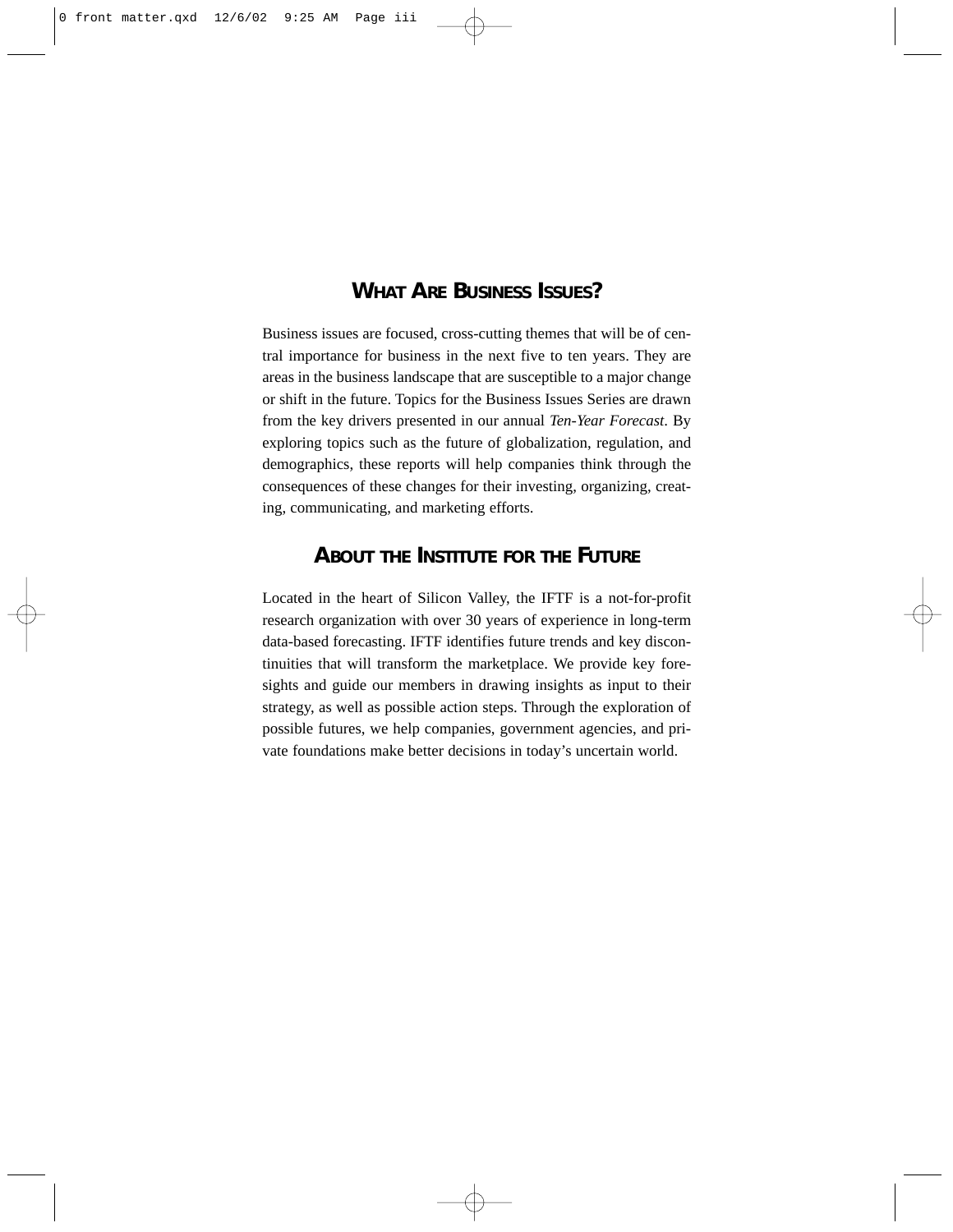## **WHAT ARE BUSINESS ISSUES?**

Business issues are focused, cross-cutting themes that will be of central importance for business in the next five to ten years. They are areas in the business landscape that are susceptible to a major change or shift in the future. Topics for the Business Issues Series are drawn from the key drivers presented in our annual *Ten-Year Forecast*. By exploring topics such as the future of globalization, regulation, and demographics, these reports will help companies think through the consequences of these changes for their investing, organizing, creating, communicating, and marketing efforts.

## **ABOUT THE INSTITUTE FOR THE FUTURE**

Located in the heart of Silicon Valley, the IFTF is a not-for-profit research organization with over 30 years of experience in long-term data-based forecasting. IFTF identifies future trends and key discontinuities that will transform the marketplace. We provide key foresights and guide our members in drawing insights as input to their strategy, as well as possible action steps. Through the exploration of possible futures, we help companies, government agencies, and private foundations make better decisions in today's uncertain world.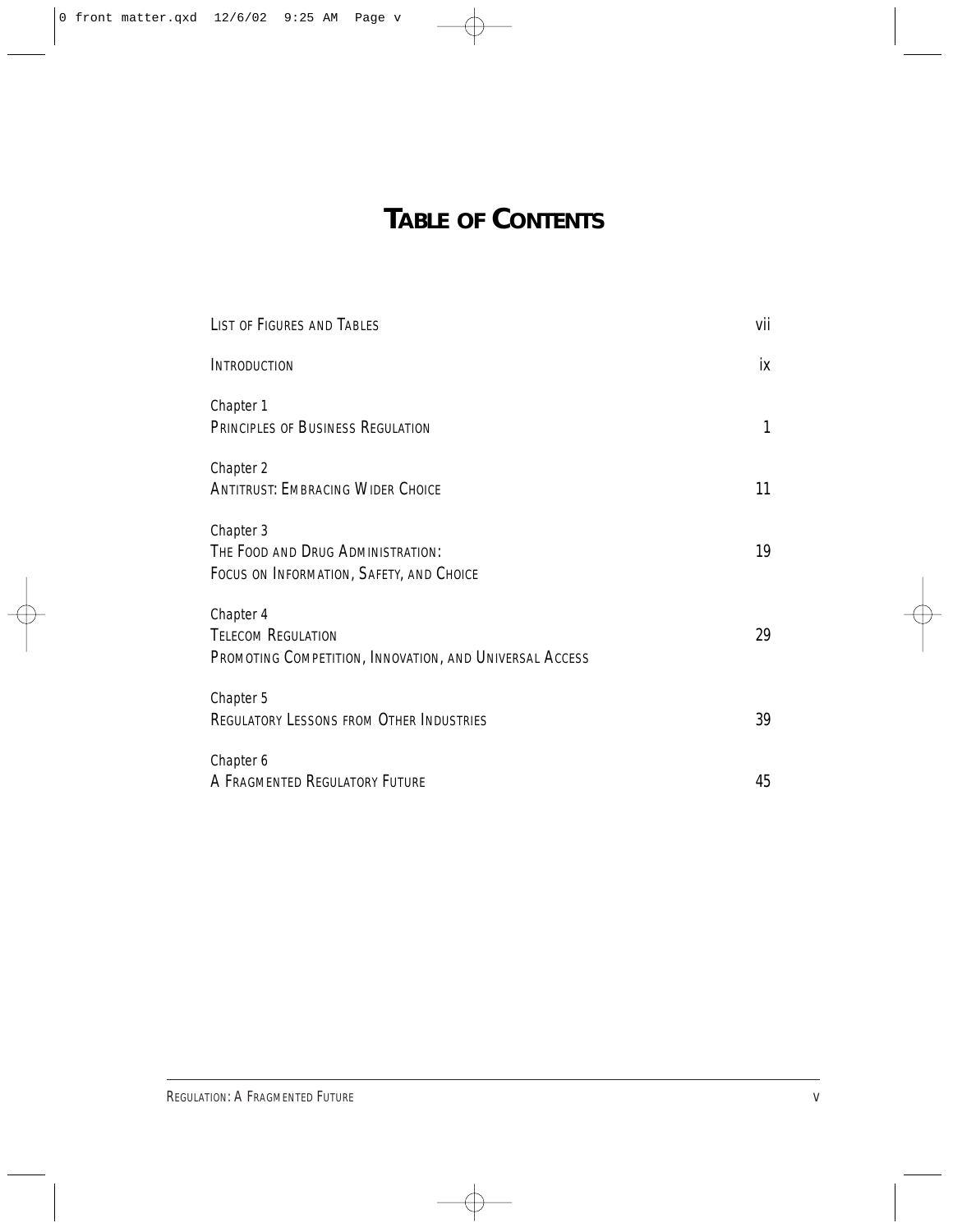## **TABLE OF CONTENTS**

| LIST OF FIGURES AND TABLES                                                                        | vii |
|---------------------------------------------------------------------------------------------------|-----|
| INTRODUCTION                                                                                      | iх  |
| Chapter 1<br>PRINCIPLES OF BUSINESS REGULATION                                                    | 1   |
| Chapter 2<br><b>ANTITRUST: EMBRACING WIDER CHOICE</b>                                             | 11  |
| Chapter 3<br>THE FOOD AND DRUG ADMINISTRATION:<br>FOCUS ON INFORMATION, SAFETY, AND CHOICE        | 19  |
| Chapter 4<br><b>TELECOM REGULATION</b><br>PROMOTING COMPETITION, INNOVATION, AND UNIVERSAL ACCESS | 29  |
| Chapter 5<br><b>REGULATORY LESSONS FROM OTHER INDUSTRIES</b>                                      | 39  |
| Chapter 6<br>A FRAGMENTED REGULATORY FUTURE                                                       | 45  |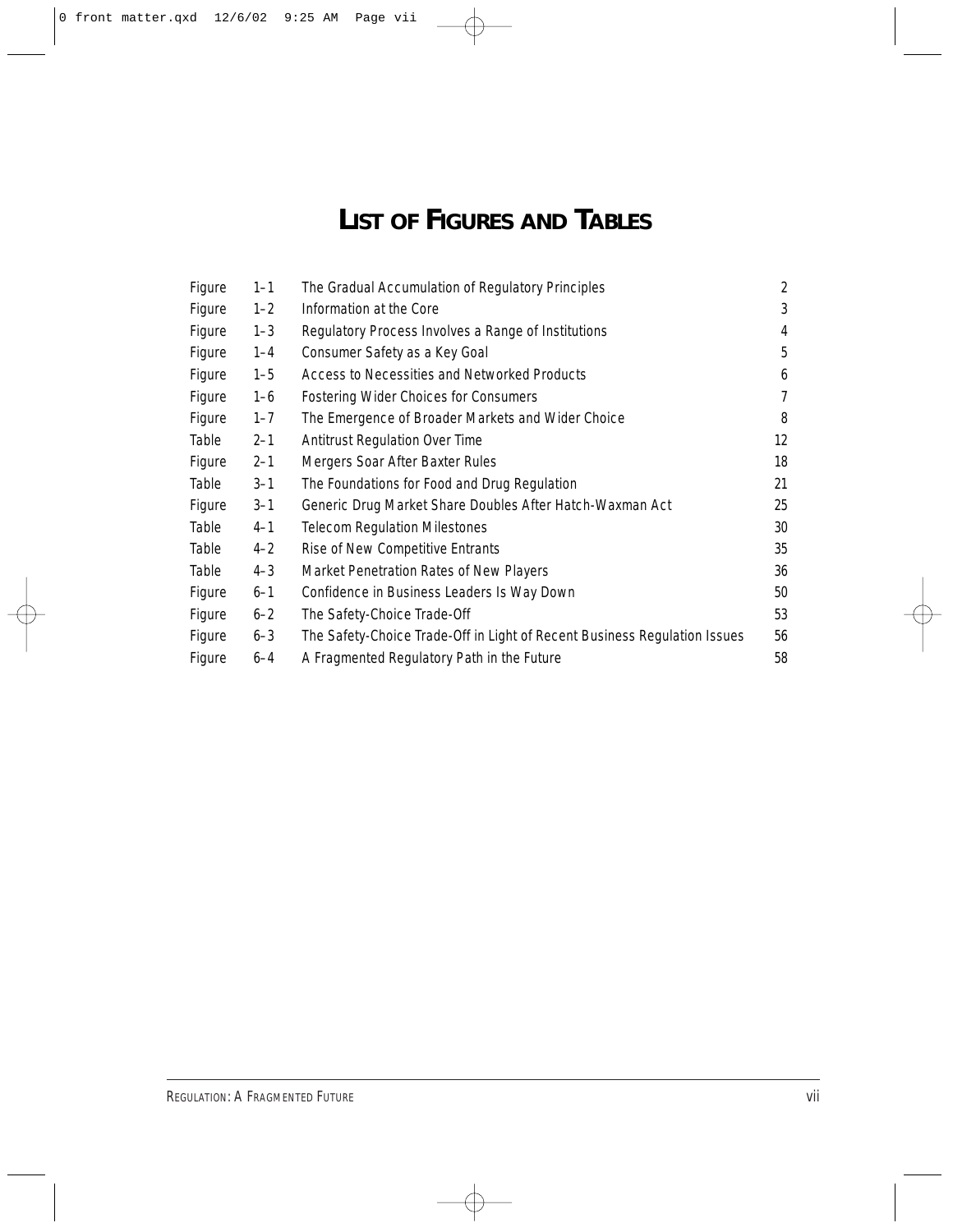## **LIST OF FIGURES AND TABLES**

| Figure | $1 - 1$ | The Gradual Accumulation of Regulatory Principles                         | 2  |
|--------|---------|---------------------------------------------------------------------------|----|
| Figure | $1 - 2$ | Information at the Core                                                   | 3  |
| Figure | $1 - 3$ | Regulatory Process Involves a Range of Institutions                       | 4  |
| Figure | $1 - 4$ | Consumer Safety as a Key Goal                                             | 5  |
| Figure | $1 - 5$ | Access to Necessities and Networked Products                              | 6  |
| Figure | $1 - 6$ | Fostering Wider Choices for Consumers                                     | 7  |
| Figure | $1 - 7$ | The Emergence of Broader Markets and Wider Choice                         | 8  |
| Table  | $2 - 1$ | <b>Antitrust Regulation Over Time</b>                                     | 12 |
| Figure | $2 - 1$ | Mergers Soar After Baxter Rules                                           | 18 |
| Table  | $3 - 1$ | The Foundations for Food and Drug Regulation                              | 21 |
| Figure | $3 - 1$ | Generic Drug Market Share Doubles After Hatch-Waxman Act                  | 25 |
| Table  | $4 - 1$ | <b>Telecom Regulation Milestones</b>                                      | 30 |
| Table  | $4 - 2$ | Rise of New Competitive Entrants                                          | 35 |
| Table  | $4 - 3$ | Market Penetration Rates of New Players                                   | 36 |
| Figure | $6 - 1$ | Confidence in Business Leaders Is Way Down                                | 50 |
| Figure | $6 - 2$ | The Safety-Choice Trade-Off                                               | 53 |
| Figure | $6 - 3$ | The Safety-Choice Trade-Off in Light of Recent Business Regulation Issues | 56 |
| Figure | $6 - 4$ | A Fragmented Regulatory Path in the Future                                | 58 |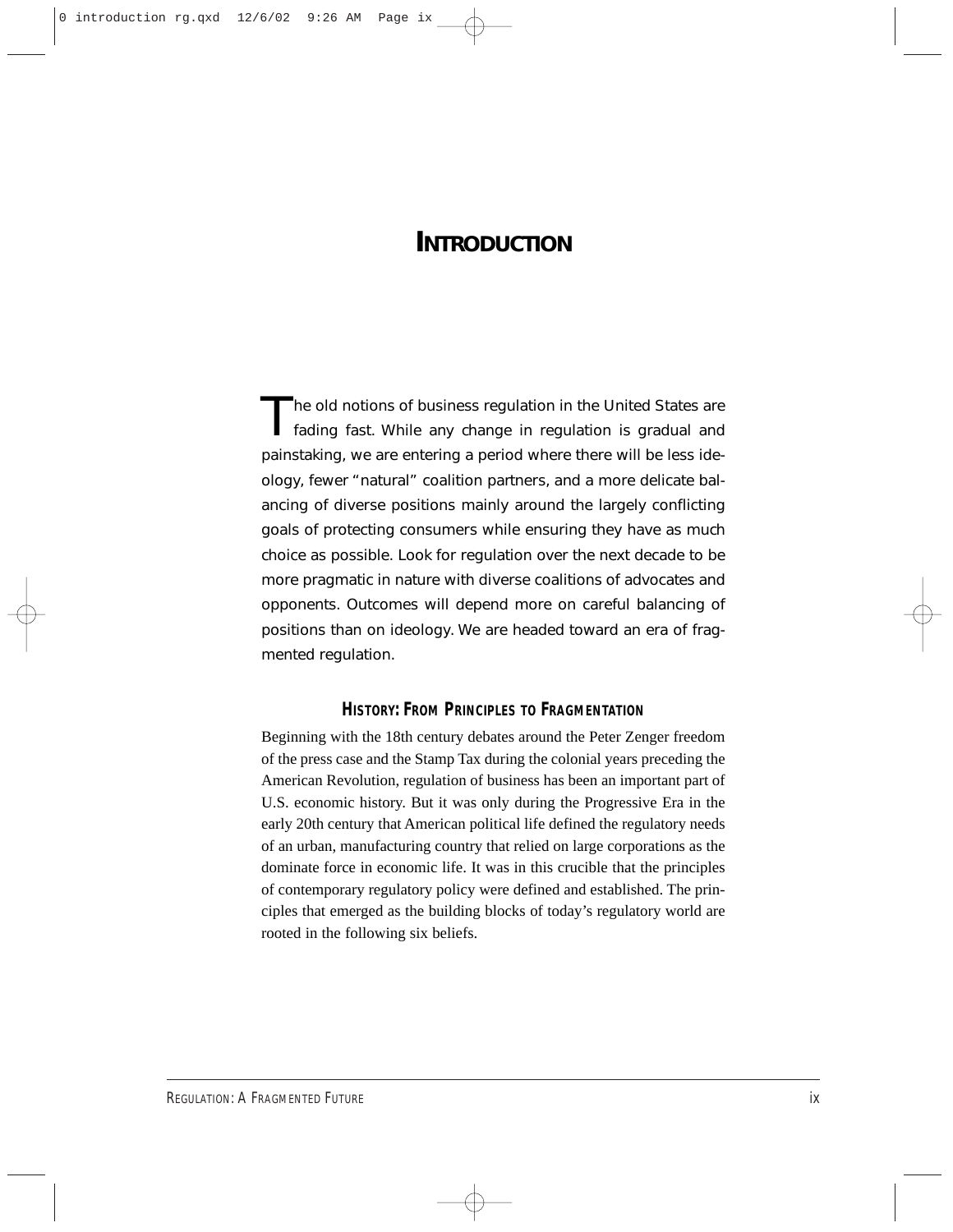## **INTRODUCTION**

The old notions of business regulation in the United States are<br>fading fast. While any change in regulation is gradual and painstaking, we are entering a period where there will be less ideology, fewer "natural" coalition partners, and a more delicate balancing of diverse positions mainly around the largely conflicting goals of protecting consumers while ensuring they have as much choice as possible. Look for regulation over the next decade to be more pragmatic in nature with diverse coalitions of advocates and opponents. Outcomes will depend more on careful balancing of positions than on ideology. We are headed toward an era of fragmented regulation.

#### **HISTORY: FROM PRINCIPLES TO FRAGMENTATION**

Beginning with the 18th century debates around the Peter Zenger freedom of the press case and the Stamp Tax during the colonial years preceding the American Revolution, regulation of business has been an important part of U.S. economic history. But it was only during the Progressive Era in the early 20th century that American political life defined the regulatory needs of an urban, manufacturing country that relied on large corporations as the dominate force in economic life. It was in this crucible that the principles of contemporary regulatory policy were defined and established. The principles that emerged as the building blocks of today's regulatory world are rooted in the following six beliefs.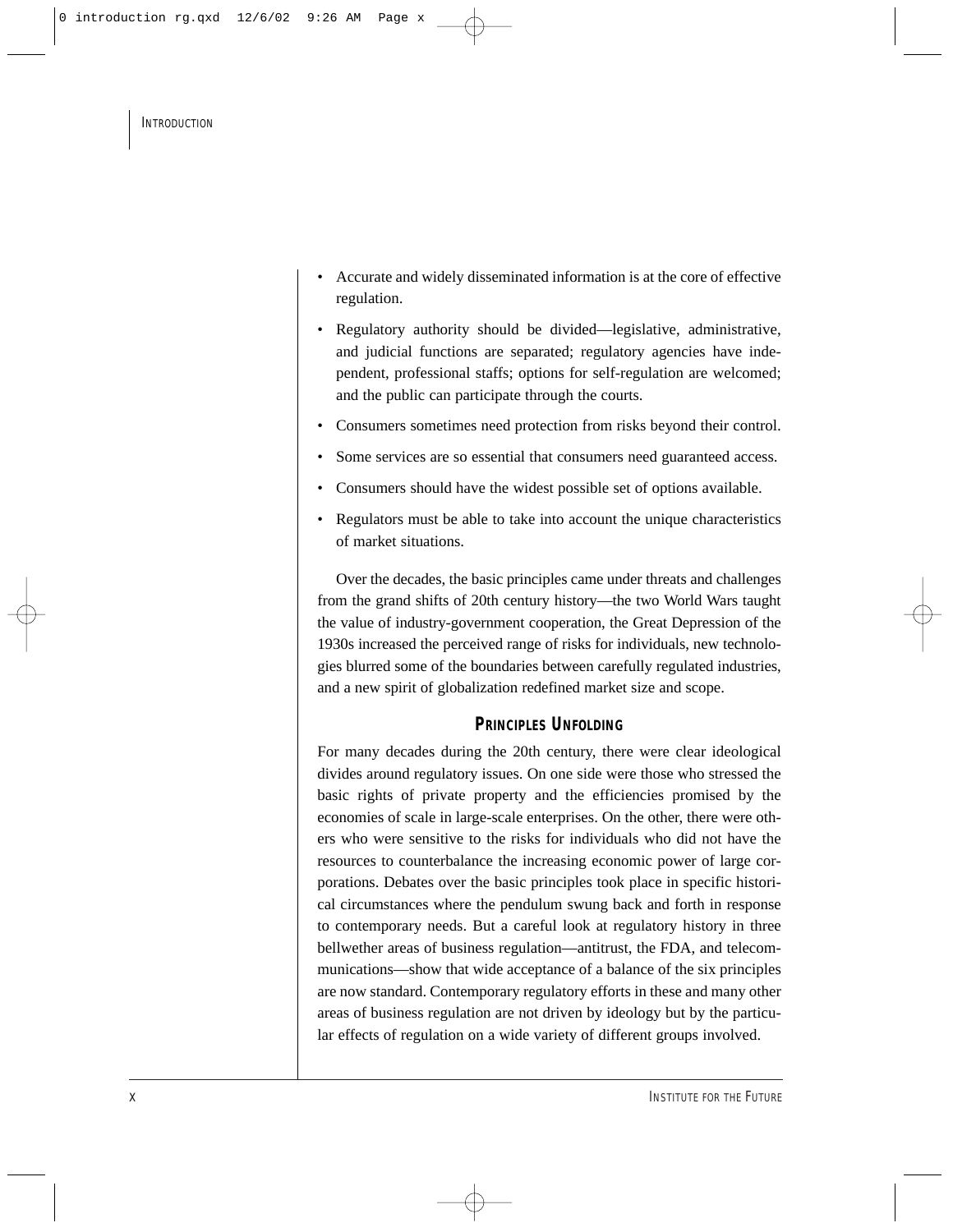- Accurate and widely disseminated information is at the core of effective regulation.
- Regulatory authority should be divided—legislative, administrative, and judicial functions are separated; regulatory agencies have independent, professional staffs; options for self-regulation are welcomed; and the public can participate through the courts.
- Consumers sometimes need protection from risks beyond their control.
- Some services are so essential that consumers need guaranteed access.
- Consumers should have the widest possible set of options available.
- Regulators must be able to take into account the unique characteristics of market situations.

Over the decades, the basic principles came under threats and challenges from the grand shifts of 20th century history—the two World Wars taught the value of industry-government cooperation, the Great Depression of the 1930s increased the perceived range of risks for individuals, new technologies blurred some of the boundaries between carefully regulated industries, and a new spirit of globalization redefined market size and scope.

## **PRINCIPLES UNFOLDING**

For many decades during the 20th century, there were clear ideological divides around regulatory issues. On one side were those who stressed the basic rights of private property and the efficiencies promised by the economies of scale in large-scale enterprises. On the other, there were others who were sensitive to the risks for individuals who did not have the resources to counterbalance the increasing economic power of large corporations. Debates over the basic principles took place in specific historical circumstances where the pendulum swung back and forth in response to contemporary needs. But a careful look at regulatory history in three bellwether areas of business regulation—antitrust, the FDA, and telecommunications—show that wide acceptance of a balance of the six principles are now standard. Contemporary regulatory efforts in these and many other areas of business regulation are not driven by ideology but by the particular effects of regulation on a wide variety of different groups involved.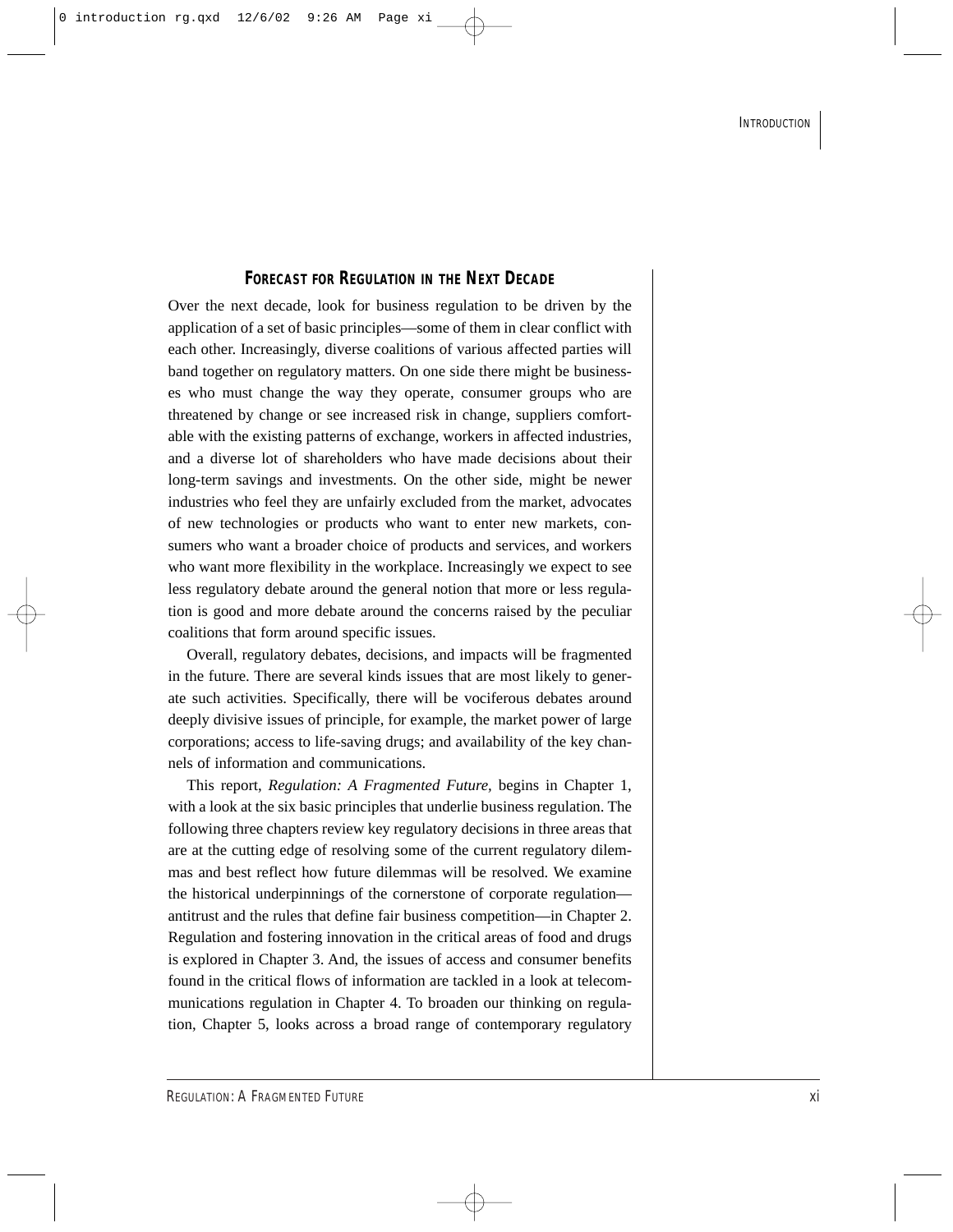#### **FORECAST FOR REGULATION IN THE NEXT DECADE**

Over the next decade, look for business regulation to be driven by the application of a set of basic principles—some of them in clear conflict with each other. Increasingly, diverse coalitions of various affected parties will band together on regulatory matters. On one side there might be businesses who must change the way they operate, consumer groups who are threatened by change or see increased risk in change, suppliers comfortable with the existing patterns of exchange, workers in affected industries, and a diverse lot of shareholders who have made decisions about their long-term savings and investments. On the other side, might be newer industries who feel they are unfairly excluded from the market, advocates of new technologies or products who want to enter new markets, consumers who want a broader choice of products and services, and workers who want more flexibility in the workplace. Increasingly we expect to see less regulatory debate around the general notion that more or less regulation is good and more debate around the concerns raised by the peculiar coalitions that form around specific issues.

Overall, regulatory debates, decisions, and impacts will be fragmented in the future. There are several kinds issues that are most likely to generate such activities. Specifically, there will be vociferous debates around deeply divisive issues of principle, for example, the market power of large corporations; access to life-saving drugs; and availability of the key channels of information and communications.

This report, *Regulation: A Fragmented Future,* begins in Chapter 1, with a look at the six basic principles that underlie business regulation. The following three chapters review key regulatory decisions in three areas that are at the cutting edge of resolving some of the current regulatory dilemmas and best reflect how future dilemmas will be resolved. We examine the historical underpinnings of the cornerstone of corporate regulation antitrust and the rules that define fair business competition—in Chapter 2. Regulation and fostering innovation in the critical areas of food and drugs is explored in Chapter 3. And, the issues of access and consumer benefits found in the critical flows of information are tackled in a look at telecommunications regulation in Chapter 4. To broaden our thinking on regulation, Chapter 5, looks across a broad range of contemporary regulatory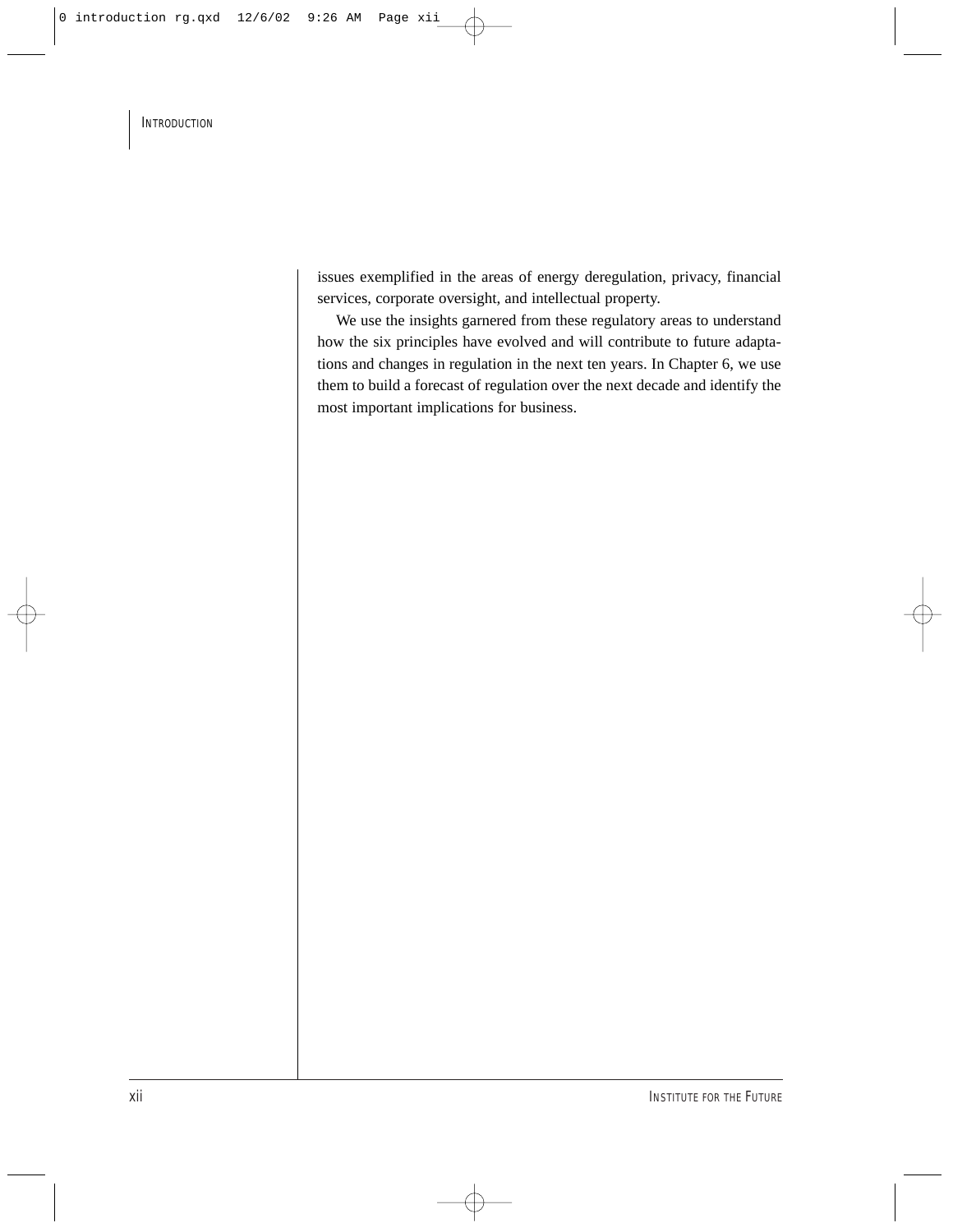issues exemplified in the areas of energy deregulation, privacy, financial services, corporate oversight, and intellectual property.

We use the insights garnered from these regulatory areas to understand how the six principles have evolved and will contribute to future adaptations and changes in regulation in the next ten years. In Chapter 6, we use them to build a forecast of regulation over the next decade and identify the most important implications for business.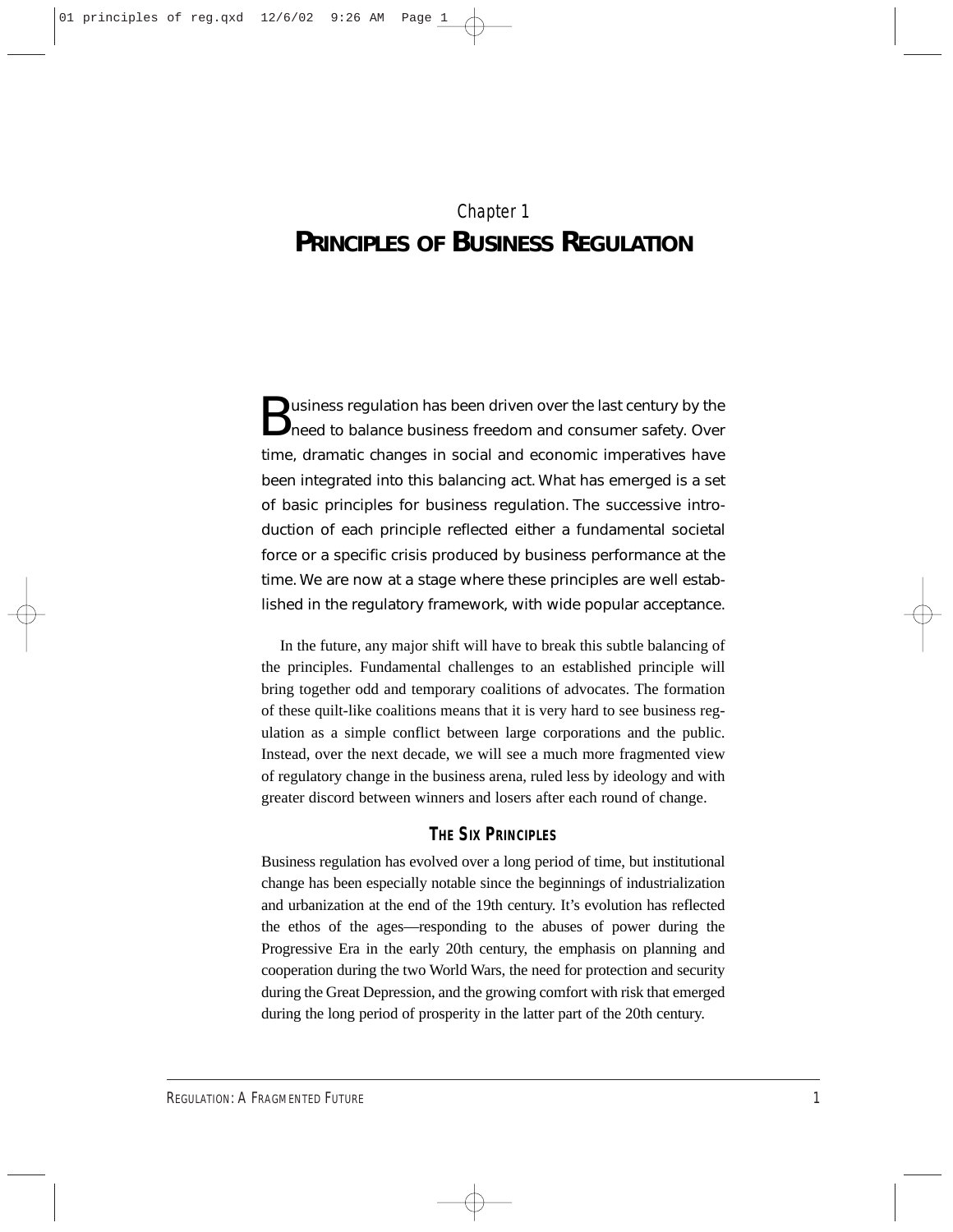## Chapter 1 **PRINCIPLES OF BUSINESS REGULATION**

**B** usiness regulation has been driven over the last century by the<br>
need to balance business freedom and consumer safety. Over time, dramatic changes in social and economic imperatives have been integrated into this balancing act. What has emerged is a set of basic principles for business regulation. The successive introduction of each principle reflected either a fundamental societal force or a specific crisis produced by business performance at the time. We are now at a stage where these principles are well established in the regulatory framework, with wide popular acceptance.

In the future, any major shift will have to break this subtle balancing of the principles. Fundamental challenges to an established principle will bring together odd and temporary coalitions of advocates. The formation of these quilt-like coalitions means that it is very hard to see business regulation as a simple conflict between large corporations and the public. Instead, over the next decade, we will see a much more fragmented view of regulatory change in the business arena, ruled less by ideology and with greater discord between winners and losers after each round of change.

### **THE SIX PRINCIPLES**

Business regulation has evolved over a long period of time, but institutional change has been especially notable since the beginnings of industrialization and urbanization at the end of the 19th century. It's evolution has reflected the ethos of the ages—responding to the abuses of power during the Progressive Era in the early 20th century, the emphasis on planning and cooperation during the two World Wars, the need for protection and security during the Great Depression, and the growing comfort with risk that emerged during the long period of prosperity in the latter part of the 20th century.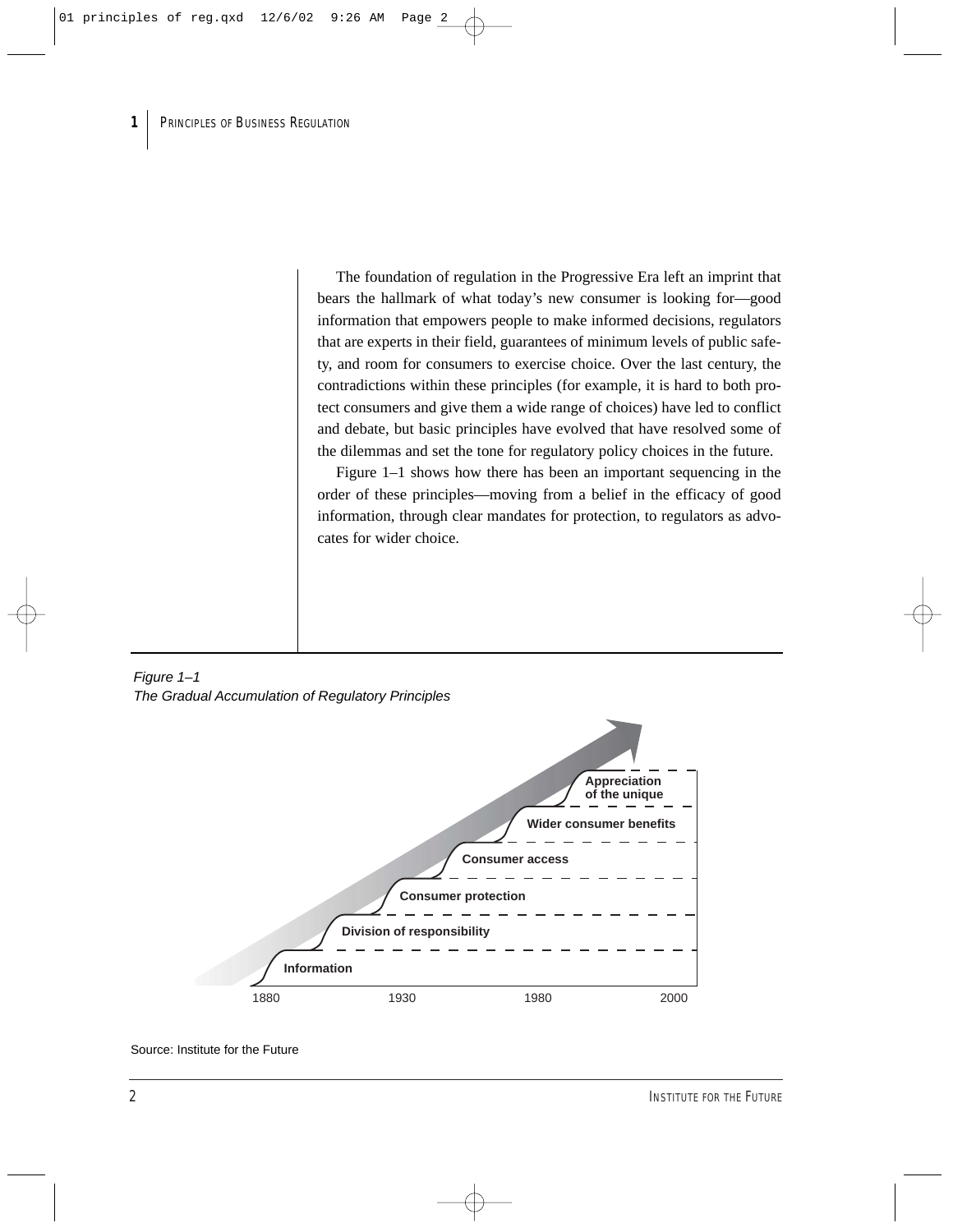The foundation of regulation in the Progressive Era left an imprint that bears the hallmark of what today's new consumer is looking for—good information that empowers people to make informed decisions, regulators that are experts in their field, guarantees of minimum levels of public safety, and room for consumers to exercise choice. Over the last century, the contradictions within these principles (for example, it is hard to both protect consumers and give them a wide range of choices) have led to conflict and debate, but basic principles have evolved that have resolved some of the dilemmas and set the tone for regulatory policy choices in the future.

Figure 1–1 shows how there has been an important sequencing in the order of these principles—moving from a belief in the efficacy of good information, through clear mandates for protection, to regulators as advocates for wider choice.

## Figure 1–1 The Gradual Accumulation of Regulatory Principles

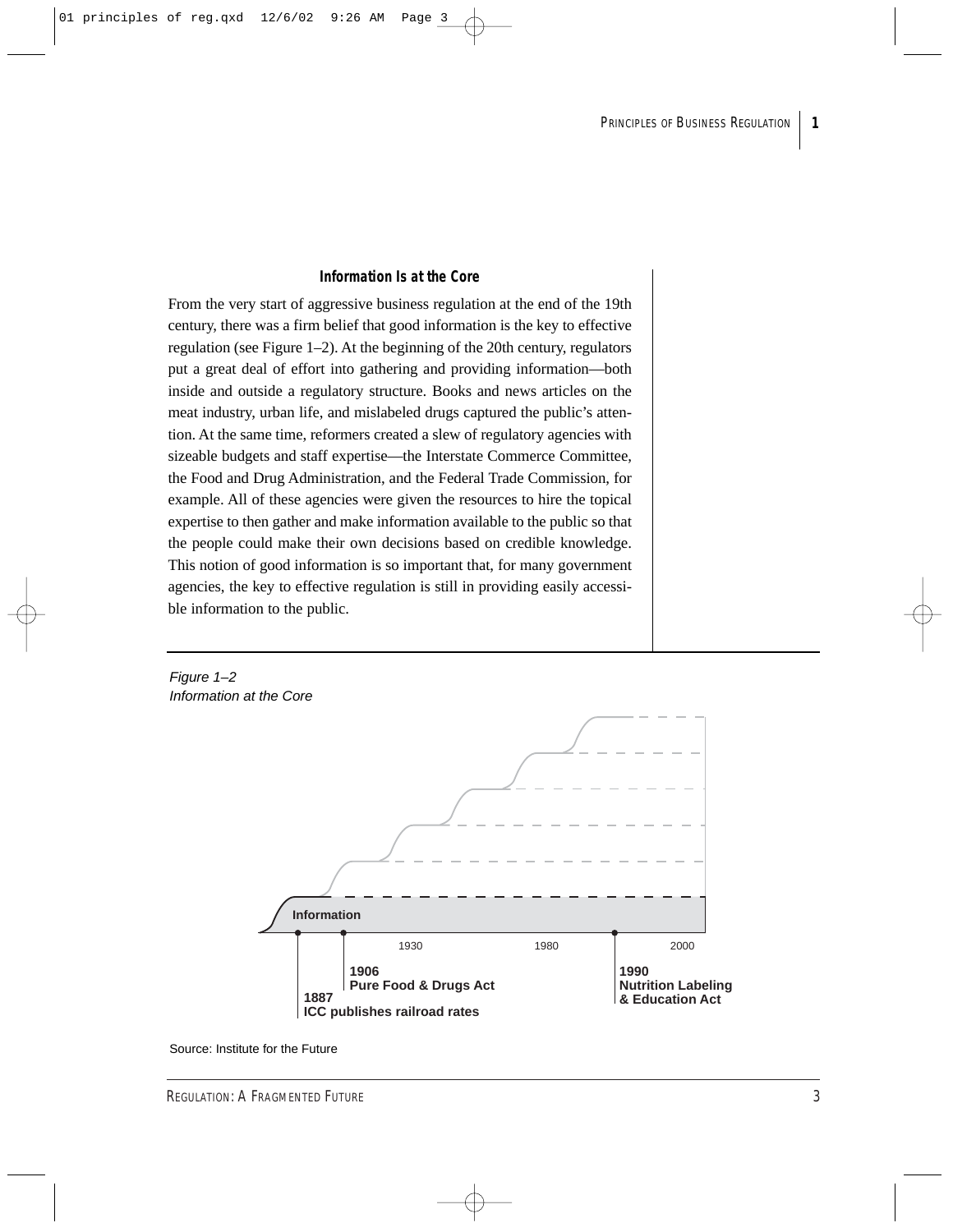#### **Information Is at the Core**

From the very start of aggressive business regulation at the end of the 19th century, there was a firm belief that good information is the key to effective regulation (see Figure 1–2). At the beginning of the 20th century, regulators put a great deal of effort into gathering and providing information—both inside and outside a regulatory structure. Books and news articles on the meat industry, urban life, and mislabeled drugs captured the public's attention. At the same time, reformers created a slew of regulatory agencies with sizeable budgets and staff expertise—the Interstate Commerce Committee, the Food and Drug Administration, and the Federal Trade Commission, for example. All of these agencies were given the resources to hire the topical expertise to then gather and make information available to the public so that the people could make their own decisions based on credible knowledge. This notion of good information is so important that, for many government agencies, the key to effective regulation is still in providing easily accessible information to the public.

Figure 1–2 Information at the Core



Source: Institute for the Future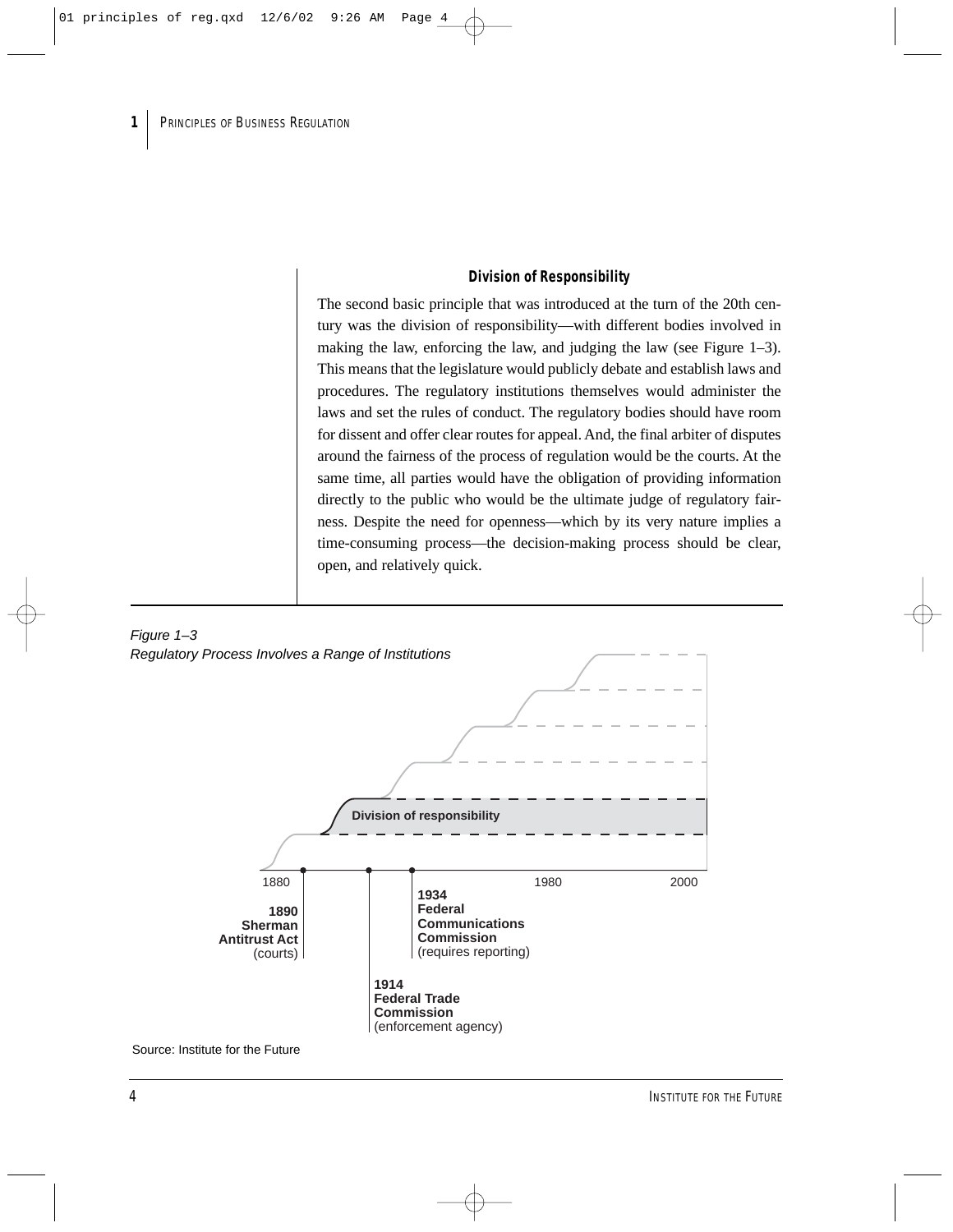#### **Division of Responsibility**

The second basic principle that was introduced at the turn of the 20th century was the division of responsibility—with different bodies involved in making the law, enforcing the law, and judging the law (see Figure 1–3). This means that the legislature would publicly debate and establish laws and procedures. The regulatory institutions themselves would administer the laws and set the rules of conduct. The regulatory bodies should have room for dissent and offer clear routes for appeal. And, the final arbiter of disputes around the fairness of the process of regulation would be the courts. At the same time, all parties would have the obligation of providing information directly to the public who would be the ultimate judge of regulatory fairness. Despite the need for openness—which by its very nature implies a time-consuming process—the decision-making process should be clear, open, and relatively quick.



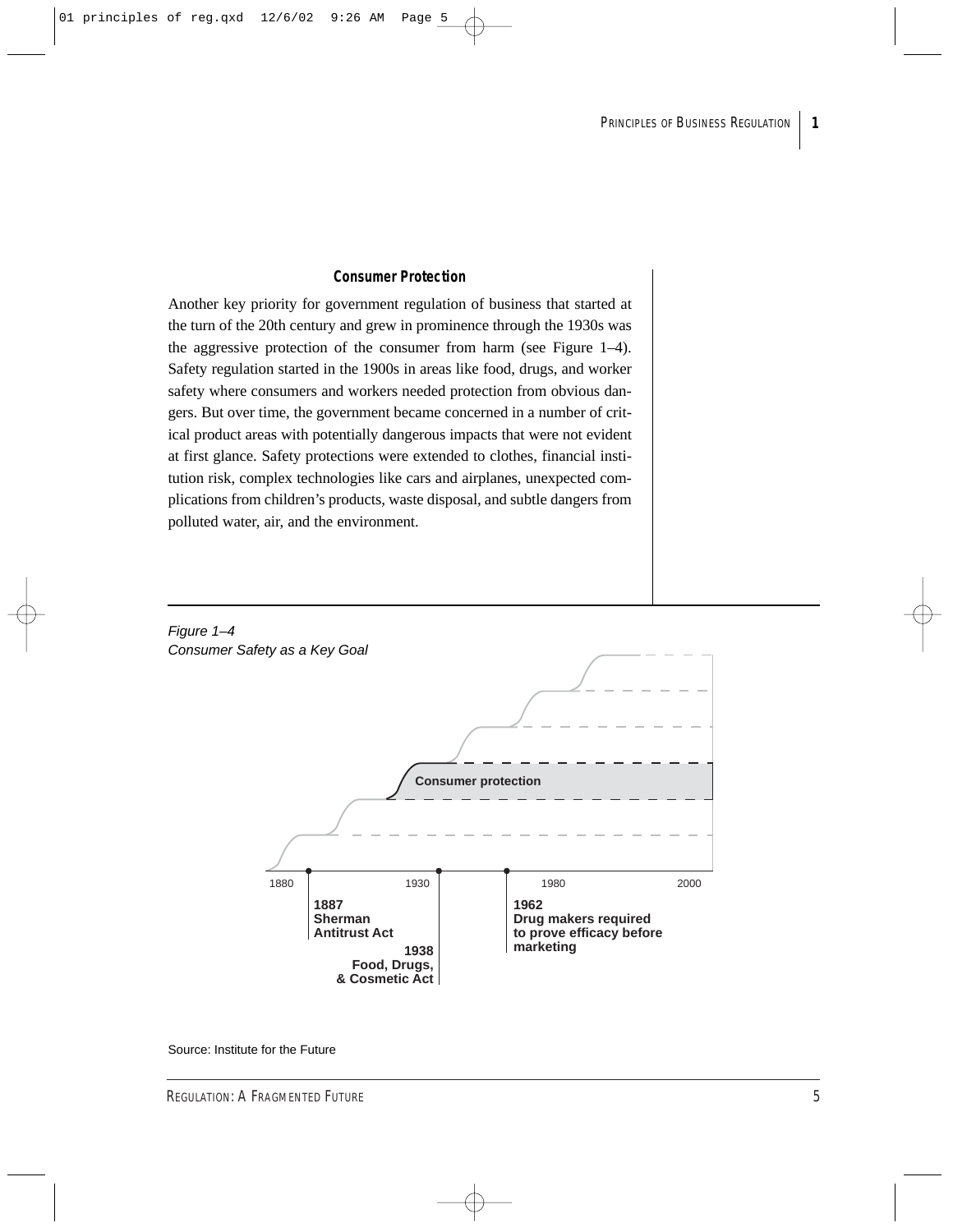#### **Consumer Protection**

Another key priority for government regulation of business that started at the turn of the 20th century and grew in prominence through the 1930s was the aggressive protection of the consumer from harm (see Figure 1–4). Safety regulation started in the 1900s in areas like food, drugs, and worker safety where consumers and workers needed protection from obvious dangers. But over time, the government became concerned in a number of critical product areas with potentially dangerous impacts that were not evident at first glance. Safety protections were extended to clothes, financial institution risk, complex technologies like cars and airplanes, unexpected complications from children's products, waste disposal, and subtle dangers from polluted water, air, and the environment.

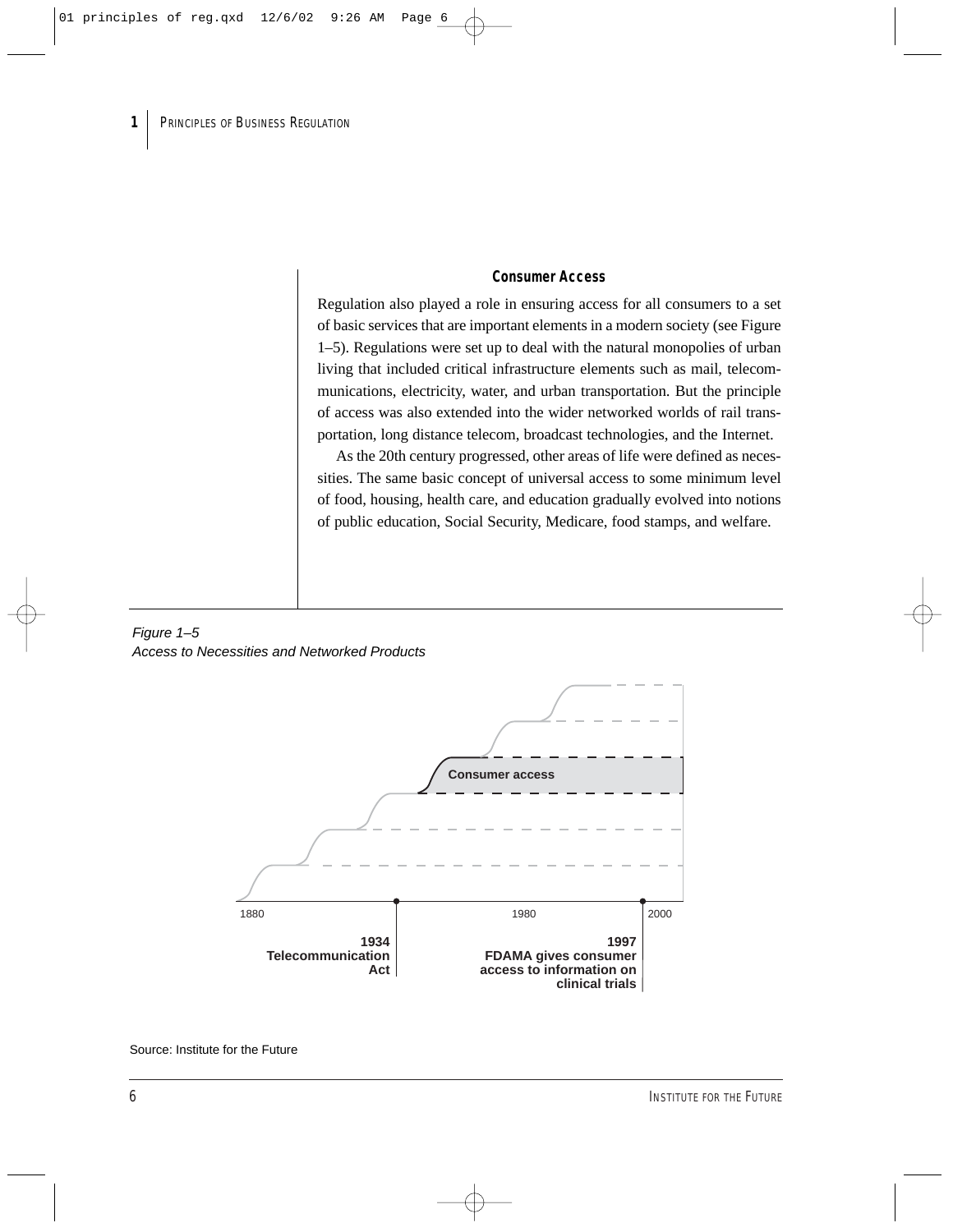#### **Consumer Access**

Regulation also played a role in ensuring access for all consumers to a set of basic services that are important elements in a modern society (see Figure 1–5). Regulations were set up to deal with the natural monopolies of urban living that included critical infrastructure elements such as mail, telecommunications, electricity, water, and urban transportation. But the principle of access was also extended into the wider networked worlds of rail transportation, long distance telecom, broadcast technologies, and the Internet.

As the 20th century progressed, other areas of life were defined as necessities. The same basic concept of universal access to some minimum level of food, housing, health care, and education gradually evolved into notions of public education, Social Security, Medicare, food stamps, and welfare.

#### Figure 1–5 Access to Necessities and Networked Products

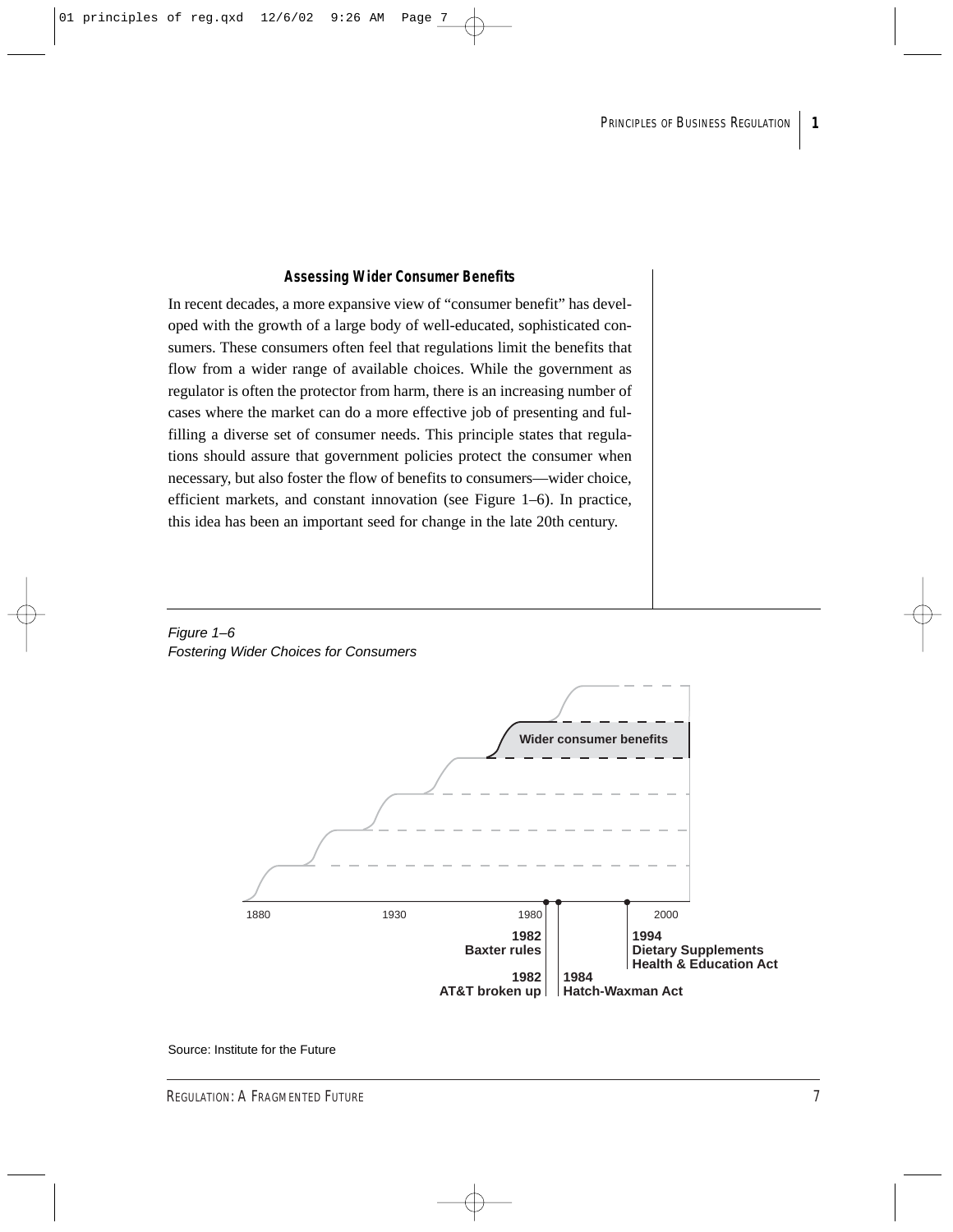#### **Assessing Wider Consumer Benefits**

In recent decades, a more expansive view of "consumer benefit" has developed with the growth of a large body of well-educated, sophisticated consumers. These consumers often feel that regulations limit the benefits that flow from a wider range of available choices. While the government as regulator is often the protector from harm, there is an increasing number of cases where the market can do a more effective job of presenting and fulfilling a diverse set of consumer needs. This principle states that regulations should assure that government policies protect the consumer when necessary, but also foster the flow of benefits to consumers—wider choice, efficient markets, and constant innovation (see Figure 1–6). In practice, this idea has been an important seed for change in the late 20th century.



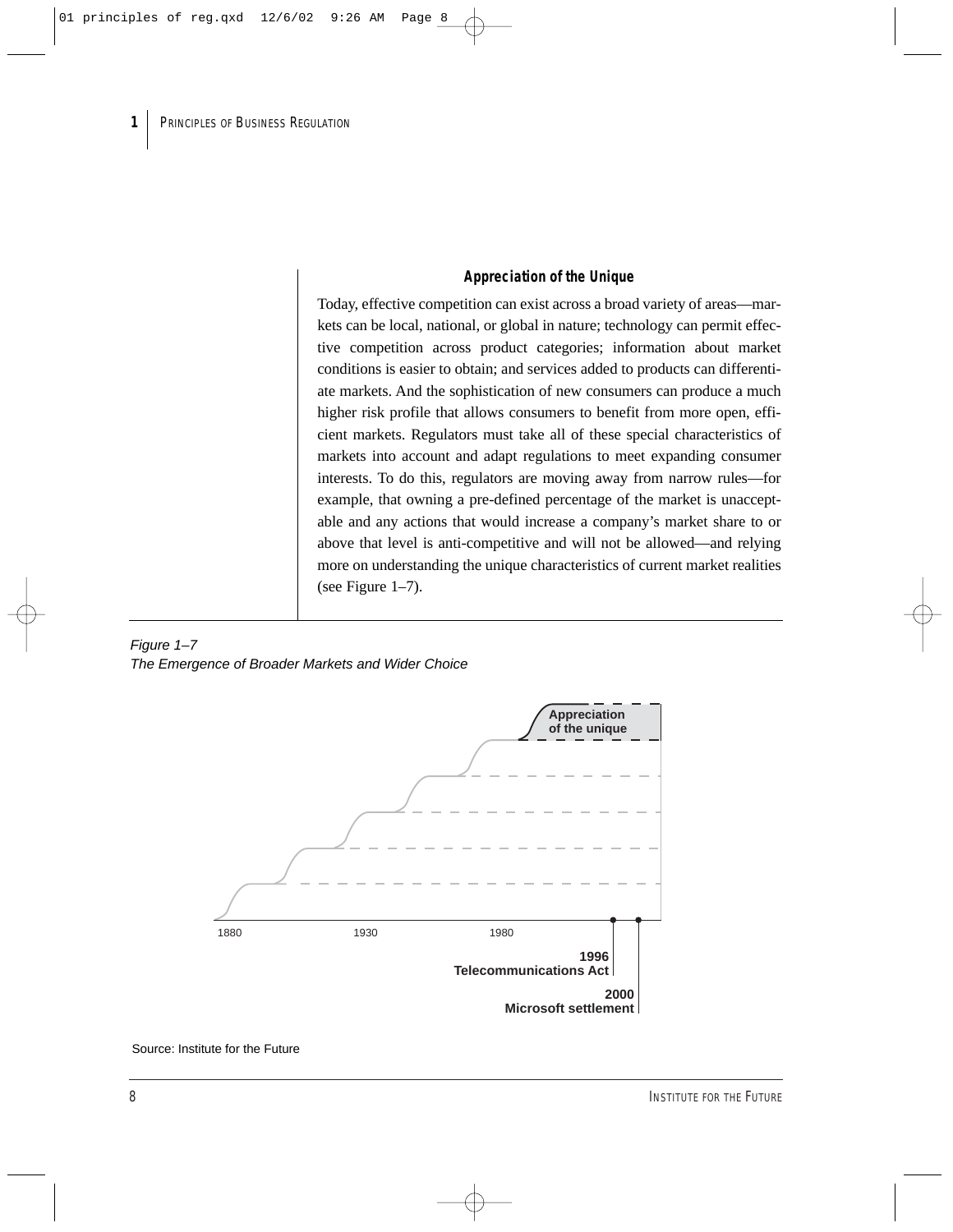#### **Appreciation of the Unique**

Today, effective competition can exist across a broad variety of areas—markets can be local, national, or global in nature; technology can permit effective competition across product categories; information about market conditions is easier to obtain; and services added to products can differentiate markets. And the sophistication of new consumers can produce a much higher risk profile that allows consumers to benefit from more open, efficient markets. Regulators must take all of these special characteristics of markets into account and adapt regulations to meet expanding consumer interests. To do this, regulators are moving away from narrow rules—for example, that owning a pre-defined percentage of the market is unacceptable and any actions that would increase a company's market share to or above that level is anti-competitive and will not be allowed—and relying more on understanding the unique characteristics of current market realities (see Figure 1–7).

#### Figure 1–7 The Emergence of Broader Markets and Wider Choice

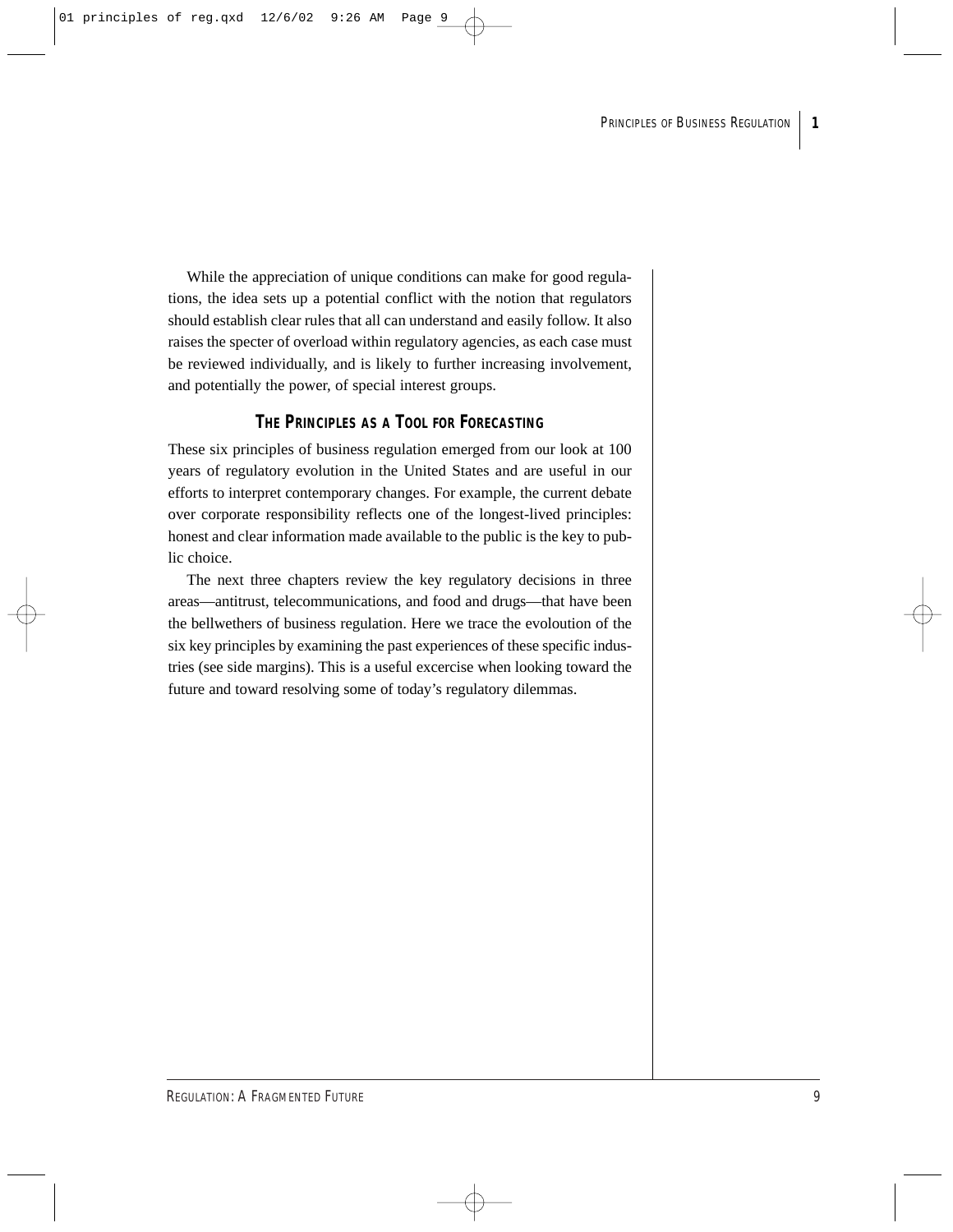While the appreciation of unique conditions can make for good regulations, the idea sets up a potential conflict with the notion that regulators should establish clear rules that all can understand and easily follow. It also raises the specter of overload within regulatory agencies, as each case must be reviewed individually, and is likely to further increasing involvement, and potentially the power, of special interest groups.

## **THE PRINCIPLES AS A TOOL FOR FORECASTING**

These six principles of business regulation emerged from our look at 100 years of regulatory evolution in the United States and are useful in our efforts to interpret contemporary changes. For example, the current debate over corporate responsibility reflects one of the longest-lived principles: honest and clear information made available to the public is the key to public choice.

The next three chapters review the key regulatory decisions in three areas—antitrust, telecommunications, and food and drugs—that have been the bellwethers of business regulation. Here we trace the evoloution of the six key principles by examining the past experiences of these specific industries (see side margins). This is a useful excercise when looking toward the future and toward resolving some of today's regulatory dilemmas.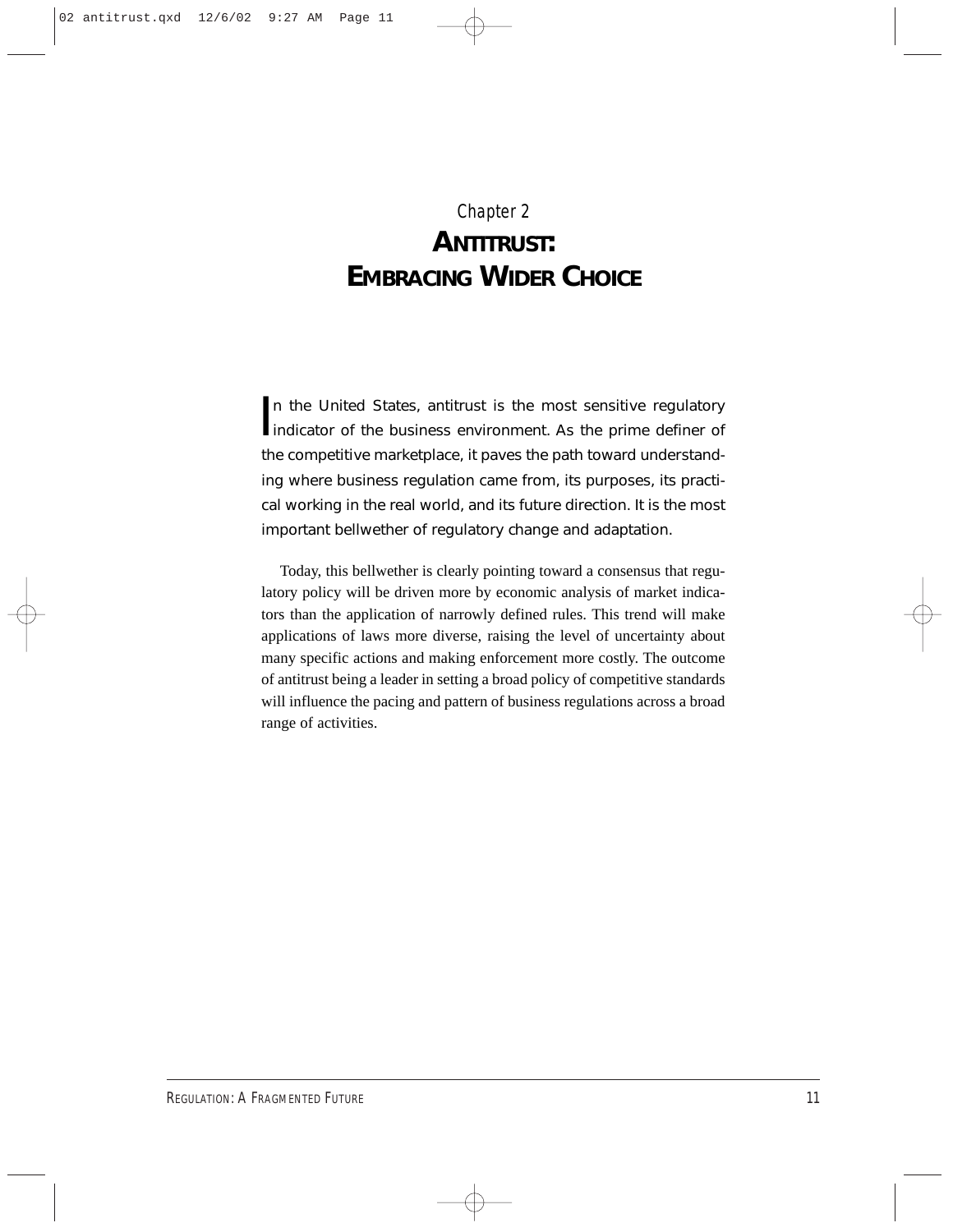## Chapter 2 **ANTITRUST: EMBRACING WIDER CHOICE**

In the United States, antitrust is the most sensitive regulatory<br>indicator of the business environment. As the prime definer of n the United States, antitrust is the most sensitive regulatory the competitive marketplace, it paves the path toward understanding where business regulation came from, its purposes, its practical working in the real world, and its future direction. It is the most important bellwether of regulatory change and adaptation.

Today, this bellwether is clearly pointing toward a consensus that regulatory policy will be driven more by economic analysis of market indicators than the application of narrowly defined rules. This trend will make applications of laws more diverse, raising the level of uncertainty about many specific actions and making enforcement more costly. The outcome of antitrust being a leader in setting a broad policy of competitive standards will influence the pacing and pattern of business regulations across a broad range of activities.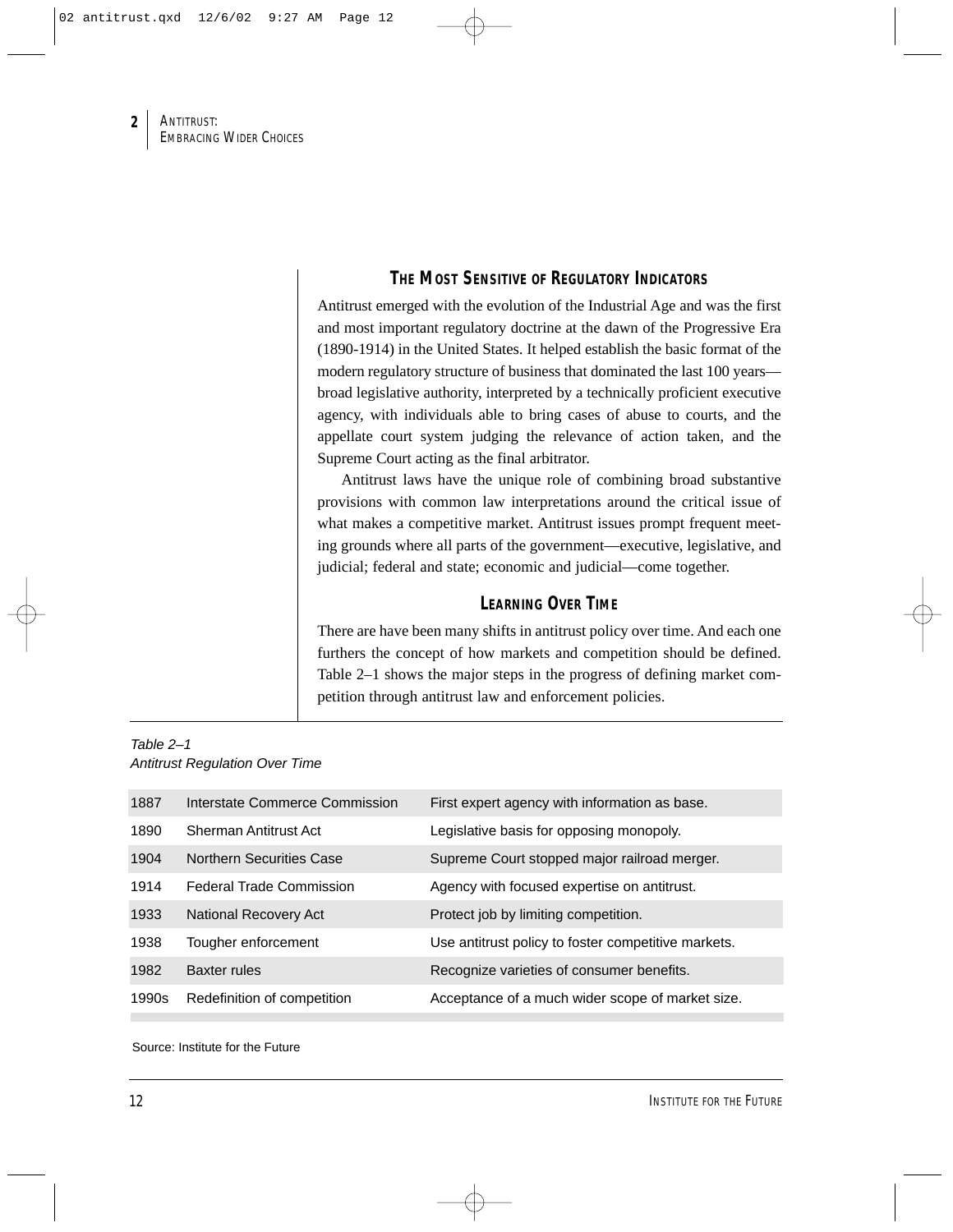## **THE MOST SENSITIVE OF REGULATORY INDICATORS**

Antitrust emerged with the evolution of the Industrial Age and was the first and most important regulatory doctrine at the dawn of the Progressive Era (1890-1914) in the United States. It helped establish the basic format of the modern regulatory structure of business that dominated the last 100 years broad legislative authority, interpreted by a technically proficient executive agency, with individuals able to bring cases of abuse to courts, and the appellate court system judging the relevance of action taken, and the Supreme Court acting as the final arbitrator.

Antitrust laws have the unique role of combining broad substantive provisions with common law interpretations around the critical issue of what makes a competitive market. Antitrust issues prompt frequent meeting grounds where all parts of the government—executive, legislative, and judicial; federal and state; economic and judicial—come together.

## **LEARNING OVER TIME**

There are have been many shifts in antitrust policy over time. And each one furthers the concept of how markets and competition should be defined. Table 2–1 shows the major steps in the progress of defining market competition through antitrust law and enforcement policies.

| Table $2-1$                           |  |
|---------------------------------------|--|
| <b>Antitrust Regulation Over Time</b> |  |

| 1887  | Interstate Commerce Commission  | First expert agency with information as base.       |
|-------|---------------------------------|-----------------------------------------------------|
| 1890  | Sherman Antitrust Act           | Legislative basis for opposing monopoly.            |
| 1904  | <b>Northern Securities Case</b> | Supreme Court stopped major railroad merger.        |
| 1914  | <b>Federal Trade Commission</b> | Agency with focused expertise on antitrust.         |
| 1933  | National Recovery Act           | Protect job by limiting competition.                |
| 1938  | Tougher enforcement             | Use antitrust policy to foster competitive markets. |
| 1982  | <b>Baxter rules</b>             | Recognize varieties of consumer benefits.           |
| 1990s | Redefinition of competition     | Acceptance of a much wider scope of market size.    |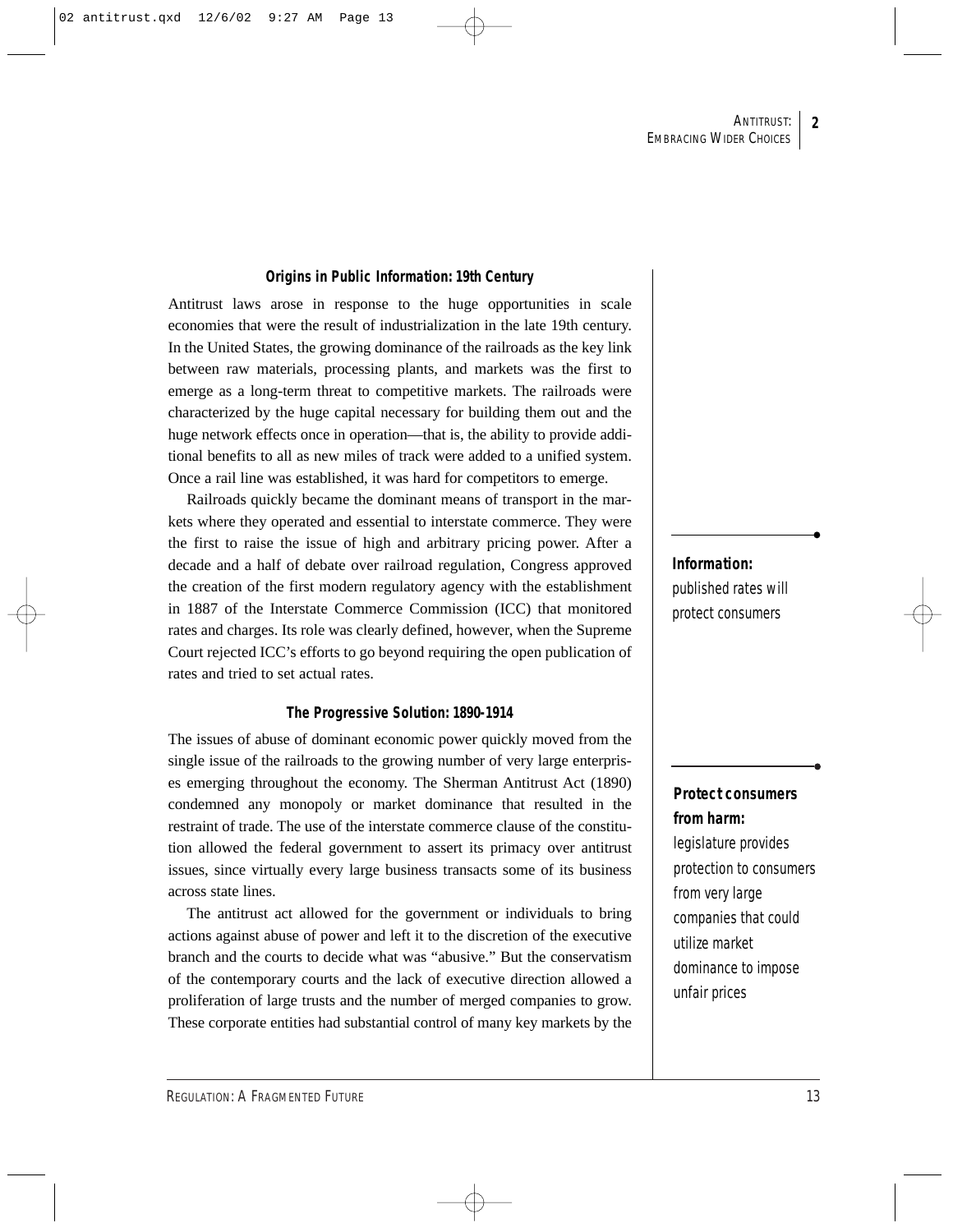#### **Origins in Public Information: 19th Century**

Antitrust laws arose in response to the huge opportunities in scale economies that were the result of industrialization in the late 19th century. In the United States, the growing dominance of the railroads as the key link between raw materials, processing plants, and markets was the first to emerge as a long-term threat to competitive markets. The railroads were characterized by the huge capital necessary for building them out and the huge network effects once in operation—that is, the ability to provide additional benefits to all as new miles of track were added to a unified system. Once a rail line was established, it was hard for competitors to emerge.

Railroads quickly became the dominant means of transport in the markets where they operated and essential to interstate commerce. They were the first to raise the issue of high and arbitrary pricing power. After a decade and a half of debate over railroad regulation, Congress approved the creation of the first modern regulatory agency with the establishment in 1887 of the Interstate Commerce Commission (ICC) that monitored rates and charges. Its role was clearly defined, however, when the Supreme Court rejected ICC's efforts to go beyond requiring the open publication of rates and tried to set actual rates.

#### **The Progressive Solution: 1890-1914**

The issues of abuse of dominant economic power quickly moved from the single issue of the railroads to the growing number of very large enterprises emerging throughout the economy. The Sherman Antitrust Act (1890) condemned any monopoly or market dominance that resulted in the restraint of trade. The use of the interstate commerce clause of the constitution allowed the federal government to assert its primacy over antitrust issues, since virtually every large business transacts some of its business across state lines.

The antitrust act allowed for the government or individuals to bring actions against abuse of power and left it to the discretion of the executive branch and the courts to decide what was "abusive." But the conservatism of the contemporary courts and the lack of executive direction allowed a proliferation of large trusts and the number of merged companies to grow. These corporate entities had substantial control of many key markets by the

**Information:**  published rates will protect consumers

## **Protect consumers from harm:**

legislature provides protection to consumers from very large companies that could utilize market dominance to impose unfair prices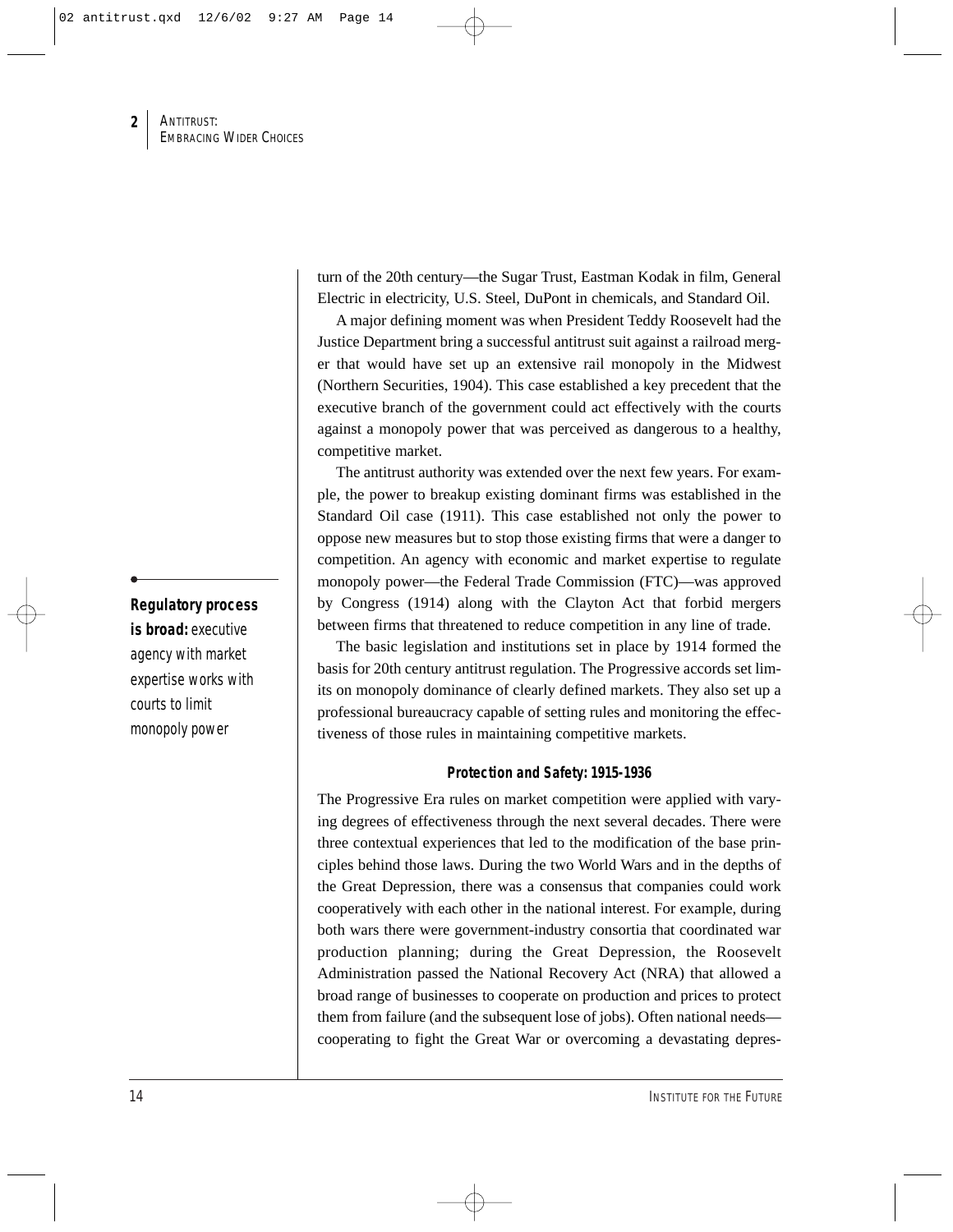turn of the 20th century—the Sugar Trust, Eastman Kodak in film, General Electric in electricity, U.S. Steel, DuPont in chemicals, and Standard Oil.

A major defining moment was when President Teddy Roosevelt had the Justice Department bring a successful antitrust suit against a railroad merger that would have set up an extensive rail monopoly in the Midwest (Northern Securities, 1904). This case established a key precedent that the executive branch of the government could act effectively with the courts against a monopoly power that was perceived as dangerous to a healthy, competitive market.

The antitrust authority was extended over the next few years. For example, the power to breakup existing dominant firms was established in the Standard Oil case (1911). This case established not only the power to oppose new measures but to stop those existing firms that were a danger to competition. An agency with economic and market expertise to regulate monopoly power—the Federal Trade Commission (FTC)—was approved by Congress (1914) along with the Clayton Act that forbid mergers between firms that threatened to reduce competition in any line of trade.

The basic legislation and institutions set in place by 1914 formed the basis for 20th century antitrust regulation. The Progressive accords set limits on monopoly dominance of clearly defined markets. They also set up a professional bureaucracy capable of setting rules and monitoring the effectiveness of those rules in maintaining competitive markets.

#### **Protection and Safety: 1915-1936**

The Progressive Era rules on market competition were applied with varying degrees of effectiveness through the next several decades. There were three contextual experiences that led to the modification of the base principles behind those laws. During the two World Wars and in the depths of the Great Depression, there was a consensus that companies could work cooperatively with each other in the national interest. For example, during both wars there were government-industry consortia that coordinated war production planning; during the Great Depression, the Roosevelt Administration passed the National Recovery Act (NRA) that allowed a broad range of businesses to cooperate on production and prices to protect them from failure (and the subsequent lose of jobs). Often national needs cooperating to fight the Great War or overcoming a devastating depres-

**Regulatory process is broad:** executive agency with market expertise works with courts to limit

monopoly power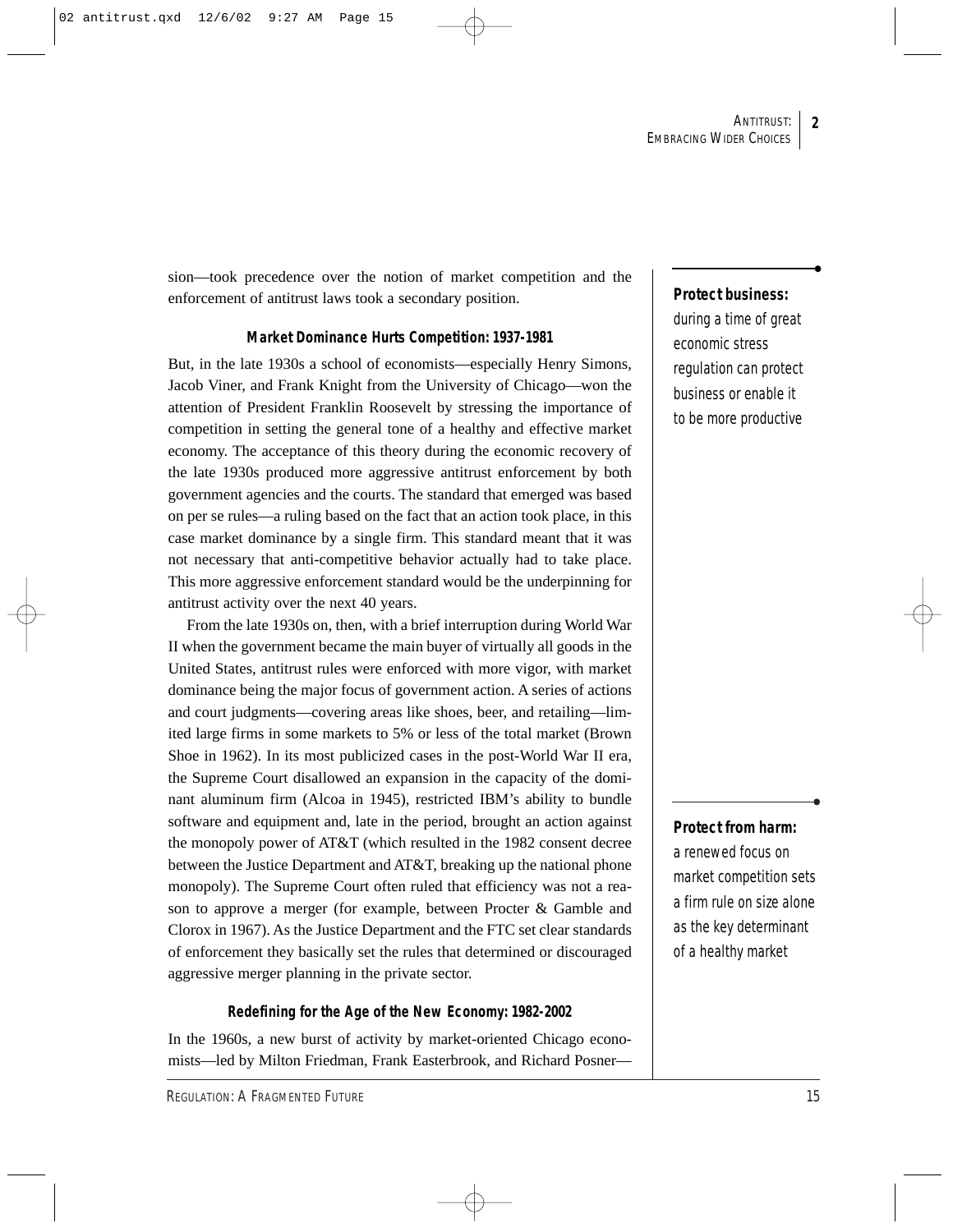sion—took precedence over the notion of market competition and the enforcement of antitrust laws took a secondary position.

#### **Market Dominance Hurts Competition: 1937-1981**

But, in the late 1930s a school of economists—especially Henry Simons, Jacob Viner, and Frank Knight from the University of Chicago—won the attention of President Franklin Roosevelt by stressing the importance of competition in setting the general tone of a healthy and effective market economy. The acceptance of this theory during the economic recovery of the late 1930s produced more aggressive antitrust enforcement by both government agencies and the courts. The standard that emerged was based on per se rules—a ruling based on the fact that an action took place, in this case market dominance by a single firm. This standard meant that it was not necessary that anti-competitive behavior actually had to take place. This more aggressive enforcement standard would be the underpinning for antitrust activity over the next 40 years.

From the late 1930s on, then, with a brief interruption during World War II when the government became the main buyer of virtually all goods in the United States, antitrust rules were enforced with more vigor, with market dominance being the major focus of government action. A series of actions and court judgments—covering areas like shoes, beer, and retailing—limited large firms in some markets to 5% or less of the total market (Brown Shoe in 1962). In its most publicized cases in the post-World War II era, the Supreme Court disallowed an expansion in the capacity of the dominant aluminum firm (Alcoa in 1945), restricted IBM's ability to bundle software and equipment and, late in the period, brought an action against the monopoly power of AT&T (which resulted in the 1982 consent decree between the Justice Department and AT&T, breaking up the national phone monopoly). The Supreme Court often ruled that efficiency was not a reason to approve a merger (for example, between Procter & Gamble and Clorox in 1967). As the Justice Department and the FTC set clear standards of enforcement they basically set the rules that determined or discouraged aggressive merger planning in the private sector.

#### **Redefining for the Age of the New Economy: 1982-2002**

In the 1960s, a new burst of activity by market-oriented Chicago economists—led by Milton Friedman, Frank Easterbrook, and Richard Posner—

#### **Protect business:**

during a time of great economic stress regulation can protect business or enable it to be more productive

#### **Protect from harm:**

a renewed focus on market competition sets a firm rule on size alone as the key determinant of a healthy market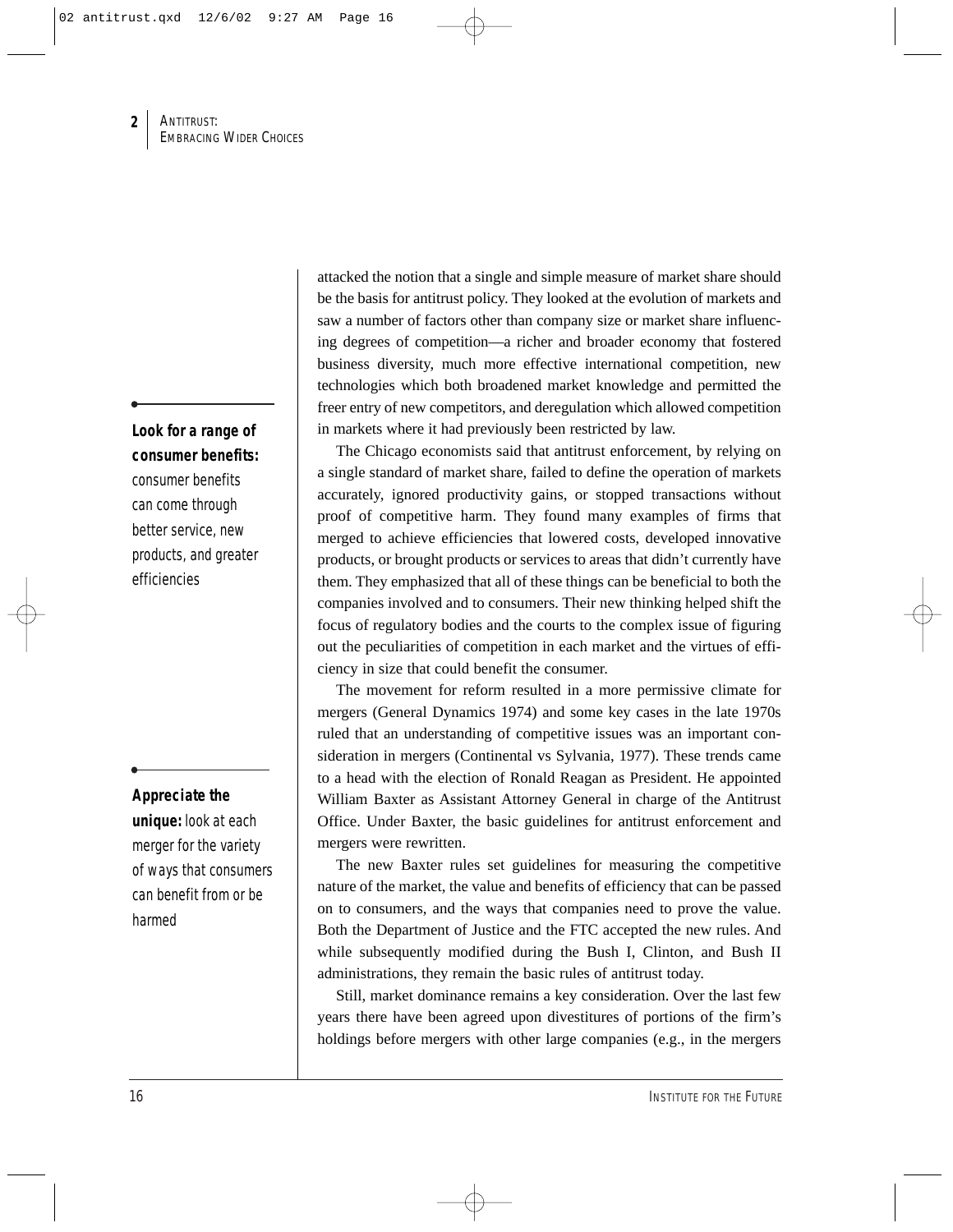**Look for a range of consumer benefits:**

consumer benefits can come through better service, new products, and greater efficiencies

## **Appreciate the**

**unique:** look at each merger for the variety of ways that consumers can benefit from or be harmed

attacked the notion that a single and simple measure of market share should be the basis for antitrust policy. They looked at the evolution of markets and saw a number of factors other than company size or market share influencing degrees of competition—a richer and broader economy that fostered business diversity, much more effective international competition, new technologies which both broadened market knowledge and permitted the freer entry of new competitors, and deregulation which allowed competition in markets where it had previously been restricted by law.

The Chicago economists said that antitrust enforcement, by relying on a single standard of market share, failed to define the operation of markets accurately, ignored productivity gains, or stopped transactions without proof of competitive harm. They found many examples of firms that merged to achieve efficiencies that lowered costs, developed innovative products, or brought products or services to areas that didn't currently have them. They emphasized that all of these things can be beneficial to both the companies involved and to consumers. Their new thinking helped shift the focus of regulatory bodies and the courts to the complex issue of figuring out the peculiarities of competition in each market and the virtues of efficiency in size that could benefit the consumer.

The movement for reform resulted in a more permissive climate for mergers (General Dynamics 1974) and some key cases in the late 1970s ruled that an understanding of competitive issues was an important consideration in mergers (Continental vs Sylvania, 1977). These trends came to a head with the election of Ronald Reagan as President. He appointed William Baxter as Assistant Attorney General in charge of the Antitrust Office. Under Baxter, the basic guidelines for antitrust enforcement and mergers were rewritten.

The new Baxter rules set guidelines for measuring the competitive nature of the market, the value and benefits of efficiency that can be passed on to consumers, and the ways that companies need to prove the value. Both the Department of Justice and the FTC accepted the new rules. And while subsequently modified during the Bush I, Clinton, and Bush II administrations, they remain the basic rules of antitrust today.

Still, market dominance remains a key consideration. Over the last few years there have been agreed upon divestitures of portions of the firm's holdings before mergers with other large companies (e.g., in the mergers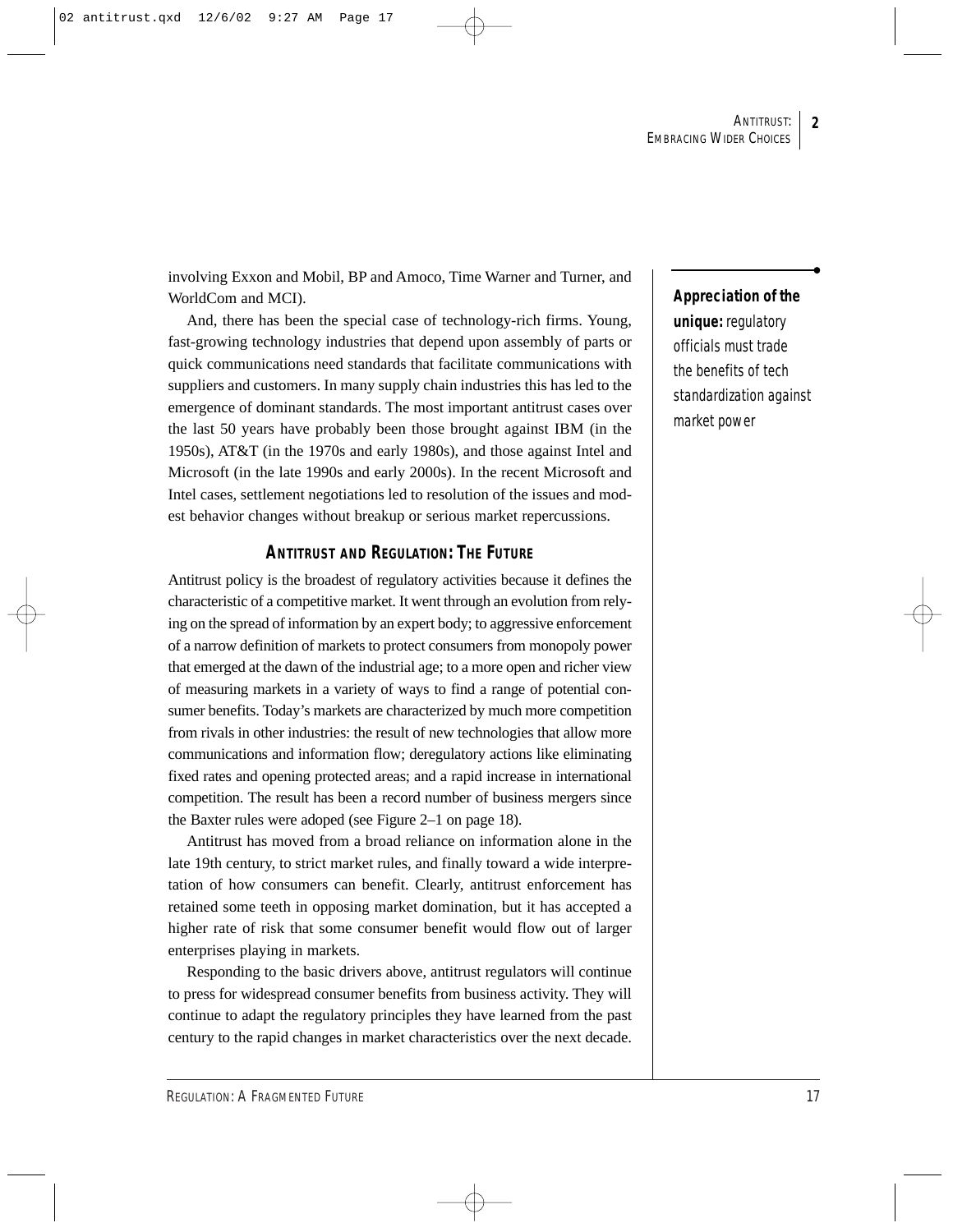involving Exxon and Mobil, BP and Amoco, Time Warner and Turner, and WorldCom and MCI).

And, there has been the special case of technology-rich firms. Young, fast-growing technology industries that depend upon assembly of parts or quick communications need standards that facilitate communications with suppliers and customers. In many supply chain industries this has led to the emergence of dominant standards. The most important antitrust cases over the last 50 years have probably been those brought against IBM (in the 1950s), AT&T (in the 1970s and early 1980s), and those against Intel and Microsoft (in the late 1990s and early 2000s). In the recent Microsoft and Intel cases, settlement negotiations led to resolution of the issues and modest behavior changes without breakup or serious market repercussions.

## **ANTITRUST AND REGULATION: THE FUTURE**

Antitrust policy is the broadest of regulatory activities because it defines the characteristic of a competitive market. It went through an evolution from relying on the spread of information by an expert body; to aggressive enforcement of a narrow definition of markets to protect consumers from monopoly power that emerged at the dawn of the industrial age; to a more open and richer view of measuring markets in a variety of ways to find a range of potential consumer benefits. Today's markets are characterized by much more competition from rivals in other industries: the result of new technologies that allow more communications and information flow; deregulatory actions like eliminating fixed rates and opening protected areas; and a rapid increase in international competition. The result has been a record number of business mergers since the Baxter rules were adoped (see Figure 2–1 on page 18).

Antitrust has moved from a broad reliance on information alone in the late 19th century, to strict market rules, and finally toward a wide interpretation of how consumers can benefit. Clearly, antitrust enforcement has retained some teeth in opposing market domination, but it has accepted a higher rate of risk that some consumer benefit would flow out of larger enterprises playing in markets.

Responding to the basic drivers above, antitrust regulators will continue to press for widespread consumer benefits from business activity. They will continue to adapt the regulatory principles they have learned from the past century to the rapid changes in market characteristics over the next decade.

## **Appreciation of the**

**unique:** regulatory officials must trade the benefits of tech standardization against market power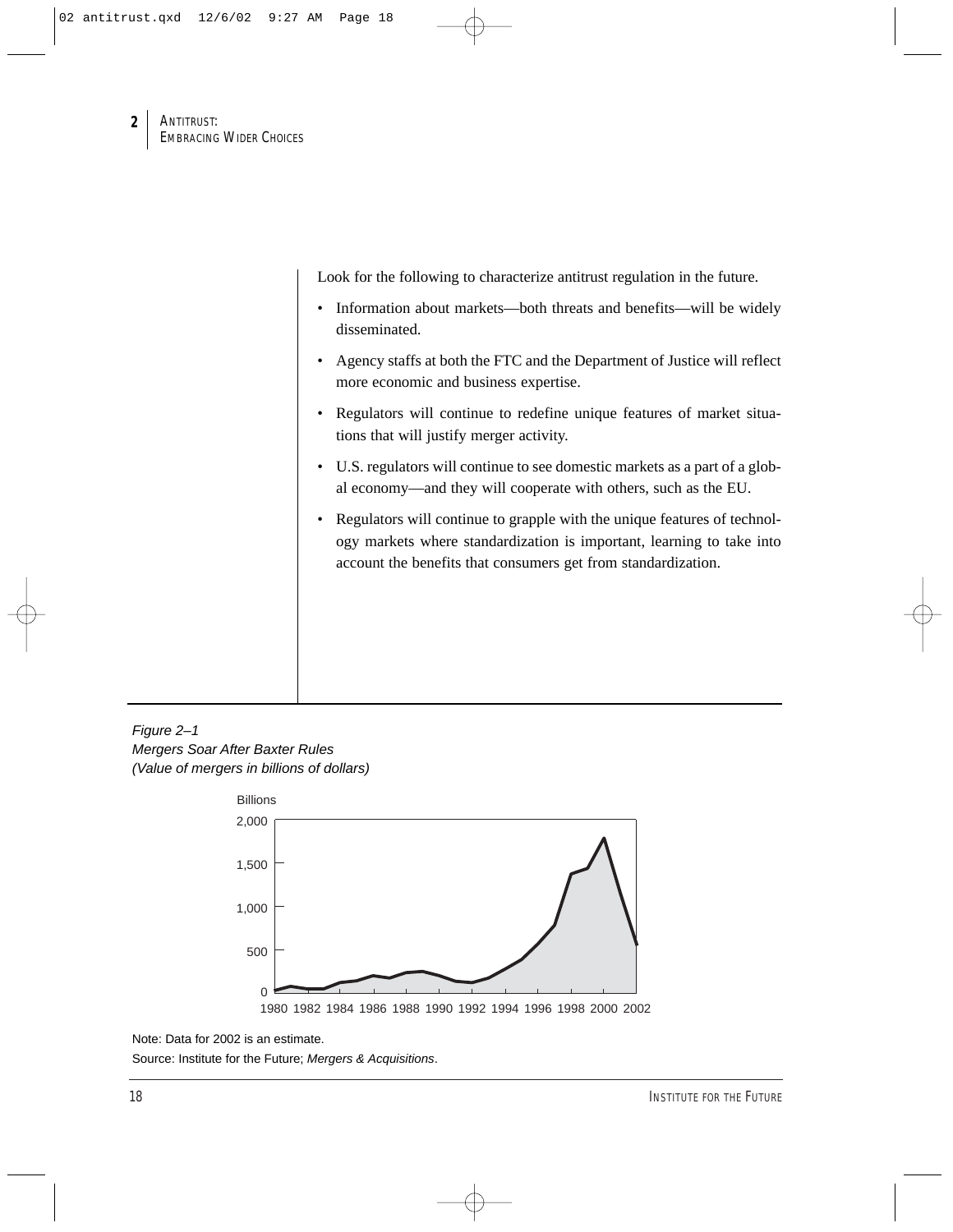Look for the following to characterize antitrust regulation in the future.

- Information about markets—both threats and benefits—will be widely disseminated.
- Agency staffs at both the FTC and the Department of Justice will reflect more economic and business expertise.
- Regulators will continue to redefine unique features of market situations that will justify merger activity.
- U.S. regulators will continue to see domestic markets as a part of a global economy—and they will cooperate with others, such as the EU.
- Regulators will continue to grapple with the unique features of technology markets where standardization is important, learning to take into account the benefits that consumers get from standardization.

Figure 2–1 Mergers Soar After Baxter Rules (Value of mergers in billions of dollars)



Note: Data for 2002 is an estimate.

Source: Institute for the Future; Mergers & Acquisitions.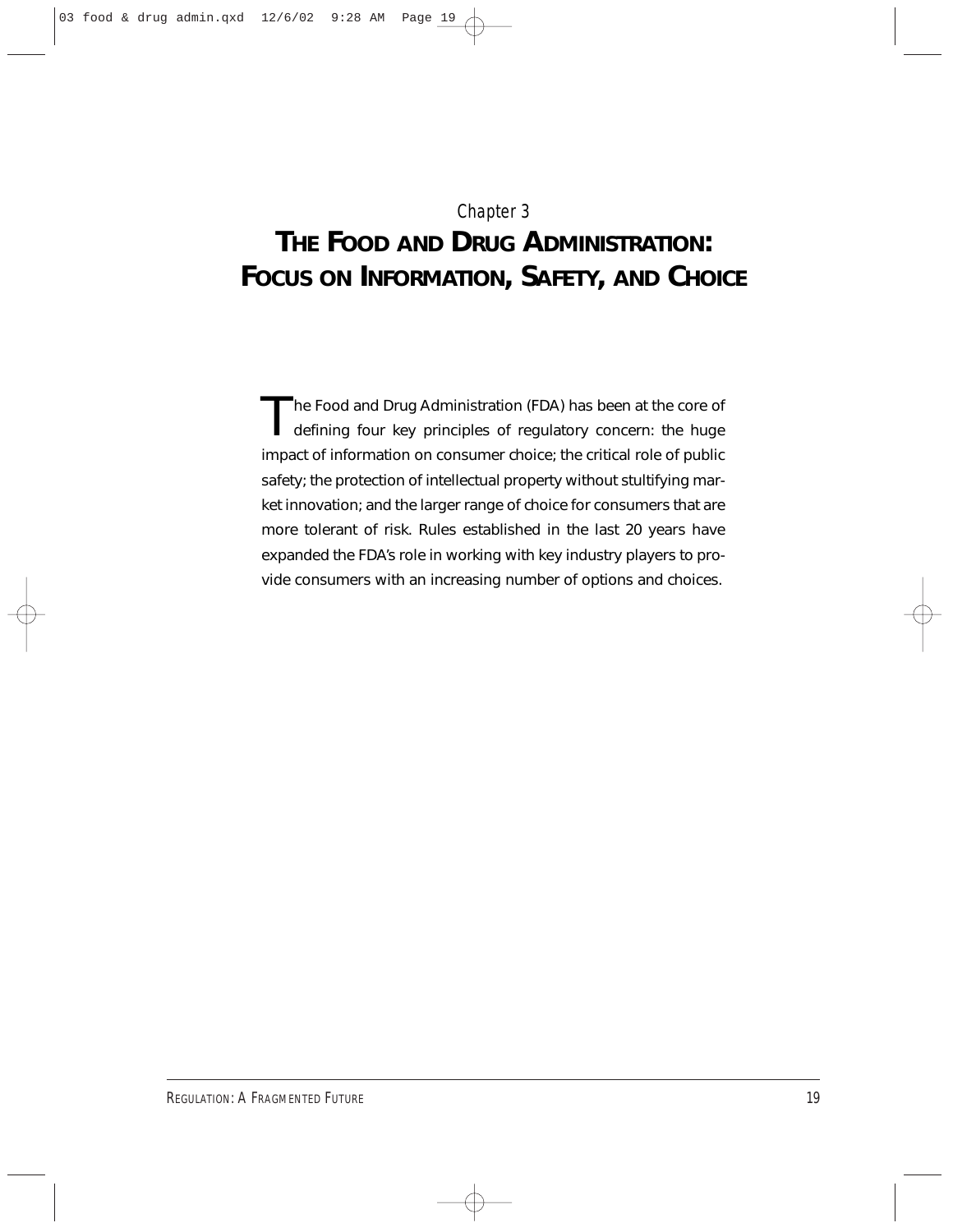## Chapter 3

## **THE FOOD AND DRUG ADMINISTRATION: FOCUS ON INFORMATION, SAFETY, AND CHOICE**

The Food and Drug Administration (FDA) has been at the core of defining four key principles of regulatory concern: the huge impact of information on consumer choice; the critical role of public safety; the protection of intellectual property without stultifying market innovation; and the larger range of choice for consumers that are more tolerant of risk. Rules established in the last 20 years have expanded the FDA's role in working with key industry players to provide consumers with an increasing number of options and choices.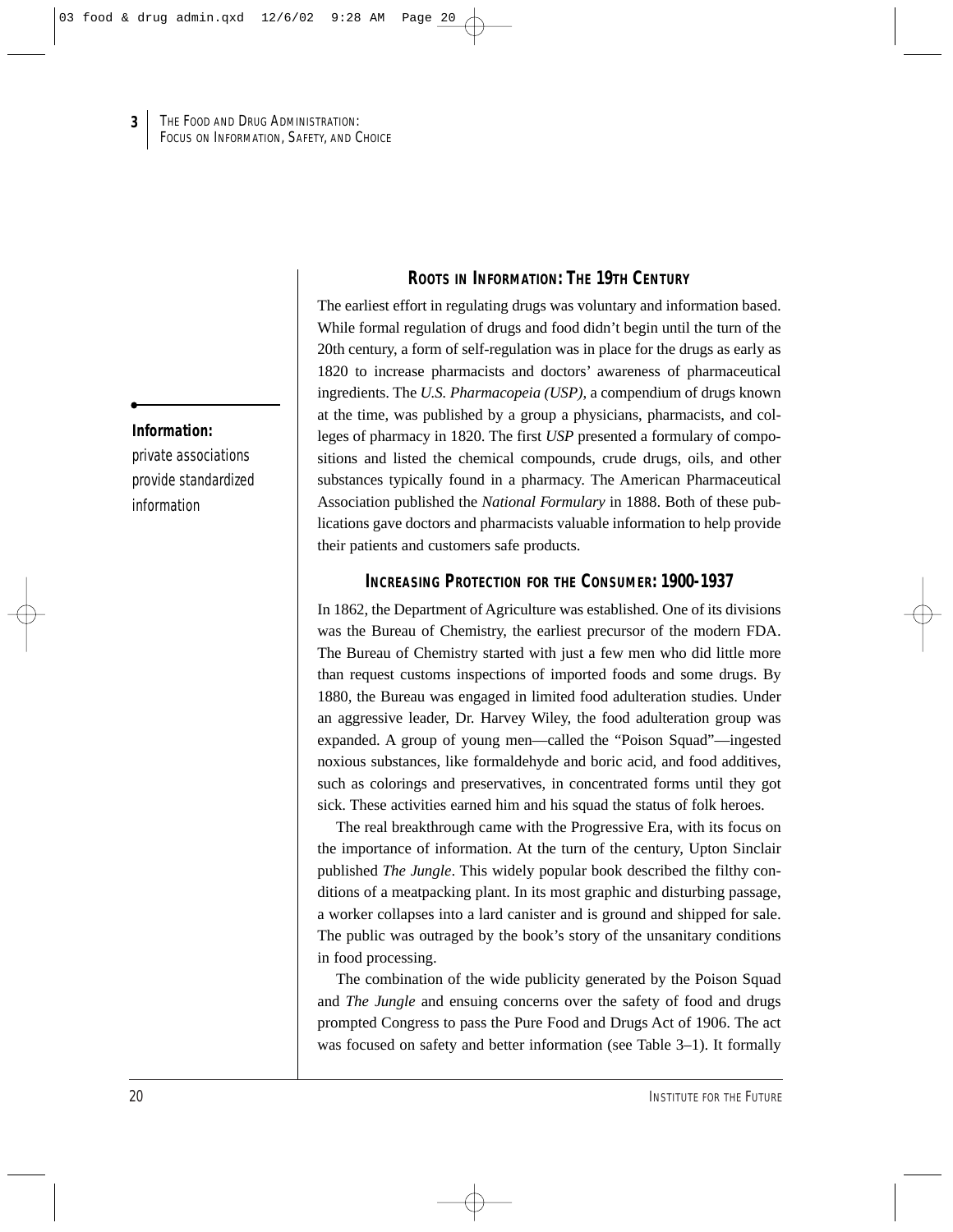#### **Information:**

**3**

private associations provide standardized information

## **ROOTS IN INFORMATION: THE 19TH CENTURY**

The earliest effort in regulating drugs was voluntary and information based. While formal regulation of drugs and food didn't begin until the turn of the 20th century, a form of self-regulation was in place for the drugs as early as 1820 to increase pharmacists and doctors' awareness of pharmaceutical ingredients. The *U.S. Pharmacopeia (USP)*, a compendium of drugs known at the time, was published by a group a physicians, pharmacists, and colleges of pharmacy in 1820. The first *USP* presented a formulary of compositions and listed the chemical compounds, crude drugs, oils, and other substances typically found in a pharmacy. The American Pharmaceutical Association published the *National Formulary* in 1888. Both of these publications gave doctors and pharmacists valuable information to help provide their patients and customers safe products.

### **INCREASING PROTECTION FOR THE CONSUMER: 1900-1937**

In 1862, the Department of Agriculture was established. One of its divisions was the Bureau of Chemistry, the earliest precursor of the modern FDA. The Bureau of Chemistry started with just a few men who did little more than request customs inspections of imported foods and some drugs. By 1880, the Bureau was engaged in limited food adulteration studies. Under an aggressive leader, Dr. Harvey Wiley, the food adulteration group was expanded. A group of young men—called the "Poison Squad"—ingested noxious substances, like formaldehyde and boric acid, and food additives, such as colorings and preservatives, in concentrated forms until they got sick. These activities earned him and his squad the status of folk heroes.

The real breakthrough came with the Progressive Era, with its focus on the importance of information. At the turn of the century, Upton Sinclair published *The Jungle*. This widely popular book described the filthy conditions of a meatpacking plant. In its most graphic and disturbing passage, a worker collapses into a lard canister and is ground and shipped for sale. The public was outraged by the book's story of the unsanitary conditions in food processing.

The combination of the wide publicity generated by the Poison Squad and *The Jungle* and ensuing concerns over the safety of food and drugs prompted Congress to pass the Pure Food and Drugs Act of 1906. The act was focused on safety and better information (see Table 3–1). It formally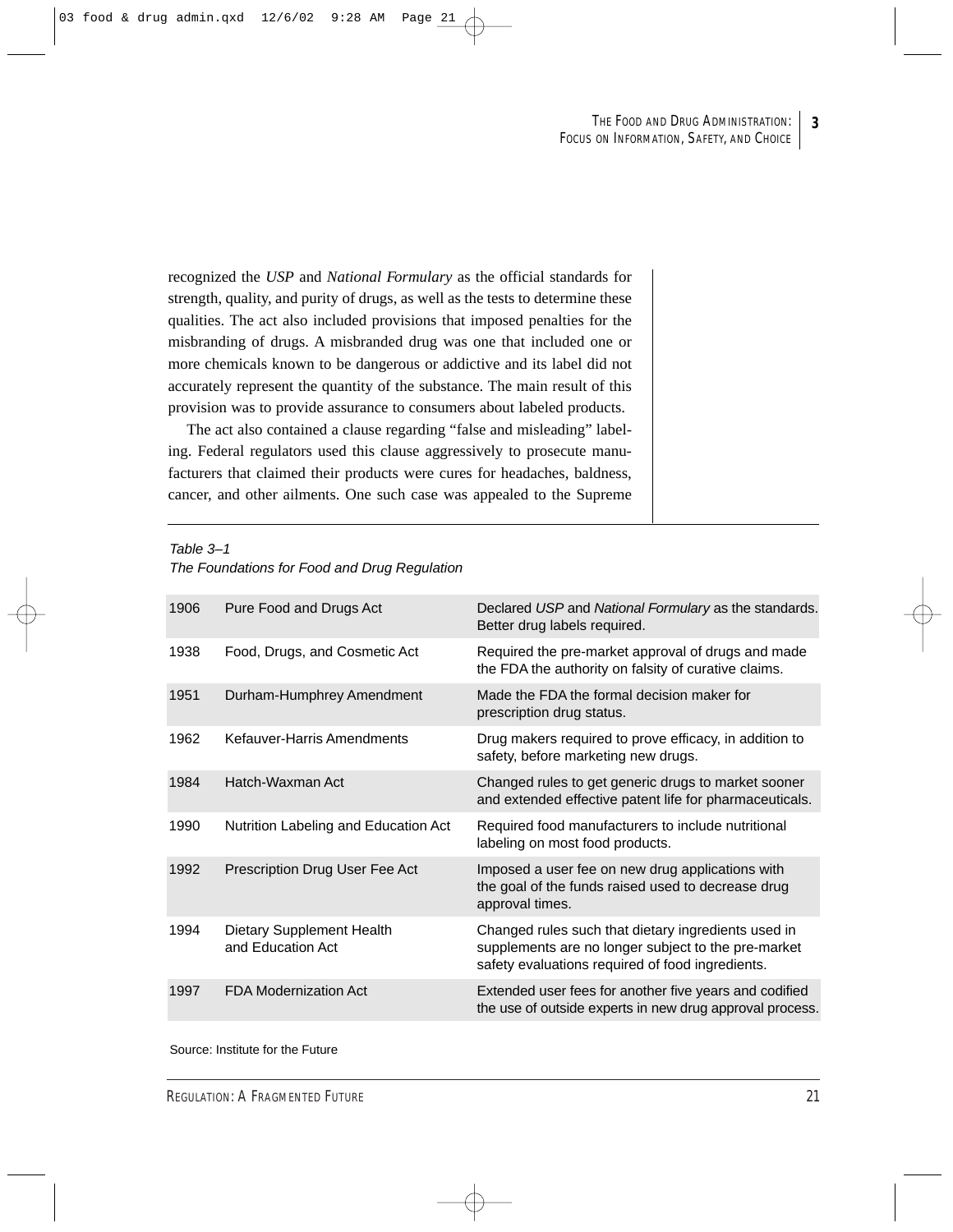**3**

recognized the *USP* and *National Formulary* as the official standards for strength, quality, and purity of drugs, as well as the tests to determine these qualities. The act also included provisions that imposed penalties for the misbranding of drugs. A misbranded drug was one that included one or more chemicals known to be dangerous or addictive and its label did not accurately represent the quantity of the substance. The main result of this provision was to provide assurance to consumers about labeled products.

The act also contained a clause regarding "false and misleading" labeling. Federal regulators used this clause aggressively to prosecute manufacturers that claimed their products were cures for headaches, baldness, cancer, and other ailments. One such case was appealed to the Supreme

Table 3–1

| The Foundations for Food and Drug Regulation |  |
|----------------------------------------------|--|
|----------------------------------------------|--|

| Pure Food and Drugs Act                        | Declared USP and National Formulary as the standards.<br>Better drug labels required.                                                                          |
|------------------------------------------------|----------------------------------------------------------------------------------------------------------------------------------------------------------------|
| Food, Drugs, and Cosmetic Act                  | Required the pre-market approval of drugs and made<br>the FDA the authority on falsity of curative claims.                                                     |
| Durham-Humphrey Amendment                      | Made the FDA the formal decision maker for<br>prescription drug status.                                                                                        |
| Kefauver-Harris Amendments                     | Drug makers required to prove efficacy, in addition to<br>safety, before marketing new drugs.                                                                  |
| Hatch-Waxman Act                               | Changed rules to get generic drugs to market sooner<br>and extended effective patent life for pharmaceuticals.                                                 |
| Nutrition Labeling and Education Act           | Required food manufacturers to include nutritional<br>labeling on most food products.                                                                          |
| Prescription Drug User Fee Act                 | Imposed a user fee on new drug applications with<br>the goal of the funds raised used to decrease drug<br>approval times.                                      |
| Dietary Supplement Health<br>and Education Act | Changed rules such that dietary ingredients used in<br>supplements are no longer subject to the pre-market<br>safety evaluations required of food ingredients. |
| <b>FDA Modernization Act</b>                   | Extended user fees for another five years and codified<br>the use of outside experts in new drug approval process.                                             |
|                                                |                                                                                                                                                                |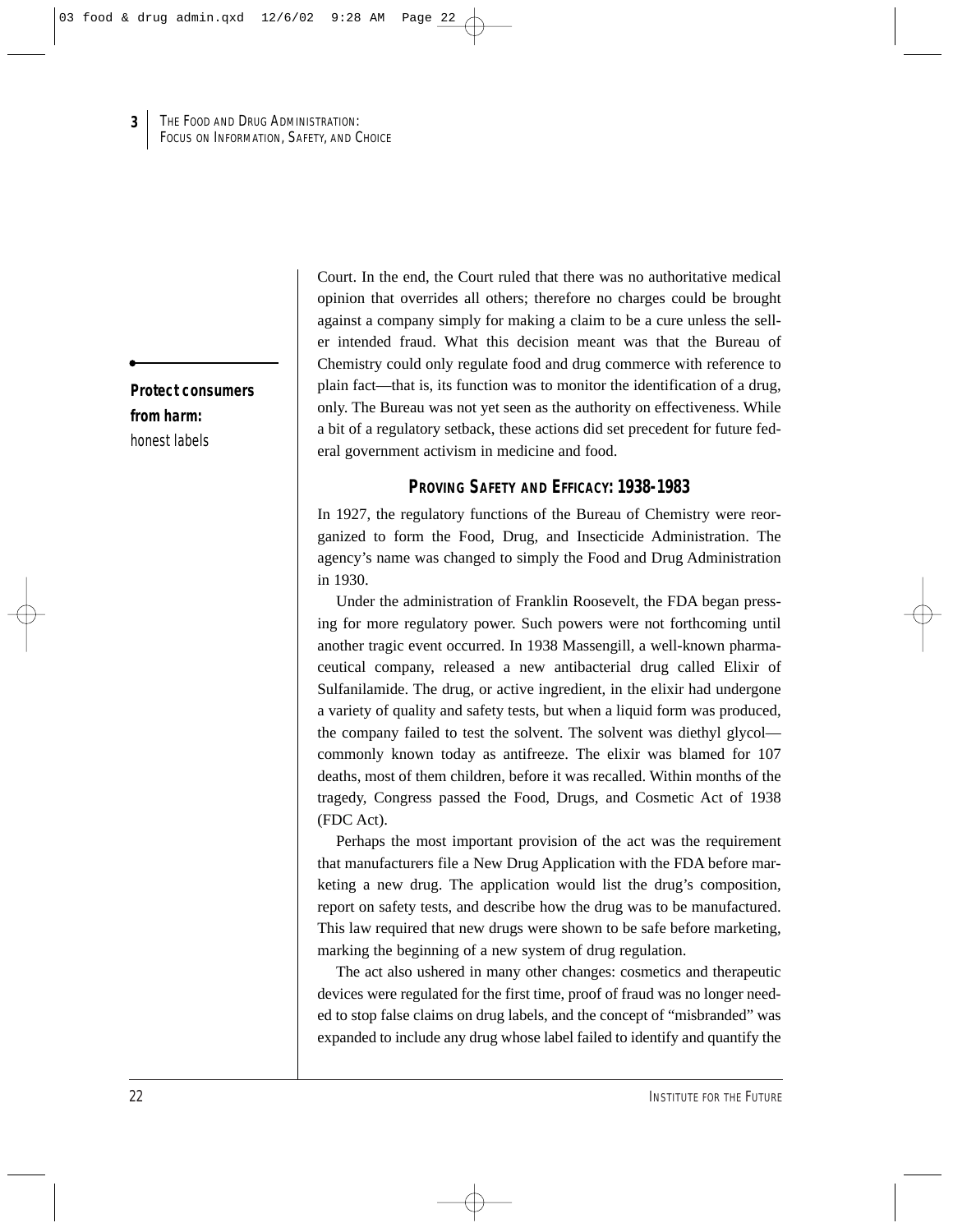**Protect consumers from harm:**  honest labels

**3**

Court. In the end, the Court ruled that there was no authoritative medical opinion that overrides all others; therefore no charges could be brought against a company simply for making a claim to be a cure unless the seller intended fraud. What this decision meant was that the Bureau of Chemistry could only regulate food and drug commerce with reference to plain fact—that is, its function was to monitor the identification of a drug, only. The Bureau was not yet seen as the authority on effectiveness. While a bit of a regulatory setback, these actions did set precedent for future federal government activism in medicine and food.

### **PROVING SAFETY AND EFFICACY: 1938-1983**

In 1927, the regulatory functions of the Bureau of Chemistry were reorganized to form the Food, Drug, and Insecticide Administration. The agency's name was changed to simply the Food and Drug Administration in 1930.

Under the administration of Franklin Roosevelt, the FDA began pressing for more regulatory power. Such powers were not forthcoming until another tragic event occurred. In 1938 Massengill, a well-known pharmaceutical company, released a new antibacterial drug called Elixir of Sulfanilamide. The drug, or active ingredient, in the elixir had undergone a variety of quality and safety tests, but when a liquid form was produced, the company failed to test the solvent. The solvent was diethyl glycol commonly known today as antifreeze. The elixir was blamed for 107 deaths, most of them children, before it was recalled. Within months of the tragedy, Congress passed the Food, Drugs, and Cosmetic Act of 1938 (FDC Act).

Perhaps the most important provision of the act was the requirement that manufacturers file a New Drug Application with the FDA before marketing a new drug. The application would list the drug's composition, report on safety tests, and describe how the drug was to be manufactured. This law required that new drugs were shown to be safe before marketing, marking the beginning of a new system of drug regulation.

The act also ushered in many other changes: cosmetics and therapeutic devices were regulated for the first time, proof of fraud was no longer needed to stop false claims on drug labels, and the concept of "misbranded" was expanded to include any drug whose label failed to identify and quantify the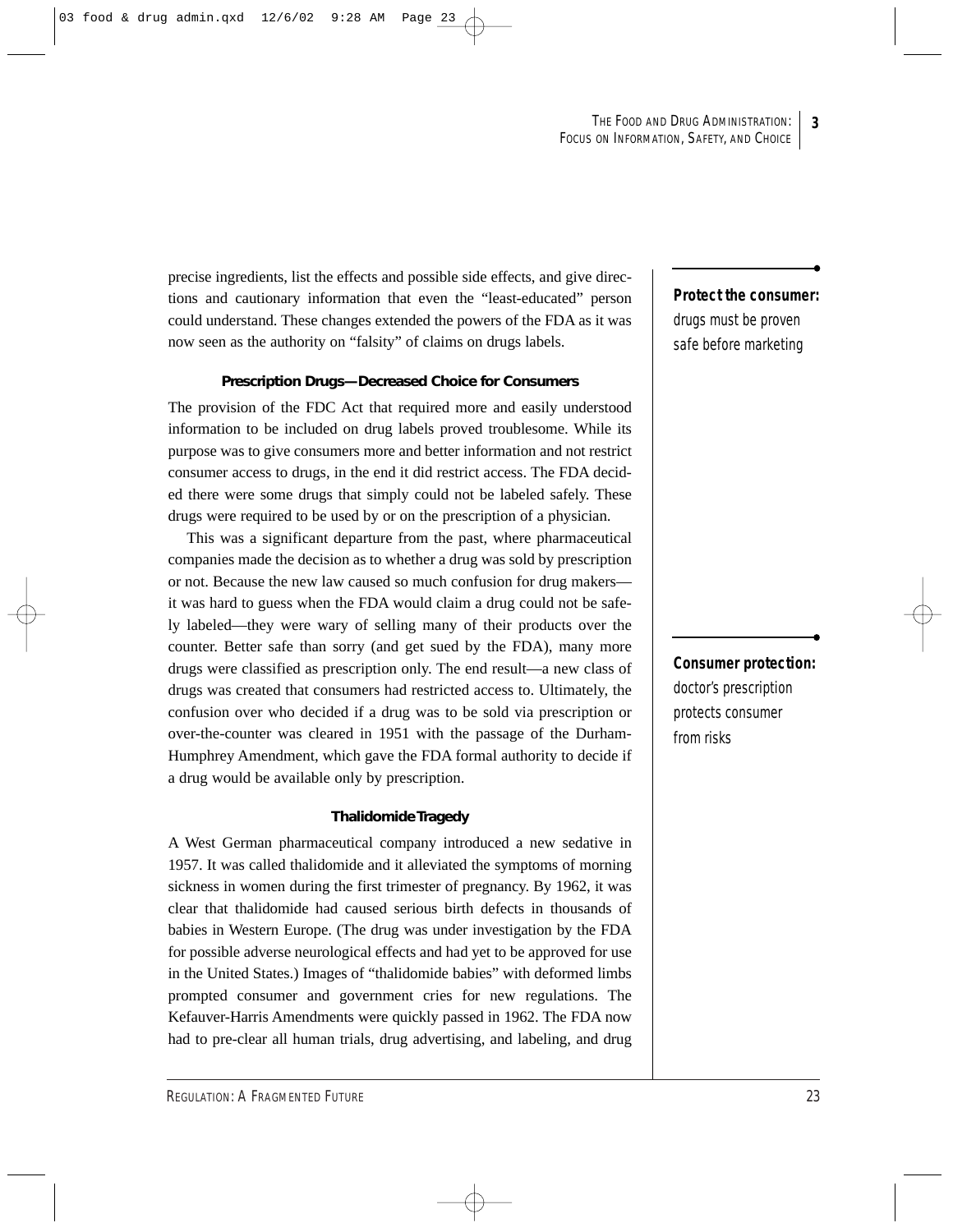precise ingredients, list the effects and possible side effects, and give directions and cautionary information that even the "least-educated" person could understand. These changes extended the powers of the FDA as it was now seen as the authority on "falsity" of claims on drugs labels.

#### **Prescription Drugs—Decreased Choice for Consumers**

The provision of the FDC Act that required more and easily understood information to be included on drug labels proved troublesome. While its purpose was to give consumers more and better information and not restrict consumer access to drugs, in the end it did restrict access. The FDA decided there were some drugs that simply could not be labeled safely. These drugs were required to be used by or on the prescription of a physician.

This was a significant departure from the past, where pharmaceutical companies made the decision as to whether a drug was sold by prescription or not. Because the new law caused so much confusion for drug makers it was hard to guess when the FDA would claim a drug could not be safely labeled—they were wary of selling many of their products over the counter. Better safe than sorry (and get sued by the FDA), many more drugs were classified as prescription only. The end result—a new class of drugs was created that consumers had restricted access to. Ultimately, the confusion over who decided if a drug was to be sold via prescription or over-the-counter was cleared in 1951 with the passage of the Durham-Humphrey Amendment, which gave the FDA formal authority to decide if a drug would be available only by prescription.

#### **Thalidomide Tragedy**

A West German pharmaceutical company introduced a new sedative in 1957. It was called thalidomide and it alleviated the symptoms of morning sickness in women during the first trimester of pregnancy. By 1962, it was clear that thalidomide had caused serious birth defects in thousands of babies in Western Europe. (The drug was under investigation by the FDA for possible adverse neurological effects and had yet to be approved for use in the United States.) Images of "thalidomide babies" with deformed limbs prompted consumer and government cries for new regulations. The Kefauver-Harris Amendments were quickly passed in 1962. The FDA now had to pre-clear all human trials, drug advertising, and labeling, and drug

## **Protect the consumer:** drugs must be proven

safe before marketing

**Consumer protection:** doctor's prescription protects consumer from risks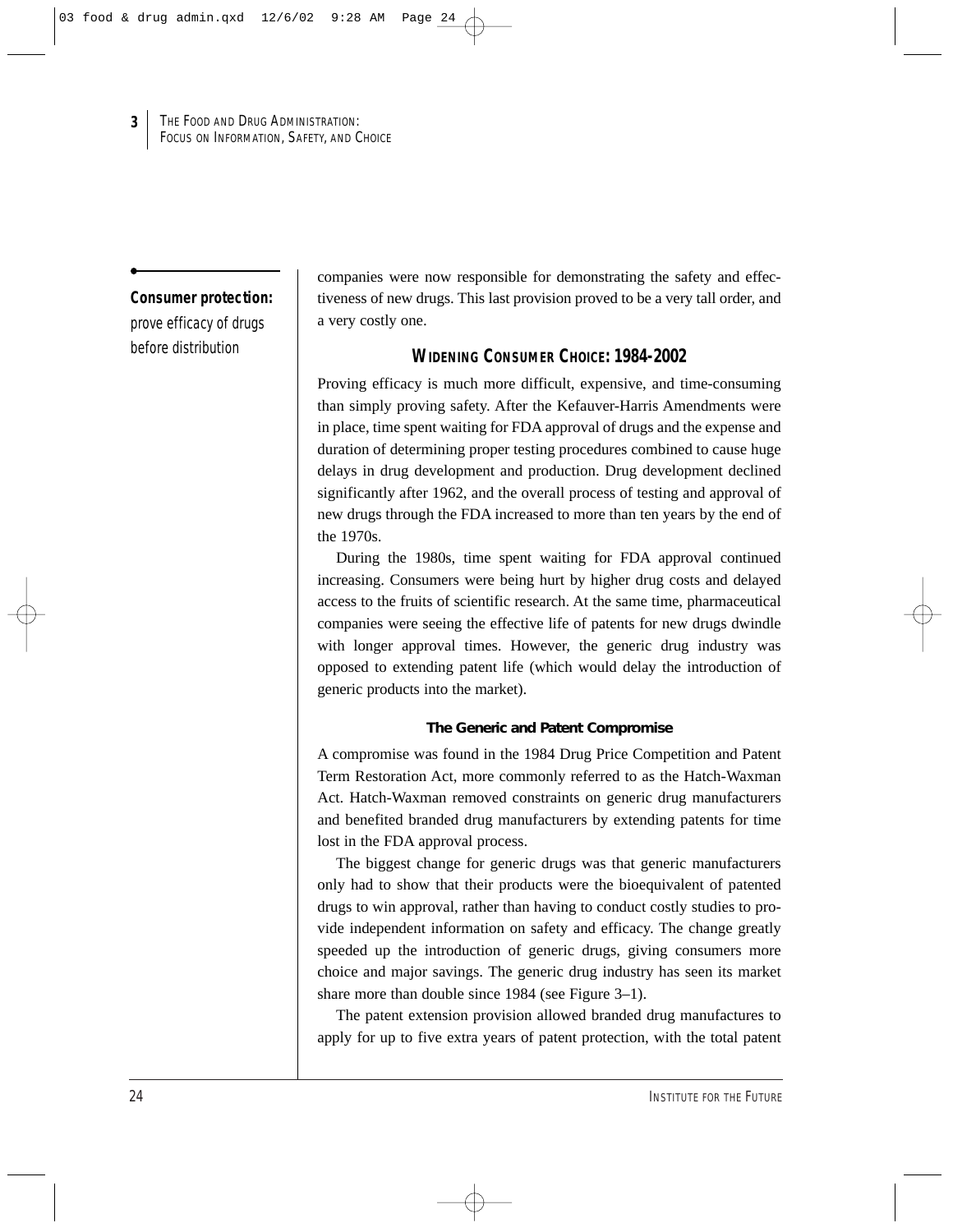#### **Consumer protection:**

**3**

prove efficacy of drugs before distribution

companies were now responsible for demonstrating the safety and effectiveness of new drugs. This last provision proved to be a very tall order, and a very costly one.

## **WIDENING CONSUMER CHOICE: 1984-2002**

Proving efficacy is much more difficult, expensive, and time-consuming than simply proving safety. After the Kefauver-Harris Amendments were in place, time spent waiting for FDA approval of drugs and the expense and duration of determining proper testing procedures combined to cause huge delays in drug development and production. Drug development declined significantly after 1962, and the overall process of testing and approval of new drugs through the FDA increased to more than ten years by the end of the 1970s.

During the 1980s, time spent waiting for FDA approval continued increasing. Consumers were being hurt by higher drug costs and delayed access to the fruits of scientific research. At the same time, pharmaceutical companies were seeing the effective life of patents for new drugs dwindle with longer approval times. However, the generic drug industry was opposed to extending patent life (which would delay the introduction of generic products into the market).

### **The Generic and Patent Compromise**

A compromise was found in the 1984 Drug Price Competition and Patent Term Restoration Act, more commonly referred to as the Hatch-Waxman Act. Hatch-Waxman removed constraints on generic drug manufacturers and benefited branded drug manufacturers by extending patents for time lost in the FDA approval process.

The biggest change for generic drugs was that generic manufacturers only had to show that their products were the bioequivalent of patented drugs to win approval, rather than having to conduct costly studies to provide independent information on safety and efficacy. The change greatly speeded up the introduction of generic drugs, giving consumers more choice and major savings. The generic drug industry has seen its market share more than double since 1984 (see Figure 3–1).

The patent extension provision allowed branded drug manufactures to apply for up to five extra years of patent protection, with the total patent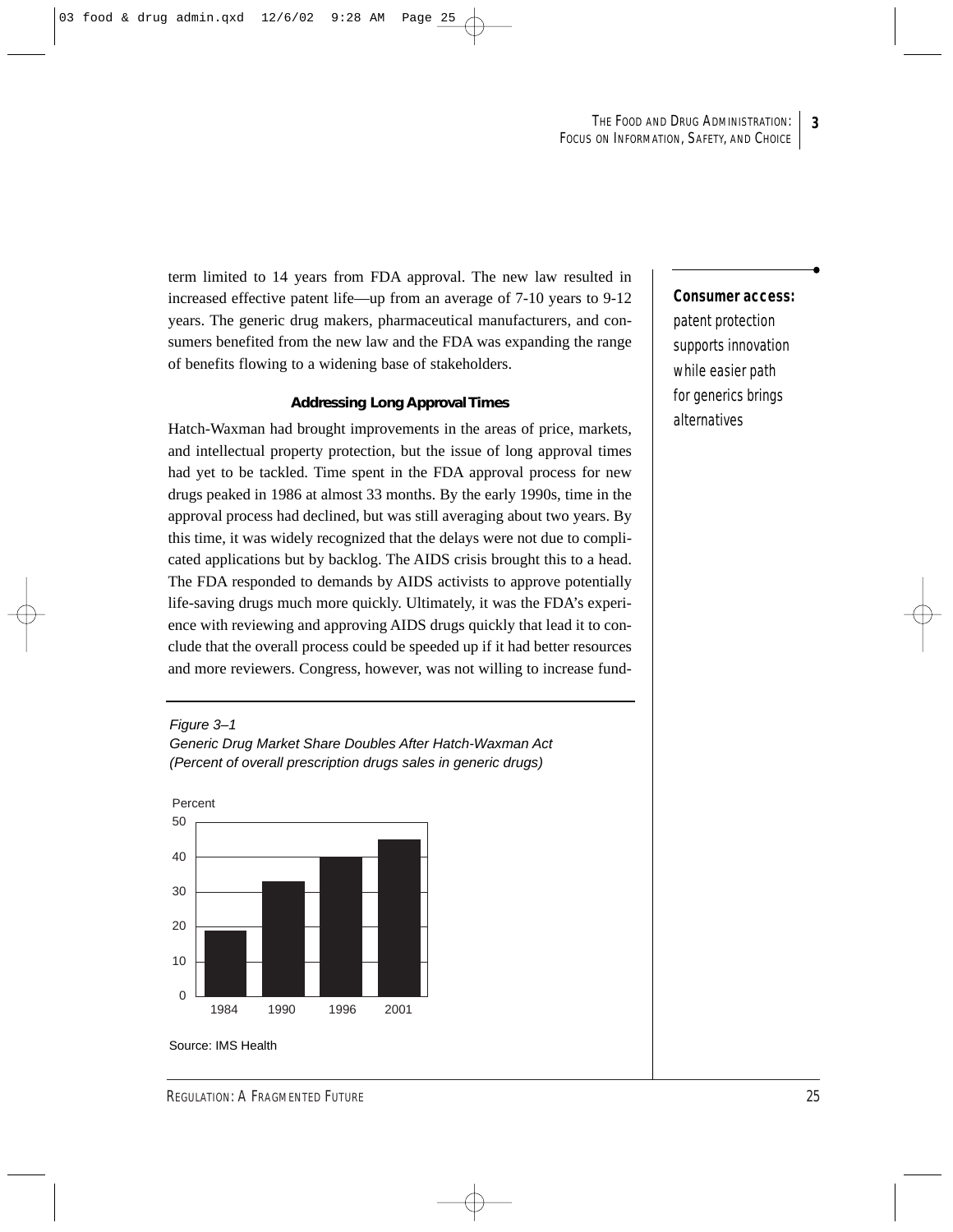term limited to 14 years from FDA approval. The new law resulted in increased effective patent life—up from an average of 7-10 years to 9-12 years. The generic drug makers, pharmaceutical manufacturers, and consumers benefited from the new law and the FDA was expanding the range of benefits flowing to a widening base of stakeholders.

#### **Addressing Long Approval Times**

Hatch-Waxman had brought improvements in the areas of price, markets, and intellectual property protection, but the issue of long approval times had yet to be tackled. Time spent in the FDA approval process for new drugs peaked in 1986 at almost 33 months. By the early 1990s, time in the approval process had declined, but was still averaging about two years. By this time, it was widely recognized that the delays were not due to complicated applications but by backlog. The AIDS crisis brought this to a head. The FDA responded to demands by AIDS activists to approve potentially life-saving drugs much more quickly. Ultimately, it was the FDA's experience with reviewing and approving AIDS drugs quickly that lead it to conclude that the overall process could be speeded up if it had better resources and more reviewers. Congress, however, was not willing to increase fund-

Figure 3–1 Generic Drug Market Share Doubles After Hatch-Waxman Act (Percent of overall prescription drugs sales in generic drugs)



Source: IMS Health

## **Consumer access:**

patent protection supports innovation while easier path for generics brings alternatives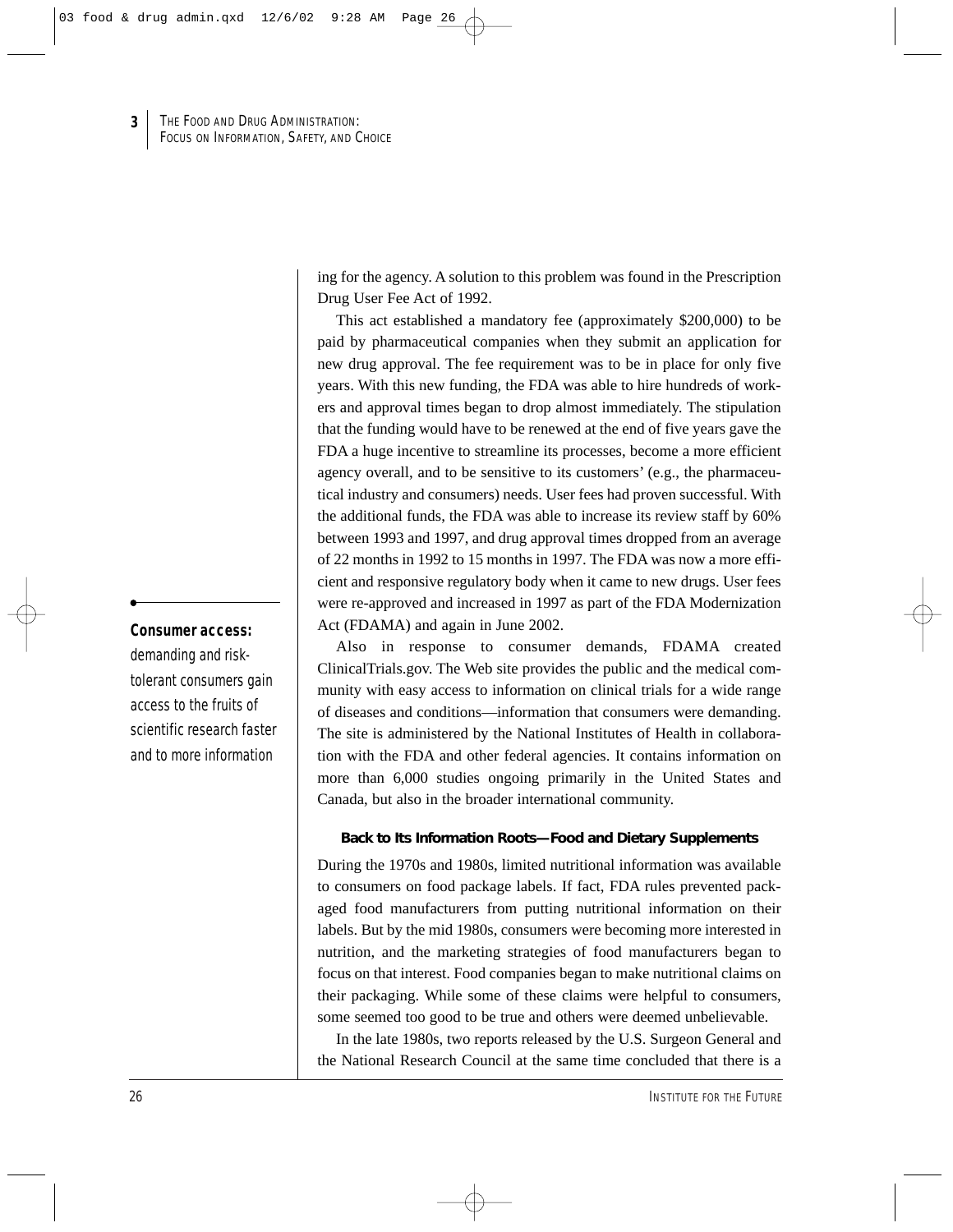ing for the agency. A solution to this problem was found in the Prescription Drug User Fee Act of 1992.

This act established a mandatory fee (approximately \$200,000) to be paid by pharmaceutical companies when they submit an application for new drug approval. The fee requirement was to be in place for only five years. With this new funding, the FDA was able to hire hundreds of workers and approval times began to drop almost immediately. The stipulation that the funding would have to be renewed at the end of five years gave the FDA a huge incentive to streamline its processes, become a more efficient agency overall, and to be sensitive to its customers' (e.g., the pharmaceutical industry and consumers) needs. User fees had proven successful. With the additional funds, the FDA was able to increase its review staff by 60% between 1993 and 1997, and drug approval times dropped from an average of 22 months in 1992 to 15 months in 1997. The FDA was now a more efficient and responsive regulatory body when it came to new drugs. User fees were re-approved and increased in 1997 as part of the FDA Modernization Act (FDAMA) and again in June 2002.

Also in response to consumer demands, FDAMA created ClinicalTrials.gov. The Web site provides the public and the medical community with easy access to information on clinical trials for a wide range of diseases and conditions—information that consumers were demanding. The site is administered by the National Institutes of Health in collaboration with the FDA and other federal agencies. It contains information on more than 6,000 studies ongoing primarily in the United States and Canada, but also in the broader international community.

#### **Back to Its Information Roots—Food and Dietary Supplements**

During the 1970s and 1980s, limited nutritional information was available to consumers on food package labels. If fact, FDA rules prevented packaged food manufacturers from putting nutritional information on their labels. But by the mid 1980s, consumers were becoming more interested in nutrition, and the marketing strategies of food manufacturers began to focus on that interest. Food companies began to make nutritional claims on their packaging. While some of these claims were helpful to consumers, some seemed too good to be true and others were deemed unbelievable.

In the late 1980s, two reports released by the U.S. Surgeon General and the National Research Council at the same time concluded that there is a

## **Consumer access:**

demanding and risktolerant consumers gain access to the fruits of scientific research faster and to more information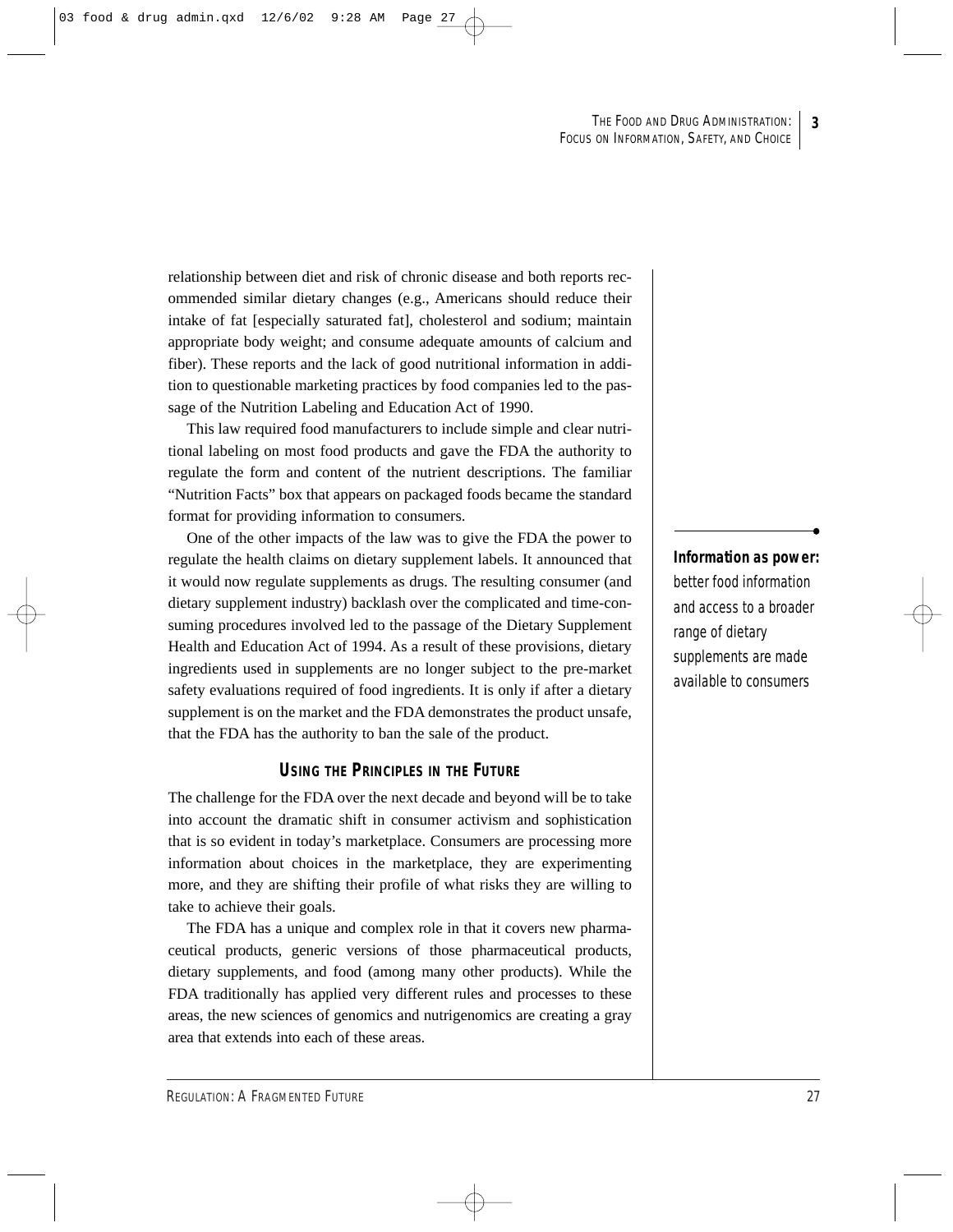relationship between diet and risk of chronic disease and both reports recommended similar dietary changes (e.g., Americans should reduce their intake of fat [especially saturated fat], cholesterol and sodium; maintain appropriate body weight; and consume adequate amounts of calcium and fiber). These reports and the lack of good nutritional information in addition to questionable marketing practices by food companies led to the passage of the Nutrition Labeling and Education Act of 1990.

This law required food manufacturers to include simple and clear nutritional labeling on most food products and gave the FDA the authority to regulate the form and content of the nutrient descriptions. The familiar "Nutrition Facts" box that appears on packaged foods became the standard format for providing information to consumers.

One of the other impacts of the law was to give the FDA the power to regulate the health claims on dietary supplement labels. It announced that it would now regulate supplements as drugs. The resulting consumer (and dietary supplement industry) backlash over the complicated and time-consuming procedures involved led to the passage of the Dietary Supplement Health and Education Act of 1994. As a result of these provisions, dietary ingredients used in supplements are no longer subject to the pre-market safety evaluations required of food ingredients. It is only if after a dietary supplement is on the market and the FDA demonstrates the product unsafe, that the FDA has the authority to ban the sale of the product.

## **USING THE PRINCIPLES IN THE FUTURE**

The challenge for the FDA over the next decade and beyond will be to take into account the dramatic shift in consumer activism and sophistication that is so evident in today's marketplace. Consumers are processing more information about choices in the marketplace, they are experimenting more, and they are shifting their profile of what risks they are willing to take to achieve their goals.

The FDA has a unique and complex role in that it covers new pharmaceutical products, generic versions of those pharmaceutical products, dietary supplements, and food (among many other products). While the FDA traditionally has applied very different rules and processes to these areas, the new sciences of genomics and nutrigenomics are creating a gray area that extends into each of these areas.

**Information as power:**  better food information and access to a broader range of dietary supplements are made available to consumers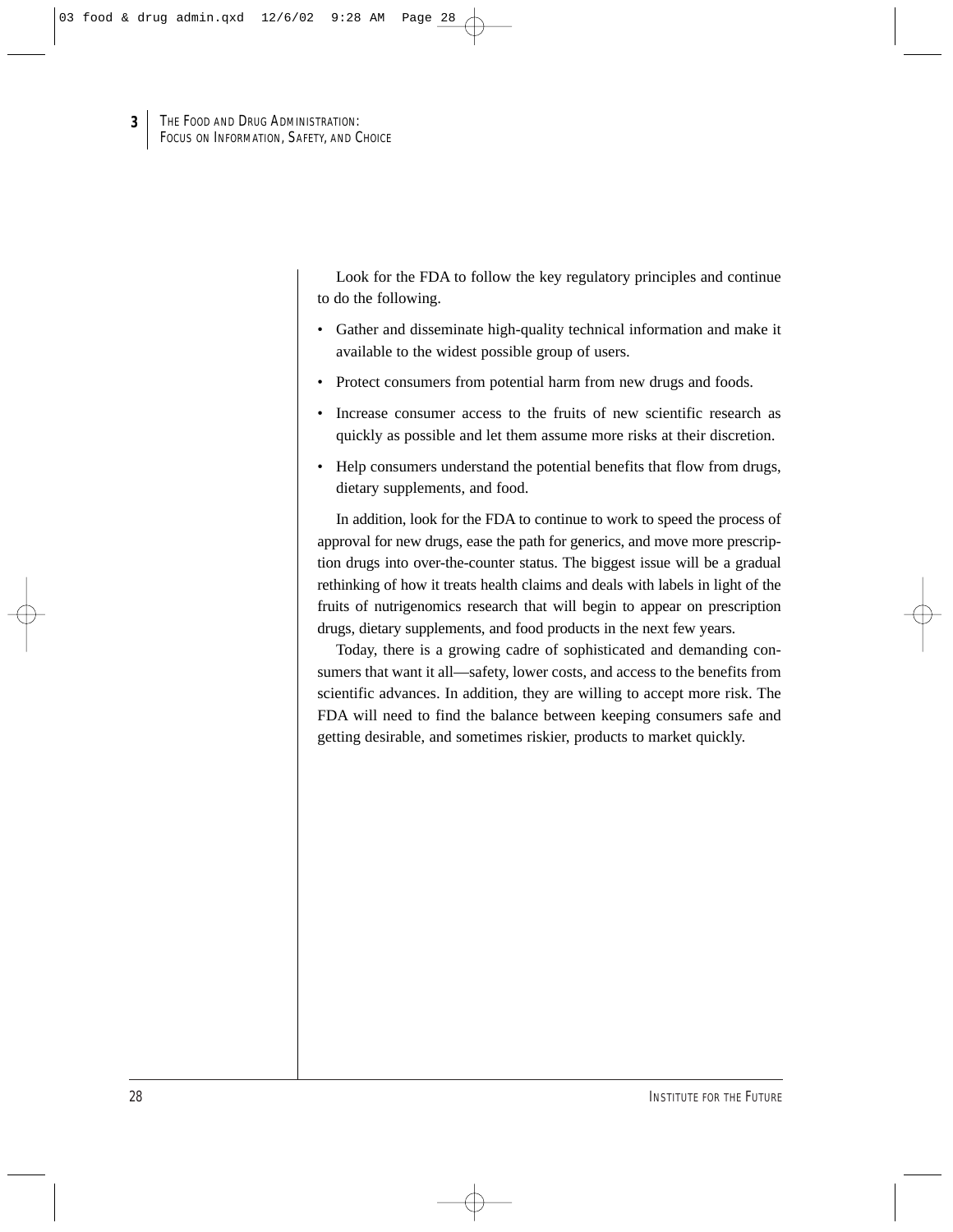Look for the FDA to follow the key regulatory principles and continue to do the following.

- Gather and disseminate high-quality technical information and make it available to the widest possible group of users.
- Protect consumers from potential harm from new drugs and foods.
- Increase consumer access to the fruits of new scientific research as quickly as possible and let them assume more risks at their discretion.
- Help consumers understand the potential benefits that flow from drugs, dietary supplements, and food.

In addition, look for the FDA to continue to work to speed the process of approval for new drugs, ease the path for generics, and move more prescription drugs into over-the-counter status. The biggest issue will be a gradual rethinking of how it treats health claims and deals with labels in light of the fruits of nutrigenomics research that will begin to appear on prescription drugs, dietary supplements, and food products in the next few years.

Today, there is a growing cadre of sophisticated and demanding consumers that want it all—safety, lower costs, and access to the benefits from scientific advances. In addition, they are willing to accept more risk. The FDA will need to find the balance between keeping consumers safe and getting desirable, and sometimes riskier, products to market quickly.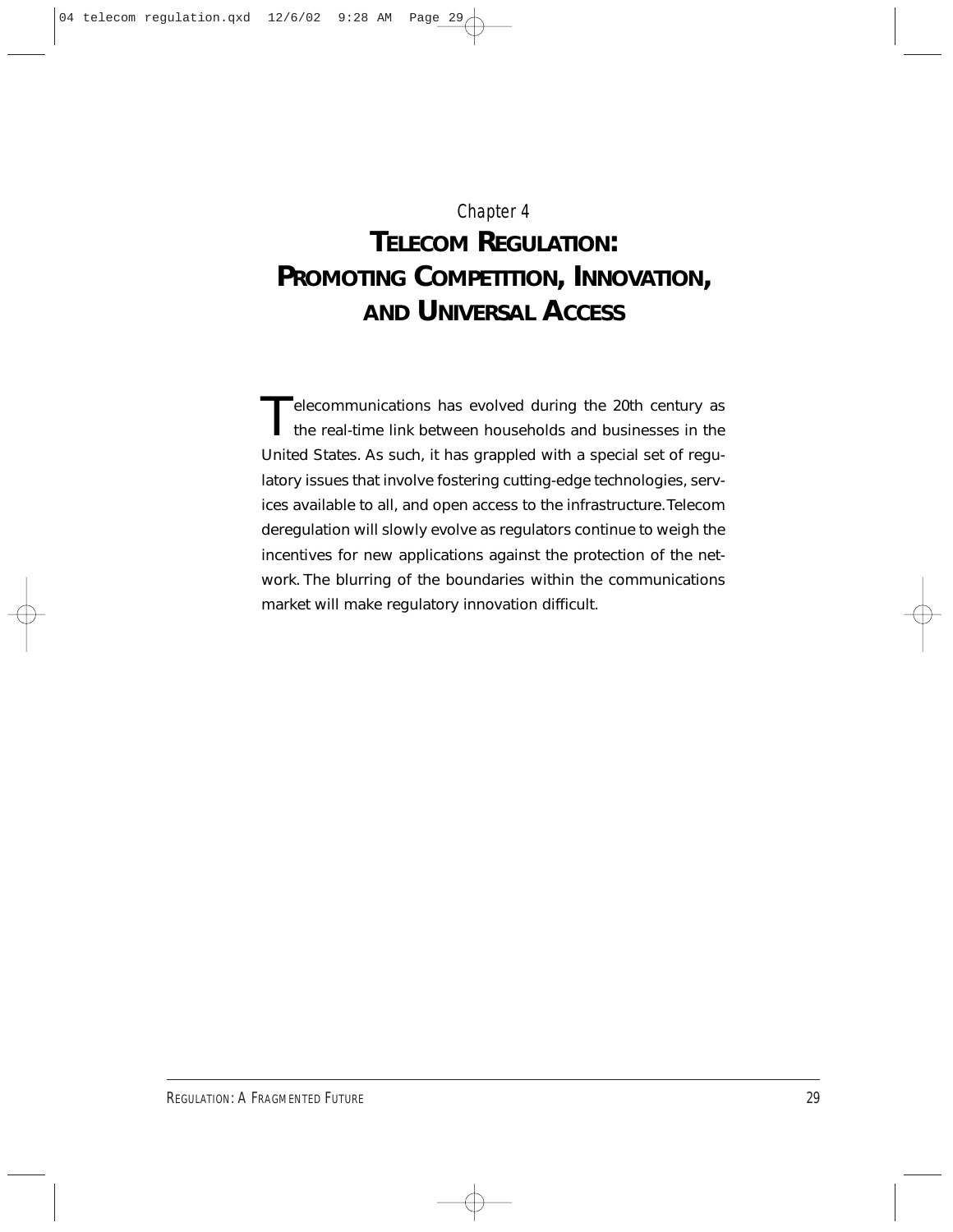## Chapter 4

## **TELECOM REGULATION: PROMOTING COMPETITION, INNOVATION, AND UNIVERSAL ACCESS**

Telecommunications has evolved during the 20th century as the real-time link between households and businesses in the United States. As such, it has grappled with a special set of regulatory issues that involve fostering cutting-edge technologies, services available to all, and open access to the infrastructure. Telecom deregulation will slowly evolve as regulators continue to weigh the incentives for new applications against the protection of the network. The blurring of the boundaries within the communications market will make regulatory innovation difficult.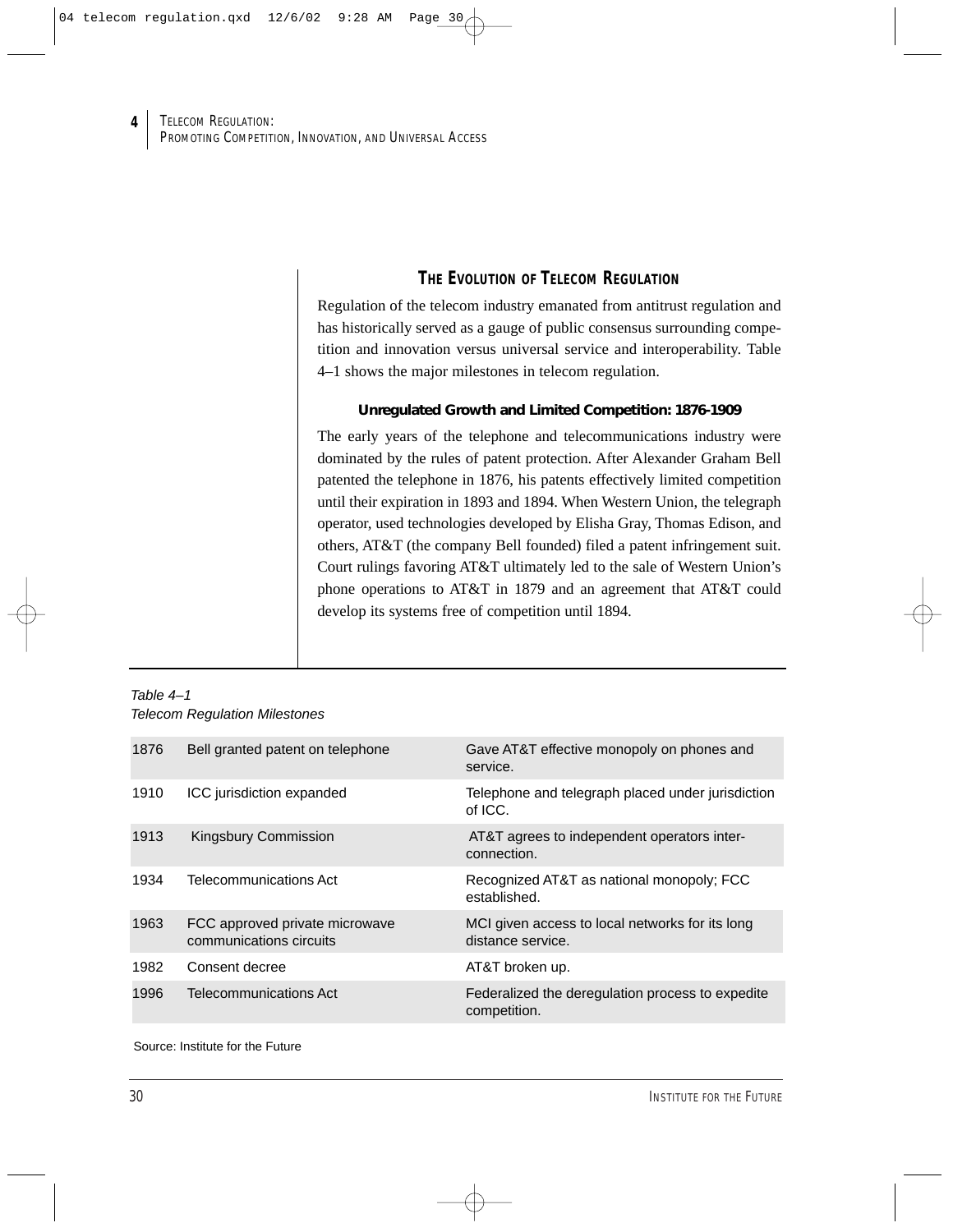## **THE EVOLUTION OF TELECOM REGULATION**

Regulation of the telecom industry emanated from antitrust regulation and has historically served as a gauge of public consensus surrounding competition and innovation versus universal service and interoperability. Table 4–1 shows the major milestones in telecom regulation.

### **Unregulated Growth and Limited Competition: 1876-1909**

The early years of the telephone and telecommunications industry were dominated by the rules of patent protection. After Alexander Graham Bell patented the telephone in 1876, his patents effectively limited competition until their expiration in 1893 and 1894. When Western Union, the telegraph operator, used technologies developed by Elisha Gray, Thomas Edison, and others, AT&T (the company Bell founded) filed a patent infringement suit. Court rulings favoring AT&T ultimately led to the sale of Western Union's phone operations to AT&T in 1879 and an agreement that AT&T could develop its systems free of competition until 1894.

#### Table 4–1 Telecom Regulation Milestones

| 1876 | Bell granted patent on telephone                          | Gave AT&T effective monopoly on phones and<br>service.               |
|------|-----------------------------------------------------------|----------------------------------------------------------------------|
| 1910 | ICC jurisdiction expanded                                 | Telephone and telegraph placed under jurisdiction<br>of ICC.         |
| 1913 | <b>Kingsbury Commission</b>                               | AT&T agrees to independent operators inter-<br>connection.           |
| 1934 | Telecommunications Act                                    | Recognized AT&T as national monopoly; FCC<br>established.            |
| 1963 | FCC approved private microwave<br>communications circuits | MCI given access to local networks for its long<br>distance service. |
| 1982 | Consent decree                                            | AT&T broken up.                                                      |
| 1996 | <b>Telecommunications Act</b>                             | Federalized the deregulation process to expedite<br>competition.     |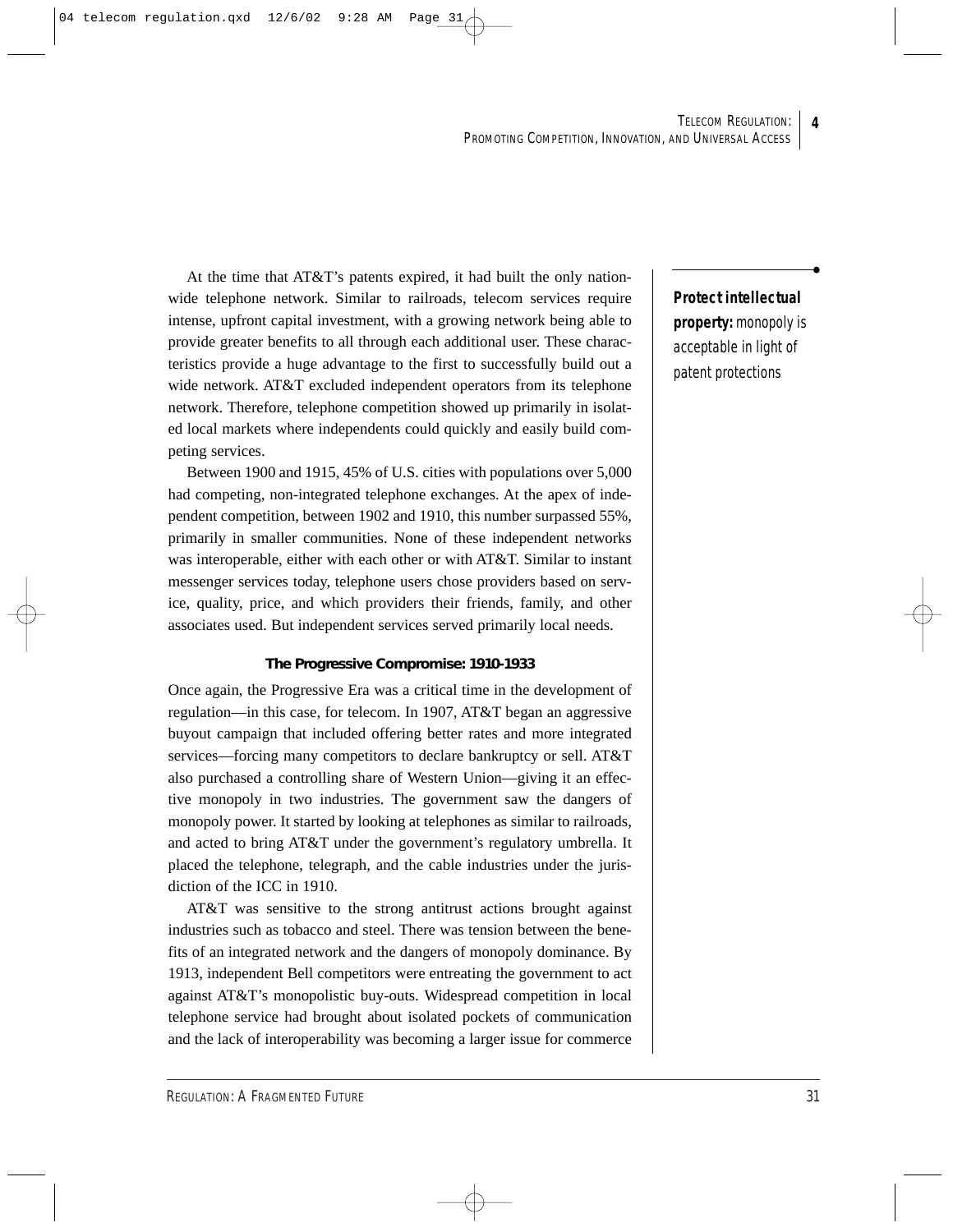At the time that AT&T's patents expired, it had built the only nationwide telephone network. Similar to railroads, telecom services require intense, upfront capital investment, with a growing network being able to provide greater benefits to all through each additional user. These characteristics provide a huge advantage to the first to successfully build out a wide network. AT&T excluded independent operators from its telephone network. Therefore, telephone competition showed up primarily in isolated local markets where independents could quickly and easily build competing services.

Between 1900 and 1915, 45% of U.S. cities with populations over 5,000 had competing, non-integrated telephone exchanges. At the apex of independent competition, between 1902 and 1910, this number surpassed 55%, primarily in smaller communities. None of these independent networks was interoperable, either with each other or with AT&T. Similar to instant messenger services today, telephone users chose providers based on service, quality, price, and which providers their friends, family, and other associates used. But independent services served primarily local needs.

#### **The Progressive Compromise: 1910-1933**

Once again, the Progressive Era was a critical time in the development of regulation—in this case, for telecom. In 1907, AT&T began an aggressive buyout campaign that included offering better rates and more integrated services—forcing many competitors to declare bankruptcy or sell. AT&T also purchased a controlling share of Western Union—giving it an effective monopoly in two industries. The government saw the dangers of monopoly power. It started by looking at telephones as similar to railroads, and acted to bring AT&T under the government's regulatory umbrella. It placed the telephone, telegraph, and the cable industries under the jurisdiction of the ICC in 1910.

AT&T was sensitive to the strong antitrust actions brought against industries such as tobacco and steel. There was tension between the benefits of an integrated network and the dangers of monopoly dominance. By 1913, independent Bell competitors were entreating the government to act against AT&T's monopolistic buy-outs. Widespread competition in local telephone service had brought about isolated pockets of communication and the lack of interoperability was becoming a larger issue for commerce

**Protect intellectual property:** monopoly is acceptable in light of patent protections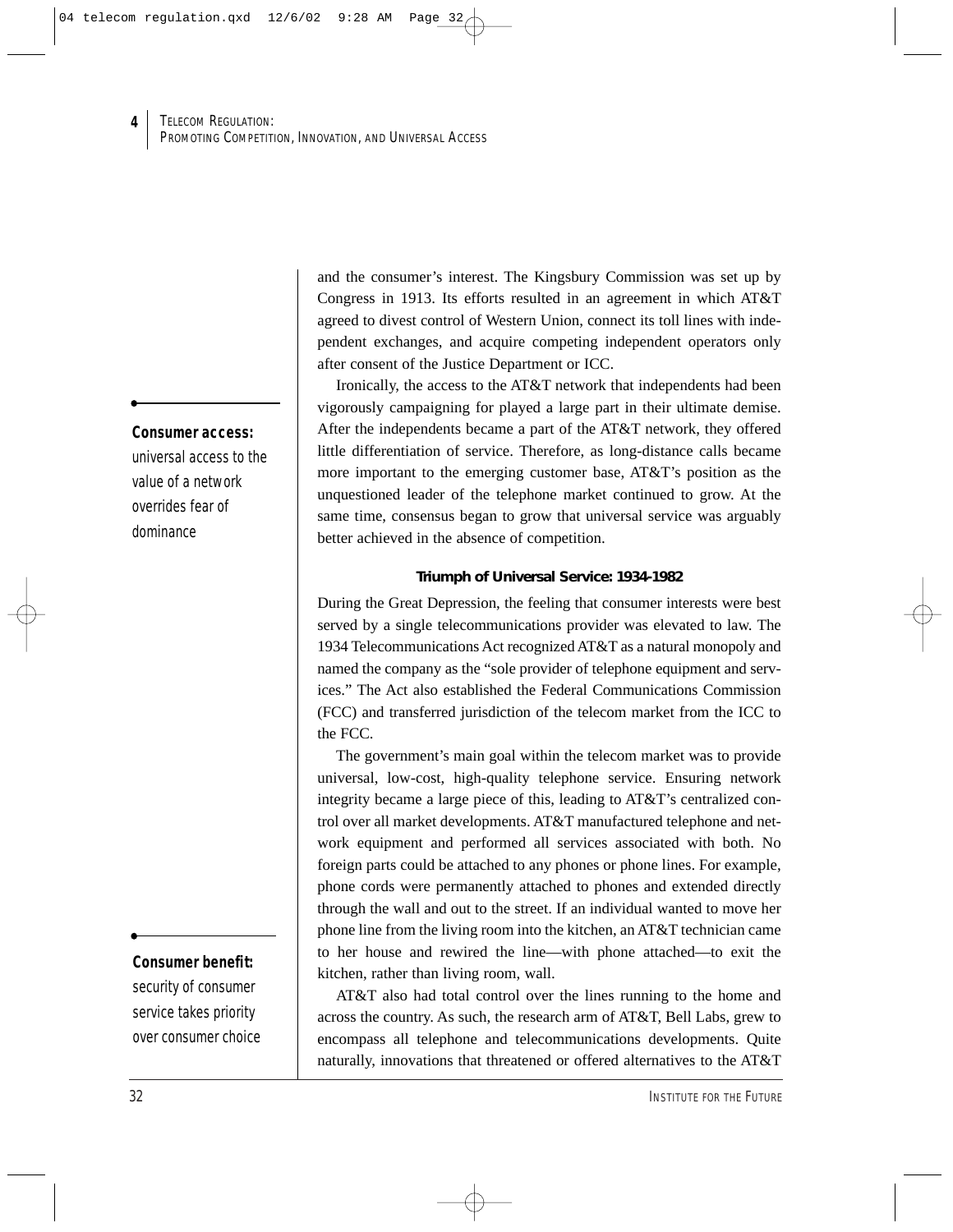#### **Consumer access:**

**4**

universal access to the value of a network overrides fear of dominance

## **Consumer benefit:**

security of consumer service takes priority over consumer choice and the consumer's interest. The Kingsbury Commission was set up by Congress in 1913. Its efforts resulted in an agreement in which AT&T agreed to divest control of Western Union, connect its toll lines with independent exchanges, and acquire competing independent operators only after consent of the Justice Department or ICC.

Ironically, the access to the AT&T network that independents had been vigorously campaigning for played a large part in their ultimate demise. After the independents became a part of the AT&T network, they offered little differentiation of service. Therefore, as long-distance calls became more important to the emerging customer base, AT&T's position as the unquestioned leader of the telephone market continued to grow. At the same time, consensus began to grow that universal service was arguably better achieved in the absence of competition.

#### **Triumph of Universal Service: 1934-1982**

During the Great Depression, the feeling that consumer interests were best served by a single telecommunications provider was elevated to law. The 1934 Telecommunications Act recognized AT&T as a natural monopoly and named the company as the "sole provider of telephone equipment and services." The Act also established the Federal Communications Commission (FCC) and transferred jurisdiction of the telecom market from the ICC to the FCC.

The government's main goal within the telecom market was to provide universal, low-cost, high-quality telephone service. Ensuring network integrity became a large piece of this, leading to AT&T's centralized control over all market developments. AT&T manufactured telephone and network equipment and performed all services associated with both. No foreign parts could be attached to any phones or phone lines. For example, phone cords were permanently attached to phones and extended directly through the wall and out to the street. If an individual wanted to move her phone line from the living room into the kitchen, an AT&T technician came to her house and rewired the line—with phone attached—to exit the kitchen, rather than living room, wall.

AT&T also had total control over the lines running to the home and across the country. As such, the research arm of AT&T, Bell Labs, grew to encompass all telephone and telecommunications developments. Quite naturally, innovations that threatened or offered alternatives to the AT&T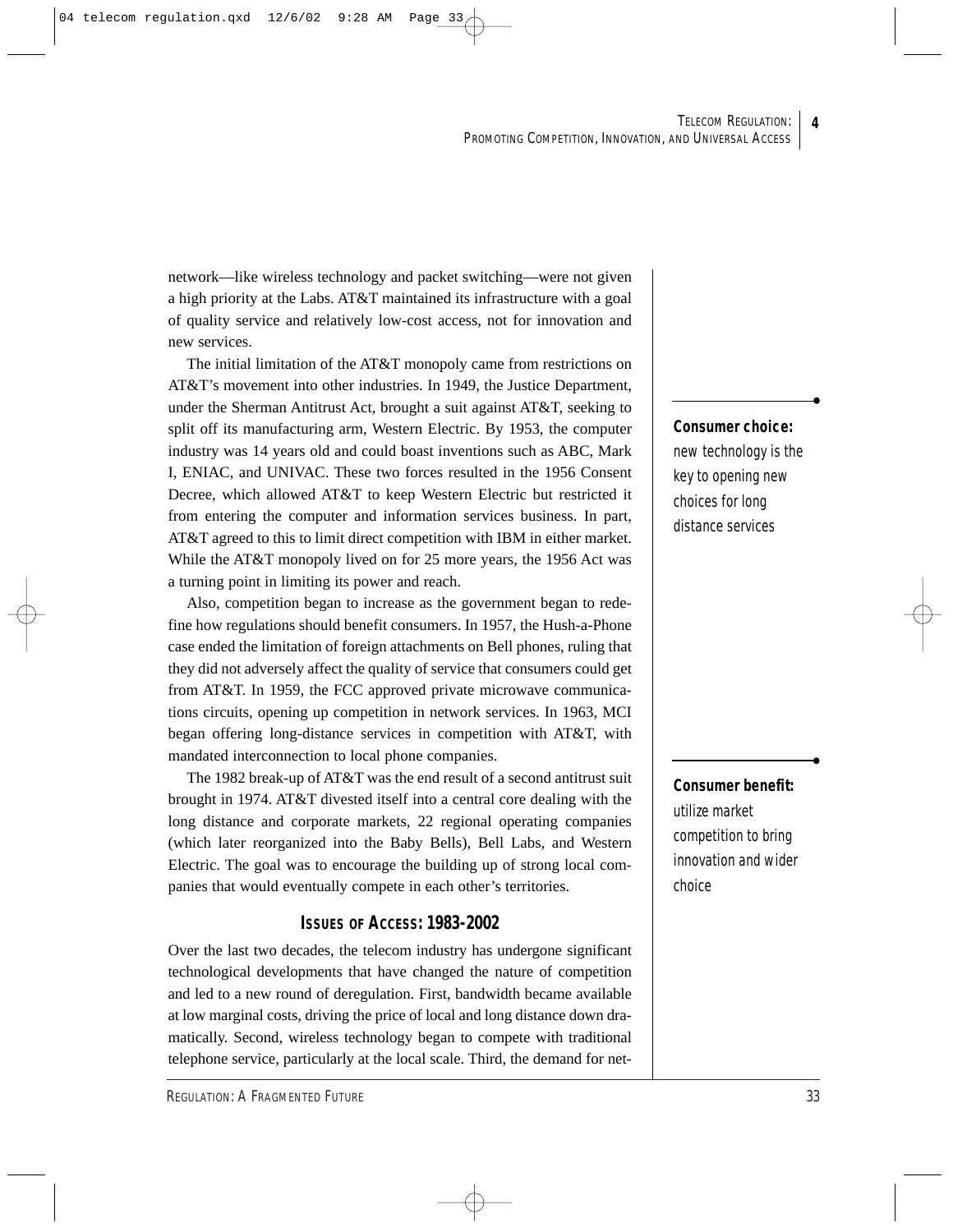network—like wireless technology and packet switching—were not given a high priority at the Labs. AT&T maintained its infrastructure with a goal of quality service and relatively low-cost access, not for innovation and new services.

The initial limitation of the AT&T monopoly came from restrictions on AT&T's movement into other industries. In 1949, the Justice Department, under the Sherman Antitrust Act, brought a suit against AT&T, seeking to split off its manufacturing arm, Western Electric. By 1953, the computer industry was 14 years old and could boast inventions such as ABC, Mark I, ENIAC, and UNIVAC. These two forces resulted in the 1956 Consent Decree, which allowed AT&T to keep Western Electric but restricted it from entering the computer and information services business. In part, AT&T agreed to this to limit direct competition with IBM in either market. While the AT&T monopoly lived on for 25 more years, the 1956 Act was a turning point in limiting its power and reach.

Also, competition began to increase as the government began to redefine how regulations should benefit consumers. In 1957, the Hush-a-Phone case ended the limitation of foreign attachments on Bell phones, ruling that they did not adversely affect the quality of service that consumers could get from AT&T. In 1959, the FCC approved private microwave communications circuits, opening up competition in network services. In 1963, MCI began offering long-distance services in competition with AT&T, with mandated interconnection to local phone companies.

The 1982 break-up of AT&T was the end result of a second antitrust suit brought in 1974. AT&T divested itself into a central core dealing with the long distance and corporate markets, 22 regional operating companies (which later reorganized into the Baby Bells), Bell Labs, and Western Electric. The goal was to encourage the building up of strong local companies that would eventually compete in each other's territories.

### **ISSUES OF ACCESS: 1983-2002**

Over the last two decades, the telecom industry has undergone significant technological developments that have changed the nature of competition and led to a new round of deregulation. First, bandwidth became available at low marginal costs, driving the price of local and long distance down dramatically. Second, wireless technology began to compete with traditional telephone service, particularly at the local scale. Third, the demand for net-

#### **Consumer choice:**

new technology is the key to opening new choices for long distance services

## **Consumer benefit:**  utilize market competition to bring innovation and wider choice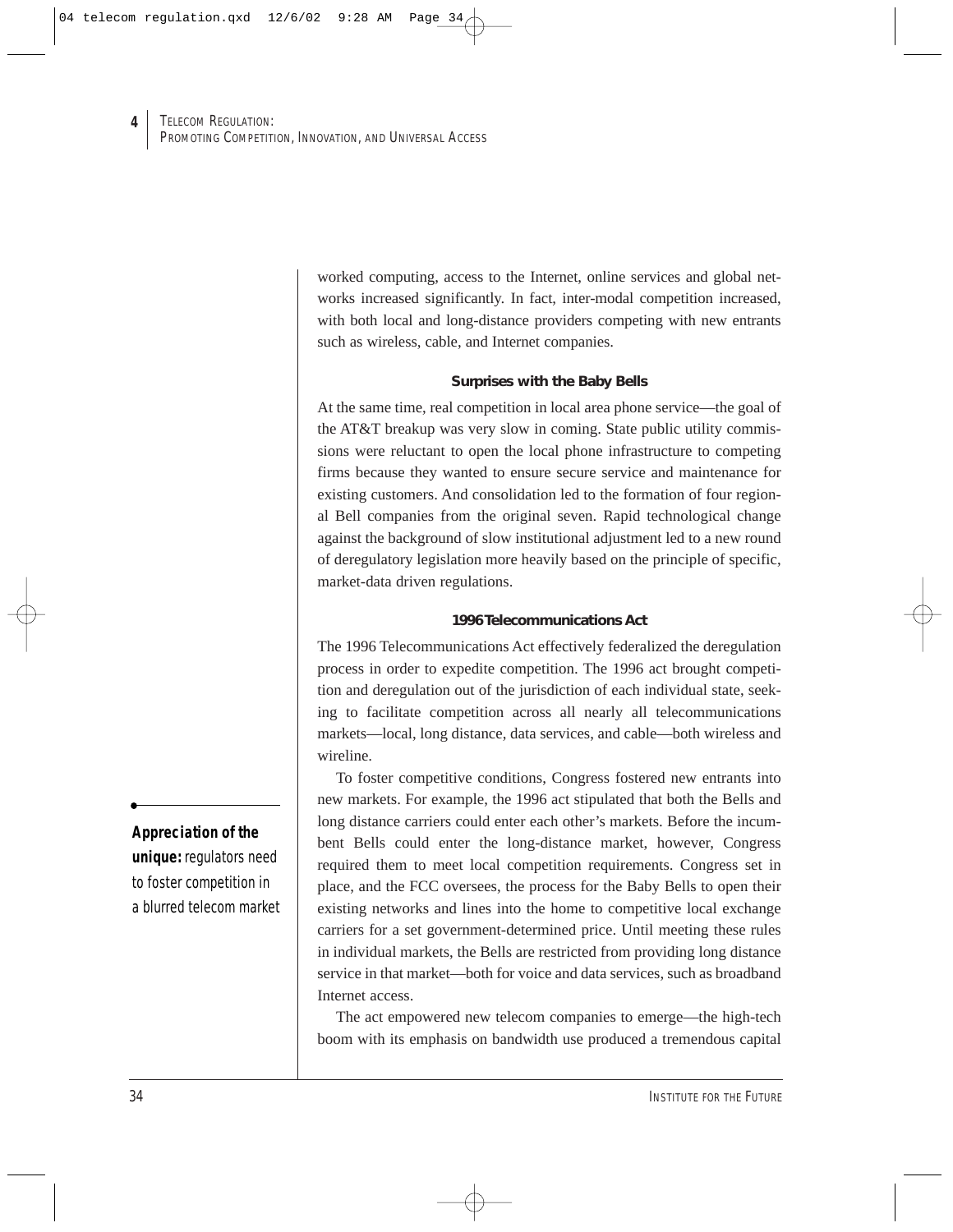worked computing, access to the Internet, online services and global networks increased significantly. In fact, inter-modal competition increased, with both local and long-distance providers competing with new entrants such as wireless, cable, and Internet companies.

#### **Surprises with the Baby Bells**

At the same time, real competition in local area phone service—the goal of the AT&T breakup was very slow in coming. State public utility commissions were reluctant to open the local phone infrastructure to competing firms because they wanted to ensure secure service and maintenance for existing customers. And consolidation led to the formation of four regional Bell companies from the original seven. Rapid technological change against the background of slow institutional adjustment led to a new round of deregulatory legislation more heavily based on the principle of specific, market-data driven regulations.

#### **1996 Telecommunications Act**

The 1996 Telecommunications Act effectively federalized the deregulation process in order to expedite competition. The 1996 act brought competition and deregulation out of the jurisdiction of each individual state, seeking to facilitate competition across all nearly all telecommunications markets—local, long distance, data services, and cable—both wireless and wireline.

To foster competitive conditions, Congress fostered new entrants into new markets. For example, the 1996 act stipulated that both the Bells and long distance carriers could enter each other's markets. Before the incumbent Bells could enter the long-distance market, however, Congress required them to meet local competition requirements. Congress set in place, and the FCC oversees, the process for the Baby Bells to open their existing networks and lines into the home to competitive local exchange carriers for a set government-determined price. Until meeting these rules in individual markets, the Bells are restricted from providing long distance service in that market—both for voice and data services, such as broadband Internet access.

The act empowered new telecom companies to emerge—the high-tech boom with its emphasis on bandwidth use produced a tremendous capital

### **Appreciation of the**

**unique:** regulators need to foster competition in a blurred telecom market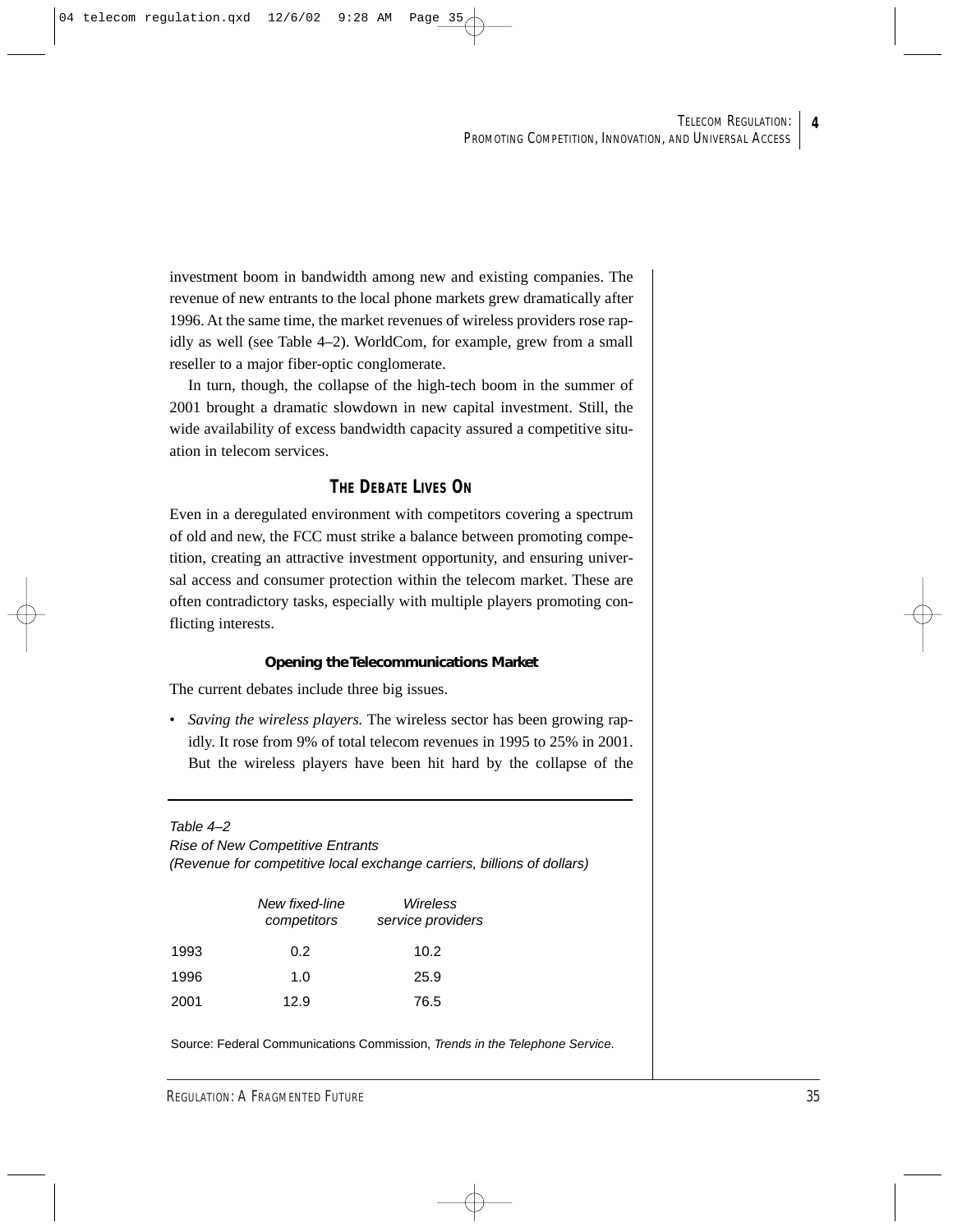investment boom in bandwidth among new and existing companies. The revenue of new entrants to the local phone markets grew dramatically after 1996. At the same time, the market revenues of wireless providers rose rapidly as well (see Table 4–2). WorldCom, for example, grew from a small reseller to a major fiber-optic conglomerate.

In turn, though, the collapse of the high-tech boom in the summer of 2001 brought a dramatic slowdown in new capital investment. Still, the wide availability of excess bandwidth capacity assured a competitive situation in telecom services.

## **THE DEBATE LIVES ON**

Even in a deregulated environment with competitors covering a spectrum of old and new, the FCC must strike a balance between promoting competition, creating an attractive investment opportunity, and ensuring universal access and consumer protection within the telecom market. These are often contradictory tasks, especially with multiple players promoting conflicting interests.

#### **Opening the Telecommunications Market**

The current debates include three big issues.

• *Saving the wireless players.* The wireless sector has been growing rapidly. It rose from 9% of total telecom revenues in 1995 to 25% in 2001. But the wireless players have been hit hard by the collapse of the

Table 4–2

Rise of New Competitive Entrants (Revenue for competitive local exchange carriers, billions of dollars)

|      | New fixed-line<br>competitors | Wireless<br>service providers |  |  |
|------|-------------------------------|-------------------------------|--|--|
| 1993 | 0.2                           | 10.2                          |  |  |
| 1996 | 1.0                           | 25.9                          |  |  |
| 2001 | 12.9                          | 76.5                          |  |  |

Source: Federal Communications Commission, Trends in the Telephone Service.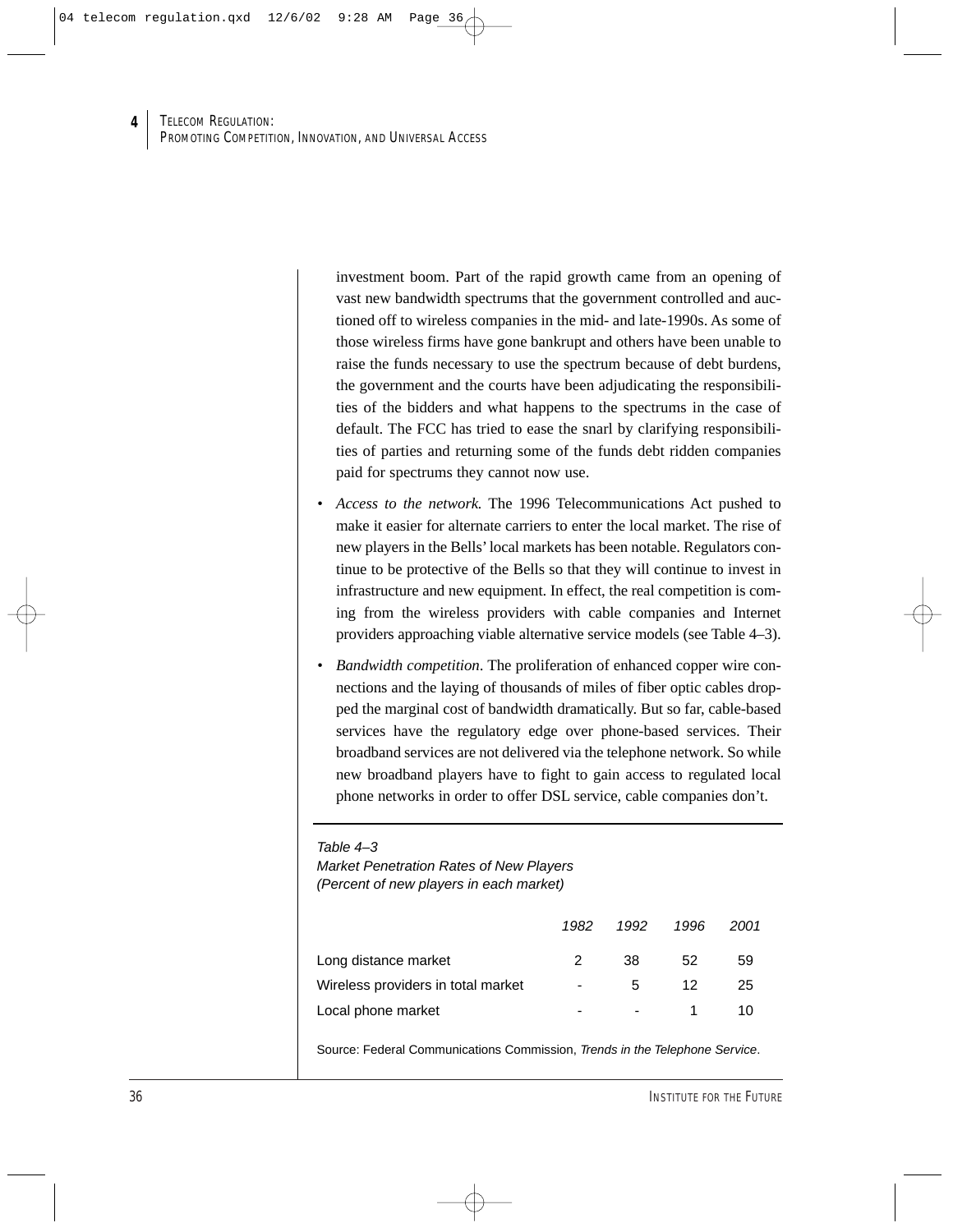investment boom. Part of the rapid growth came from an opening of vast new bandwidth spectrums that the government controlled and auctioned off to wireless companies in the mid- and late-1990s. As some of those wireless firms have gone bankrupt and others have been unable to raise the funds necessary to use the spectrum because of debt burdens, the government and the courts have been adjudicating the responsibilities of the bidders and what happens to the spectrums in the case of default. The FCC has tried to ease the snarl by clarifying responsibilities of parties and returning some of the funds debt ridden companies paid for spectrums they cannot now use.

- *Access to the network.* The 1996 Telecommunications Act pushed to make it easier for alternate carriers to enter the local market. The rise of new players in the Bells' local markets has been notable. Regulators continue to be protective of the Bells so that they will continue to invest in infrastructure and new equipment. In effect, the real competition is coming from the wireless providers with cable companies and Internet providers approaching viable alternative service models (see Table 4–3).
- *Bandwidth competition*. The proliferation of enhanced copper wire connections and the laying of thousands of miles of fiber optic cables dropped the marginal cost of bandwidth dramatically. But so far, cable-based services have the regulatory edge over phone-based services. Their broadband services are not delivered via the telephone network. So while new broadband players have to fight to gain access to regulated local phone networks in order to offer DSL service, cable companies don't.

Market Penetration Rates of New Players (Percent of new players in each market)

|                                    | 1982                     | 1992 | 1996 | 2001 |
|------------------------------------|--------------------------|------|------|------|
| Long distance market               | 2                        | 38   | 52   | 59   |
| Wireless providers in total market | $\overline{\phantom{a}}$ | 5.   | 12   | 25   |
| Local phone market                 | ۰                        |      |      | 10   |

Source: Federal Communications Commission, Trends in the Telephone Service.

Table 4–3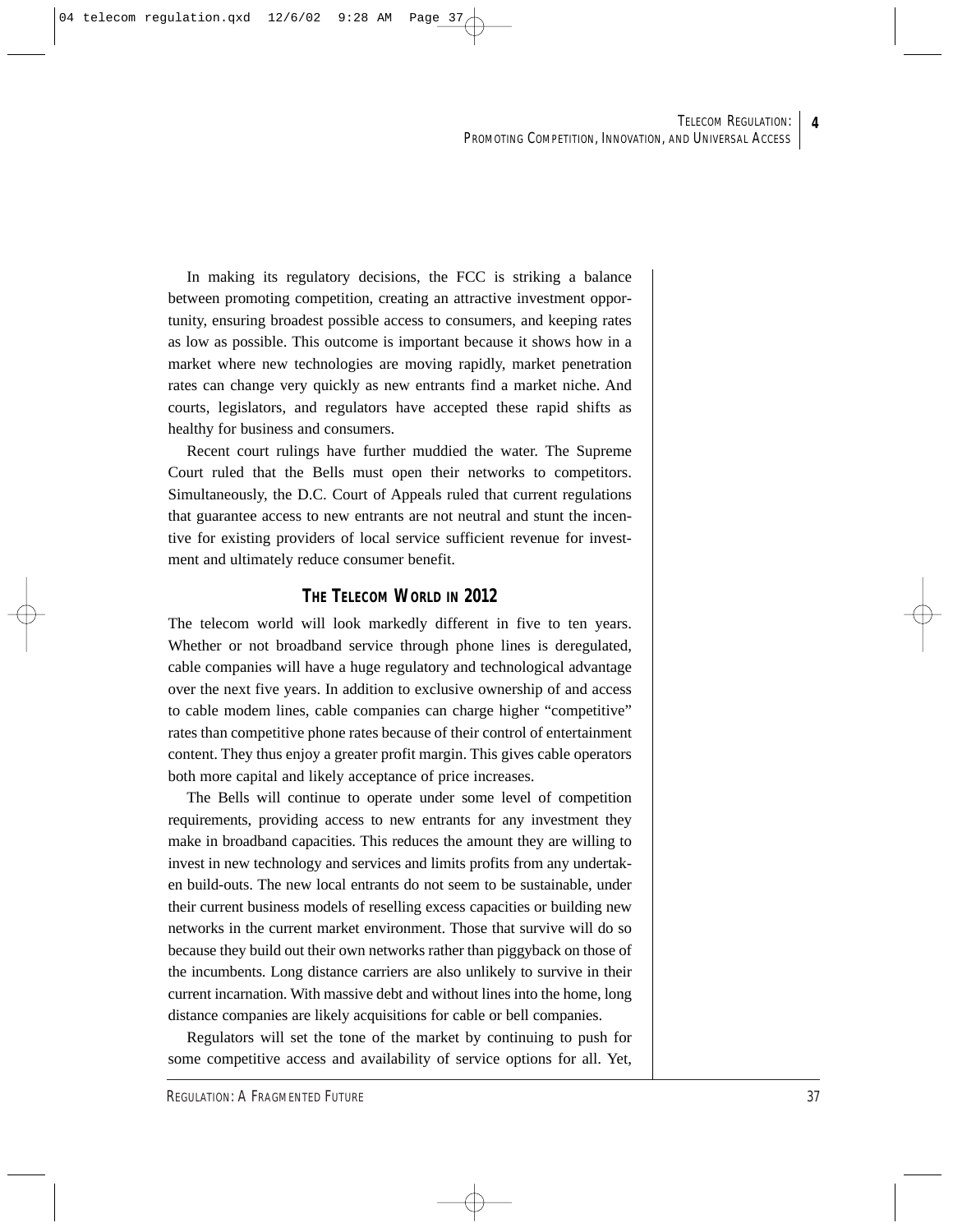In making its regulatory decisions, the FCC is striking a balance between promoting competition, creating an attractive investment opportunity, ensuring broadest possible access to consumers, and keeping rates as low as possible. This outcome is important because it shows how in a market where new technologies are moving rapidly, market penetration rates can change very quickly as new entrants find a market niche. And courts, legislators, and regulators have accepted these rapid shifts as healthy for business and consumers.

Recent court rulings have further muddied the water. The Supreme Court ruled that the Bells must open their networks to competitors. Simultaneously, the D.C. Court of Appeals ruled that current regulations that guarantee access to new entrants are not neutral and stunt the incentive for existing providers of local service sufficient revenue for investment and ultimately reduce consumer benefit.

## **THE TELECOM WORLD IN 2012**

The telecom world will look markedly different in five to ten years. Whether or not broadband service through phone lines is deregulated, cable companies will have a huge regulatory and technological advantage over the next five years. In addition to exclusive ownership of and access to cable modem lines, cable companies can charge higher "competitive" rates than competitive phone rates because of their control of entertainment content. They thus enjoy a greater profit margin. This gives cable operators both more capital and likely acceptance of price increases.

The Bells will continue to operate under some level of competition requirements, providing access to new entrants for any investment they make in broadband capacities. This reduces the amount they are willing to invest in new technology and services and limits profits from any undertaken build-outs. The new local entrants do not seem to be sustainable, under their current business models of reselling excess capacities or building new networks in the current market environment. Those that survive will do so because they build out their own networks rather than piggyback on those of the incumbents. Long distance carriers are also unlikely to survive in their current incarnation. With massive debt and without lines into the home, long distance companies are likely acquisitions for cable or bell companies.

Regulators will set the tone of the market by continuing to push for some competitive access and availability of service options for all. Yet,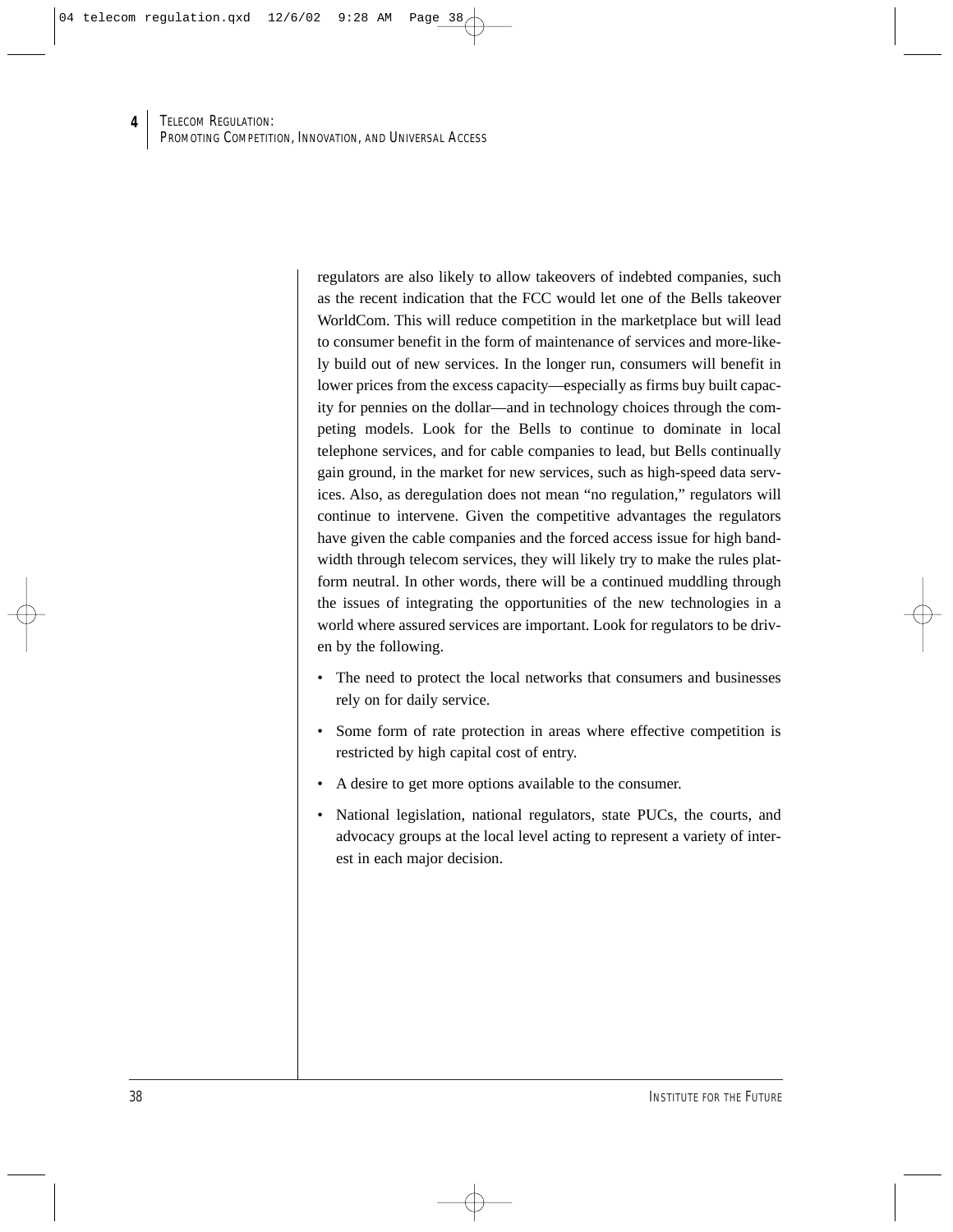regulators are also likely to allow takeovers of indebted companies, such as the recent indication that the FCC would let one of the Bells takeover WorldCom. This will reduce competition in the marketplace but will lead to consumer benefit in the form of maintenance of services and more-likely build out of new services. In the longer run, consumers will benefit in lower prices from the excess capacity—especially as firms buy built capacity for pennies on the dollar—and in technology choices through the competing models. Look for the Bells to continue to dominate in local telephone services, and for cable companies to lead, but Bells continually gain ground, in the market for new services, such as high-speed data services. Also, as deregulation does not mean "no regulation," regulators will continue to intervene. Given the competitive advantages the regulators have given the cable companies and the forced access issue for high bandwidth through telecom services, they will likely try to make the rules platform neutral. In other words, there will be a continued muddling through the issues of integrating the opportunities of the new technologies in a world where assured services are important. Look for regulators to be driven by the following.

- The need to protect the local networks that consumers and businesses rely on for daily service.
- Some form of rate protection in areas where effective competition is restricted by high capital cost of entry.
- A desire to get more options available to the consumer.
- National legislation, national regulators, state PUCs, the courts, and advocacy groups at the local level acting to represent a variety of interest in each major decision.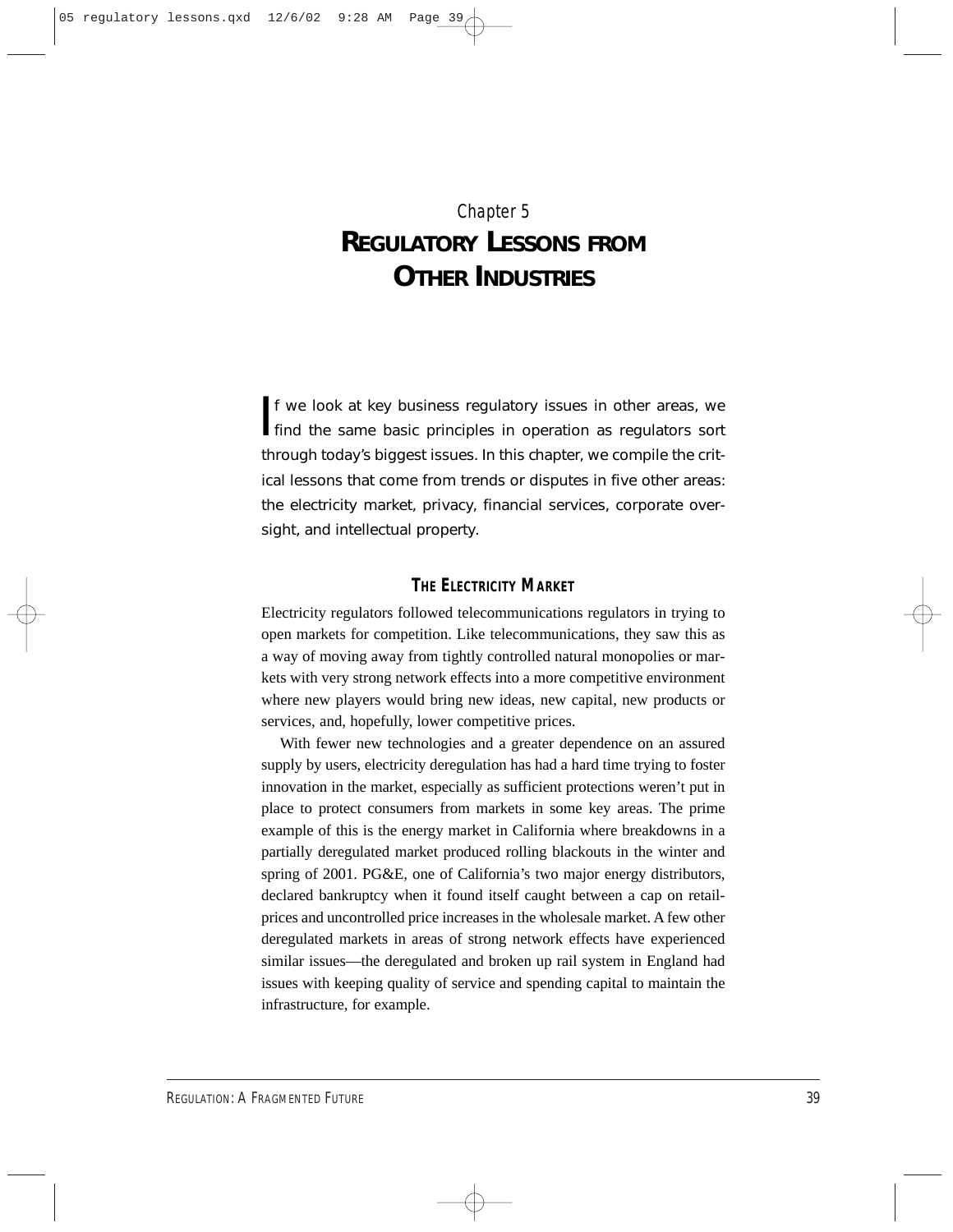## Chapter 5 **REGULATORY LESSONS FROM OTHER INDUSTRIES**

If we look at key business regulatory issues in other areas, we find the same basic principles in operation as regulators sort f we look at key business regulatory issues in other areas, we through today's biggest issues. In this chapter, we compile the critical lessons that come from trends or disputes in five other areas: the electricity market, privacy, financial services, corporate oversight, and intellectual property.

### **THE ELECTRICITY MARKET**

Electricity regulators followed telecommunications regulators in trying to open markets for competition. Like telecommunications, they saw this as a way of moving away from tightly controlled natural monopolies or markets with very strong network effects into a more competitive environment where new players would bring new ideas, new capital, new products or services, and, hopefully, lower competitive prices.

With fewer new technologies and a greater dependence on an assured supply by users, electricity deregulation has had a hard time trying to foster innovation in the market, especially as sufficient protections weren't put in place to protect consumers from markets in some key areas. The prime example of this is the energy market in California where breakdowns in a partially deregulated market produced rolling blackouts in the winter and spring of 2001. PG&E, one of California's two major energy distributors, declared bankruptcy when it found itself caught between a cap on retailprices and uncontrolled price increases in the wholesale market. A few other deregulated markets in areas of strong network effects have experienced similar issues—the deregulated and broken up rail system in England had issues with keeping quality of service and spending capital to maintain the infrastructure, for example.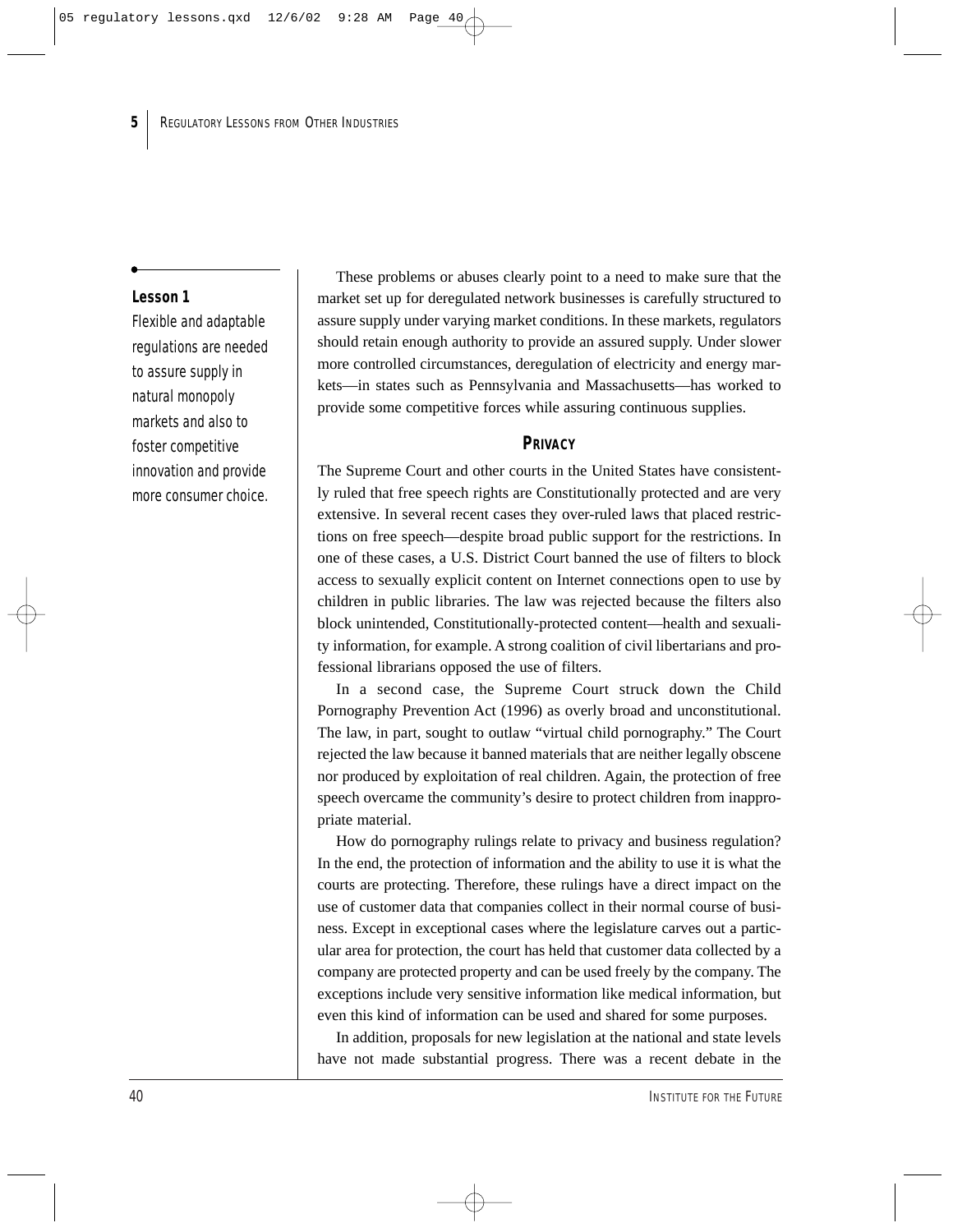#### **Lesson 1**

Flexible and adaptable regulations are needed to assure supply in natural monopoly markets and also to foster competitive innovation and provide more consumer choice.

These problems or abuses clearly point to a need to make sure that the market set up for deregulated network businesses is carefully structured to assure supply under varying market conditions. In these markets, regulators should retain enough authority to provide an assured supply. Under slower more controlled circumstances, deregulation of electricity and energy markets—in states such as Pennsylvania and Massachusetts—has worked to provide some competitive forces while assuring continuous supplies.

#### **PRIVACY**

The Supreme Court and other courts in the United States have consistently ruled that free speech rights are Constitutionally protected and are very extensive. In several recent cases they over-ruled laws that placed restrictions on free speech—despite broad public support for the restrictions. In one of these cases, a U.S. District Court banned the use of filters to block access to sexually explicit content on Internet connections open to use by children in public libraries. The law was rejected because the filters also block unintended, Constitutionally-protected content—health and sexuality information, for example. A strong coalition of civil libertarians and professional librarians opposed the use of filters.

In a second case, the Supreme Court struck down the Child Pornography Prevention Act (1996) as overly broad and unconstitutional. The law, in part, sought to outlaw "virtual child pornography." The Court rejected the law because it banned materials that are neither legally obscene nor produced by exploitation of real children. Again, the protection of free speech overcame the community's desire to protect children from inappropriate material.

How do pornography rulings relate to privacy and business regulation? In the end, the protection of information and the ability to use it is what the courts are protecting. Therefore, these rulings have a direct impact on the use of customer data that companies collect in their normal course of business. Except in exceptional cases where the legislature carves out a particular area for protection, the court has held that customer data collected by a company are protected property and can be used freely by the company. The exceptions include very sensitive information like medical information, but even this kind of information can be used and shared for some purposes.

In addition, proposals for new legislation at the national and state levels have not made substantial progress. There was a recent debate in the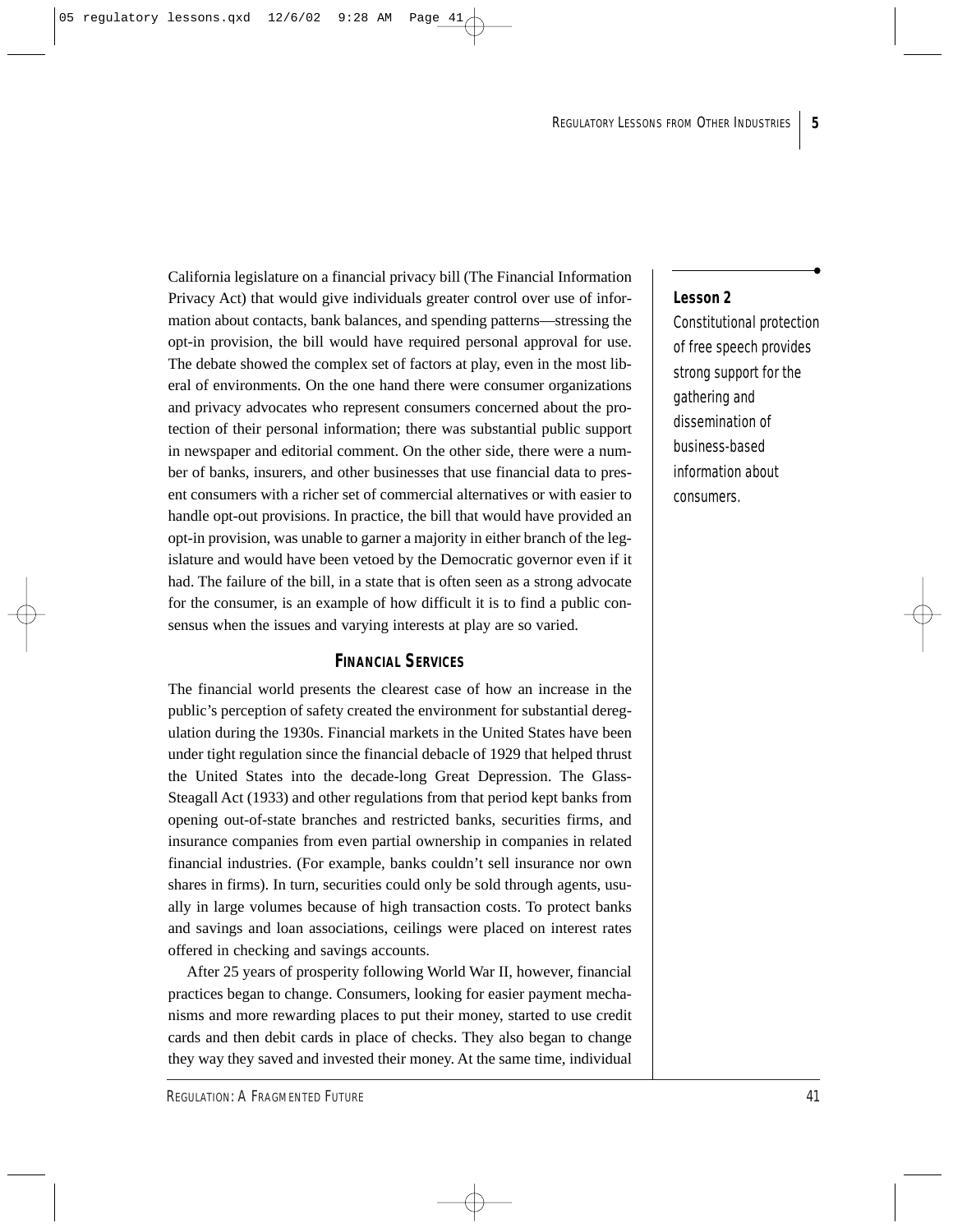California legislature on a financial privacy bill (The Financial Information Privacy Act) that would give individuals greater control over use of information about contacts, bank balances, and spending patterns—stressing the opt-in provision, the bill would have required personal approval for use. The debate showed the complex set of factors at play, even in the most liberal of environments. On the one hand there were consumer organizations and privacy advocates who represent consumers concerned about the protection of their personal information; there was substantial public support in newspaper and editorial comment. On the other side, there were a number of banks, insurers, and other businesses that use financial data to present consumers with a richer set of commercial alternatives or with easier to handle opt-out provisions. In practice, the bill that would have provided an opt-in provision, was unable to garner a majority in either branch of the legislature and would have been vetoed by the Democratic governor even if it had. The failure of the bill, in a state that is often seen as a strong advocate for the consumer, is an example of how difficult it is to find a public consensus when the issues and varying interests at play are so varied.

## **FINANCIAL SERVICES**

The financial world presents the clearest case of how an increase in the public's perception of safety created the environment for substantial deregulation during the 1930s. Financial markets in the United States have been under tight regulation since the financial debacle of 1929 that helped thrust the United States into the decade-long Great Depression. The Glass-Steagall Act (1933) and other regulations from that period kept banks from opening out-of-state branches and restricted banks, securities firms, and insurance companies from even partial ownership in companies in related financial industries. (For example, banks couldn't sell insurance nor own shares in firms). In turn, securities could only be sold through agents, usually in large volumes because of high transaction costs. To protect banks and savings and loan associations, ceilings were placed on interest rates offered in checking and savings accounts.

After 25 years of prosperity following World War II, however, financial practices began to change. Consumers, looking for easier payment mechanisms and more rewarding places to put their money, started to use credit cards and then debit cards in place of checks. They also began to change they way they saved and invested their money. At the same time, individual

## **Lesson 2**

Constitutional protection of free speech provides strong support for the gathering and dissemination of business-based information about consumers.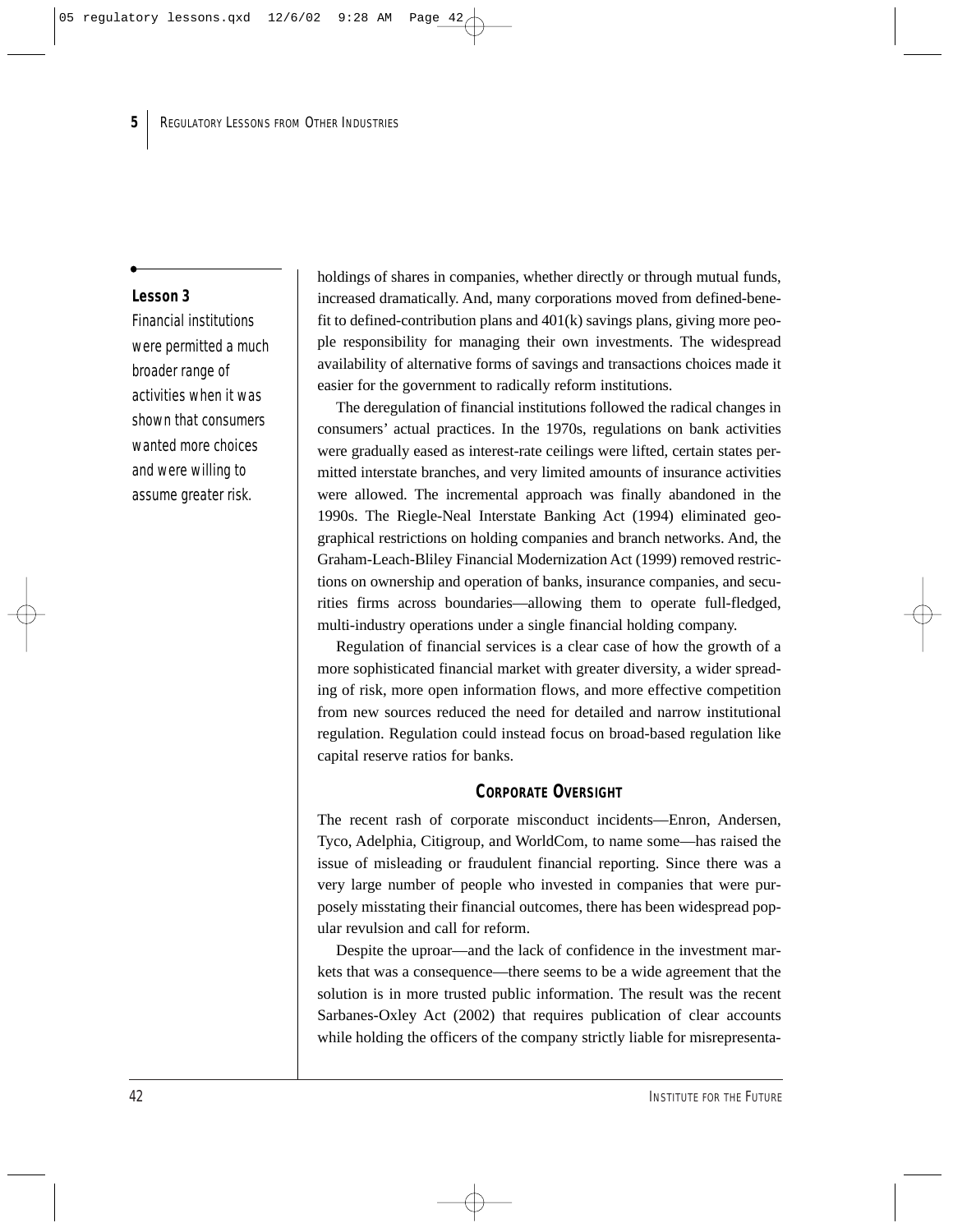#### **Lesson 3**

Financial institutions were permitted a much broader range of activities when it was shown that consumers wanted more choices and were willing to assume greater risk.

holdings of shares in companies, whether directly or through mutual funds, increased dramatically. And, many corporations moved from defined-benefit to defined-contribution plans and 401(k) savings plans, giving more people responsibility for managing their own investments. The widespread availability of alternative forms of savings and transactions choices made it easier for the government to radically reform institutions.

The deregulation of financial institutions followed the radical changes in consumers' actual practices. In the 1970s, regulations on bank activities were gradually eased as interest-rate ceilings were lifted, certain states permitted interstate branches, and very limited amounts of insurance activities were allowed. The incremental approach was finally abandoned in the 1990s. The Riegle-Neal Interstate Banking Act (1994) eliminated geographical restrictions on holding companies and branch networks. And, the Graham-Leach-Bliley Financial Modernization Act (1999) removed restrictions on ownership and operation of banks, insurance companies, and securities firms across boundaries—allowing them to operate full-fledged, multi-industry operations under a single financial holding company.

Regulation of financial services is a clear case of how the growth of a more sophisticated financial market with greater diversity, a wider spreading of risk, more open information flows, and more effective competition from new sources reduced the need for detailed and narrow institutional regulation. Regulation could instead focus on broad-based regulation like capital reserve ratios for banks.

#### **CORPORATE OVERSIGHT**

The recent rash of corporate misconduct incidents—Enron, Andersen, Tyco, Adelphia, Citigroup, and WorldCom, to name some—has raised the issue of misleading or fraudulent financial reporting. Since there was a very large number of people who invested in companies that were purposely misstating their financial outcomes, there has been widespread popular revulsion and call for reform.

Despite the uproar—and the lack of confidence in the investment markets that was a consequence—there seems to be a wide agreement that the solution is in more trusted public information. The result was the recent Sarbanes-Oxley Act (2002) that requires publication of clear accounts while holding the officers of the company strictly liable for misrepresenta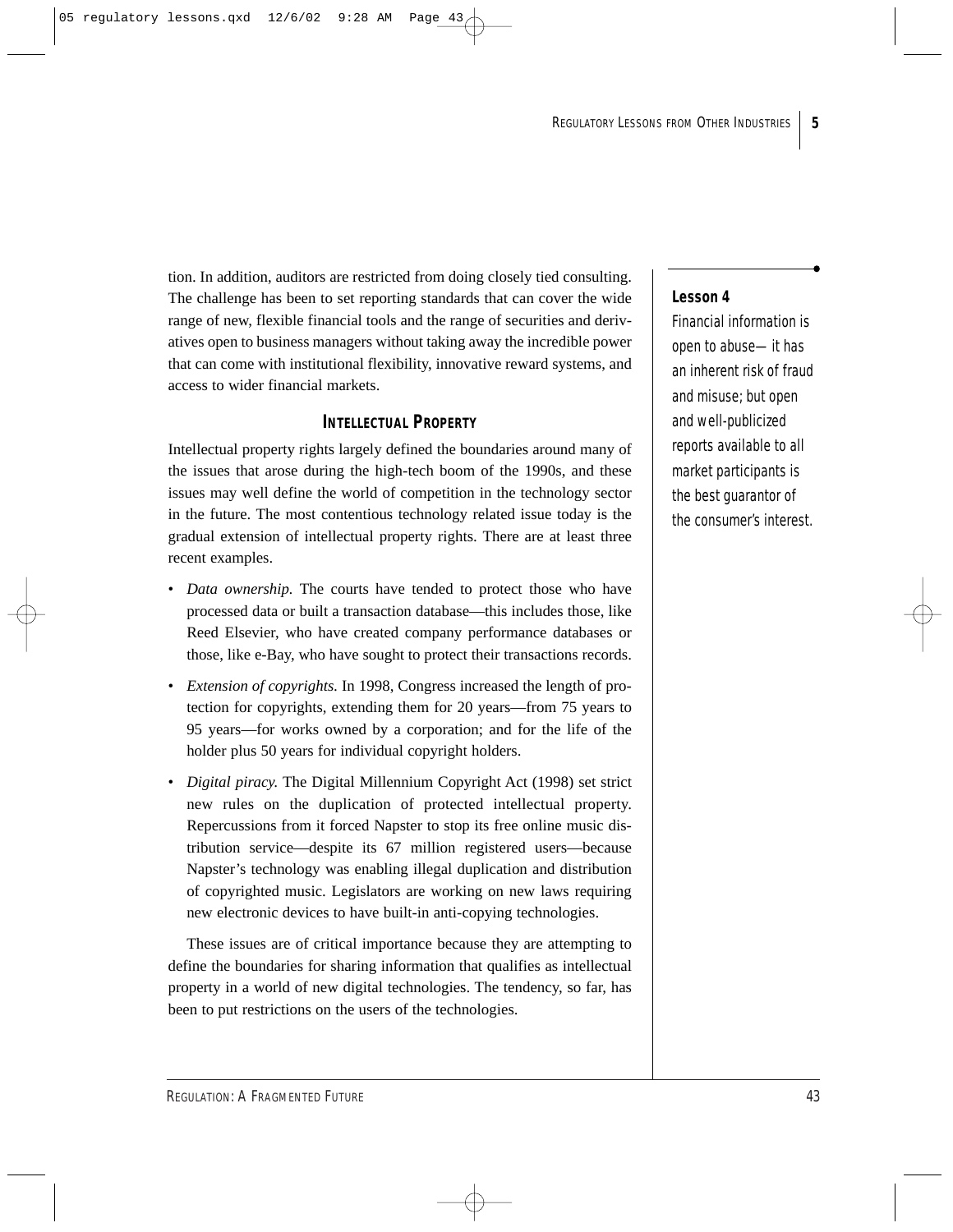tion. In addition, auditors are restricted from doing closely tied consulting. The challenge has been to set reporting standards that can cover the wide range of new, flexible financial tools and the range of securities and derivatives open to business managers without taking away the incredible power that can come with institutional flexibility, innovative reward systems, and access to wider financial markets.

## **INTELLECTUAL PROPERTY**

Intellectual property rights largely defined the boundaries around many of the issues that arose during the high-tech boom of the 1990s, and these issues may well define the world of competition in the technology sector in the future. The most contentious technology related issue today is the gradual extension of intellectual property rights. There are at least three recent examples.

- *Data ownership.* The courts have tended to protect those who have processed data or built a transaction database—this includes those, like Reed Elsevier, who have created company performance databases or those, like e-Bay, who have sought to protect their transactions records.
- *Extension of copyrights.* In 1998, Congress increased the length of protection for copyrights, extending them for 20 years—from 75 years to 95 years—for works owned by a corporation; and for the life of the holder plus 50 years for individual copyright holders.
- *Digital piracy.* The Digital Millennium Copyright Act (1998) set strict new rules on the duplication of protected intellectual property. Repercussions from it forced Napster to stop its free online music distribution service—despite its 67 million registered users—because Napster's technology was enabling illegal duplication and distribution of copyrighted music. Legislators are working on new laws requiring new electronic devices to have built-in anti-copying technologies.

These issues are of critical importance because they are attempting to define the boundaries for sharing information that qualifies as intellectual property in a world of new digital technologies. The tendency, so far, has been to put restrictions on the users of the technologies.

## **Lesson 4**

Financial information is open to abuse—it has an inherent risk of fraud and misuse; but open and well-publicized reports available to all market participants is the best guarantor of the consumer's interest.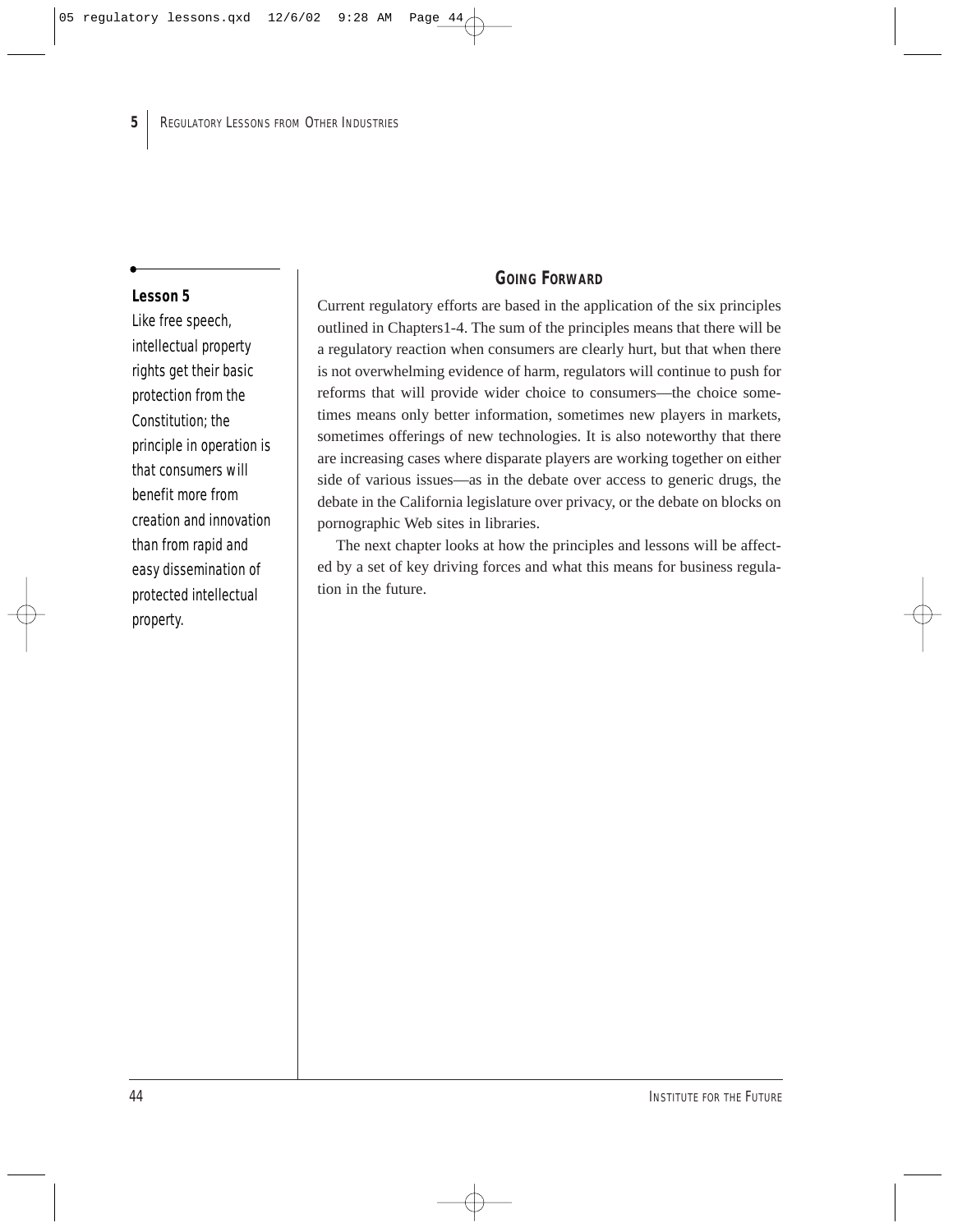#### **Lesson 5**

Like free speech, intellectual property rights get their basic protection from the Constitution; the principle in operation is that consumers will benefit more from creation and innovation than from rapid and easy dissemination of protected intellectual property.

## **GOING FORWARD**

Current regulatory efforts are based in the application of the six principles outlined in Chapters1-4. The sum of the principles means that there will be a regulatory reaction when consumers are clearly hurt, but that when there is not overwhelming evidence of harm, regulators will continue to push for reforms that will provide wider choice to consumers—the choice sometimes means only better information, sometimes new players in markets, sometimes offerings of new technologies. It is also noteworthy that there are increasing cases where disparate players are working together on either side of various issues—as in the debate over access to generic drugs, the debate in the California legislature over privacy, or the debate on blocks on pornographic Web sites in libraries.

The next chapter looks at how the principles and lessons will be affected by a set of key driving forces and what this means for business regulation in the future.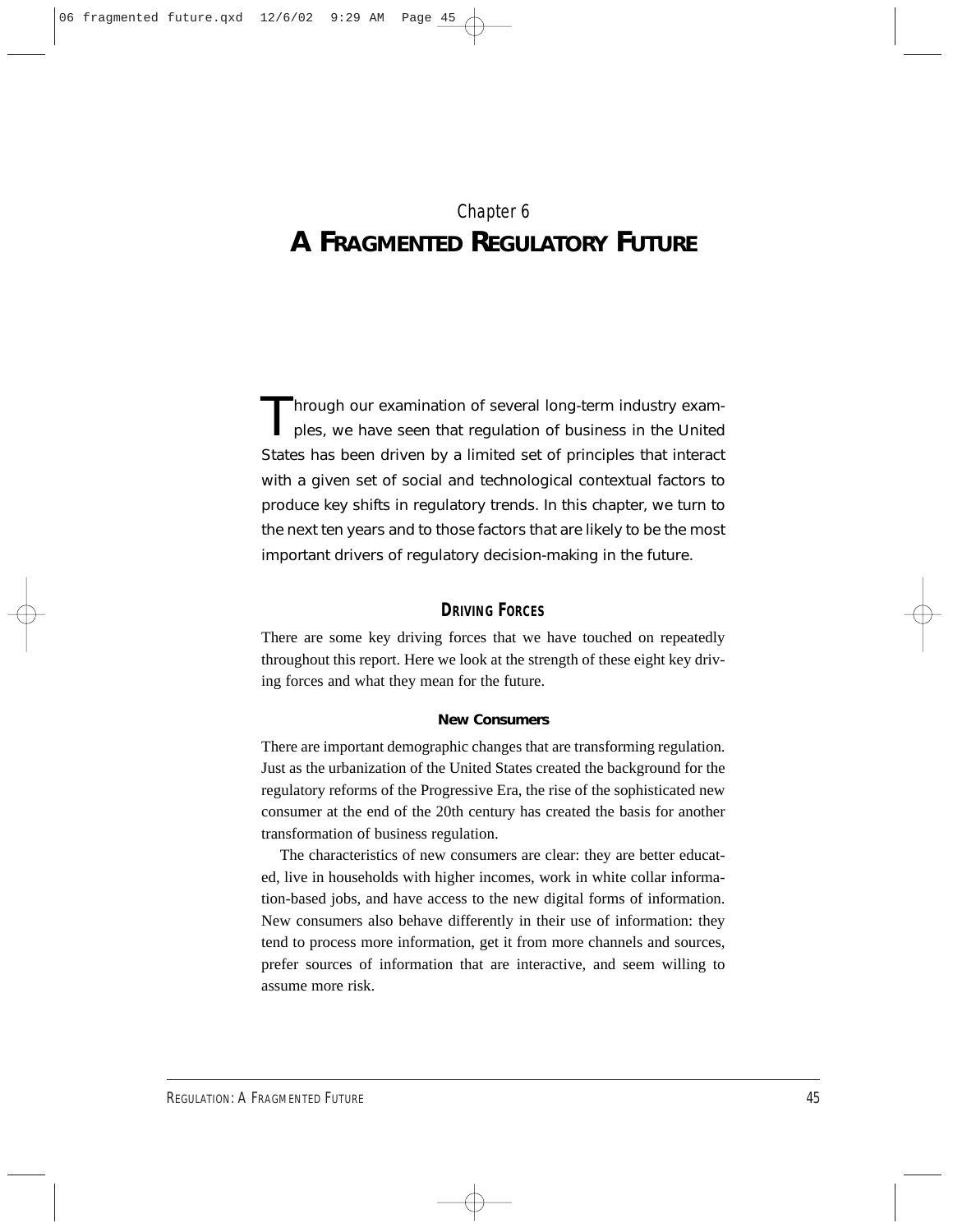## Chapter 6 **A FRAGMENTED REGULATORY FUTURE**

Through our examination of several long-term industry exam-<br>ples, we have seen that regulation of business in the United States has been driven by a limited set of principles that interact with a given set of social and technological contextual factors to produce key shifts in regulatory trends. In this chapter, we turn to the next ten years and to those factors that are likely to be the most important drivers of regulatory decision-making in the future.

## **DRIVING FORCES**

There are some key driving forces that we have touched on repeatedly throughout this report. Here we look at the strength of these eight key driving forces and what they mean for the future.

#### **New Consumers**

There are important demographic changes that are transforming regulation. Just as the urbanization of the United States created the background for the regulatory reforms of the Progressive Era, the rise of the sophisticated new consumer at the end of the 20th century has created the basis for another transformation of business regulation.

The characteristics of new consumers are clear: they are better educated, live in households with higher incomes, work in white collar information-based jobs, and have access to the new digital forms of information. New consumers also behave differently in their use of information: they tend to process more information, get it from more channels and sources, prefer sources of information that are interactive, and seem willing to assume more risk.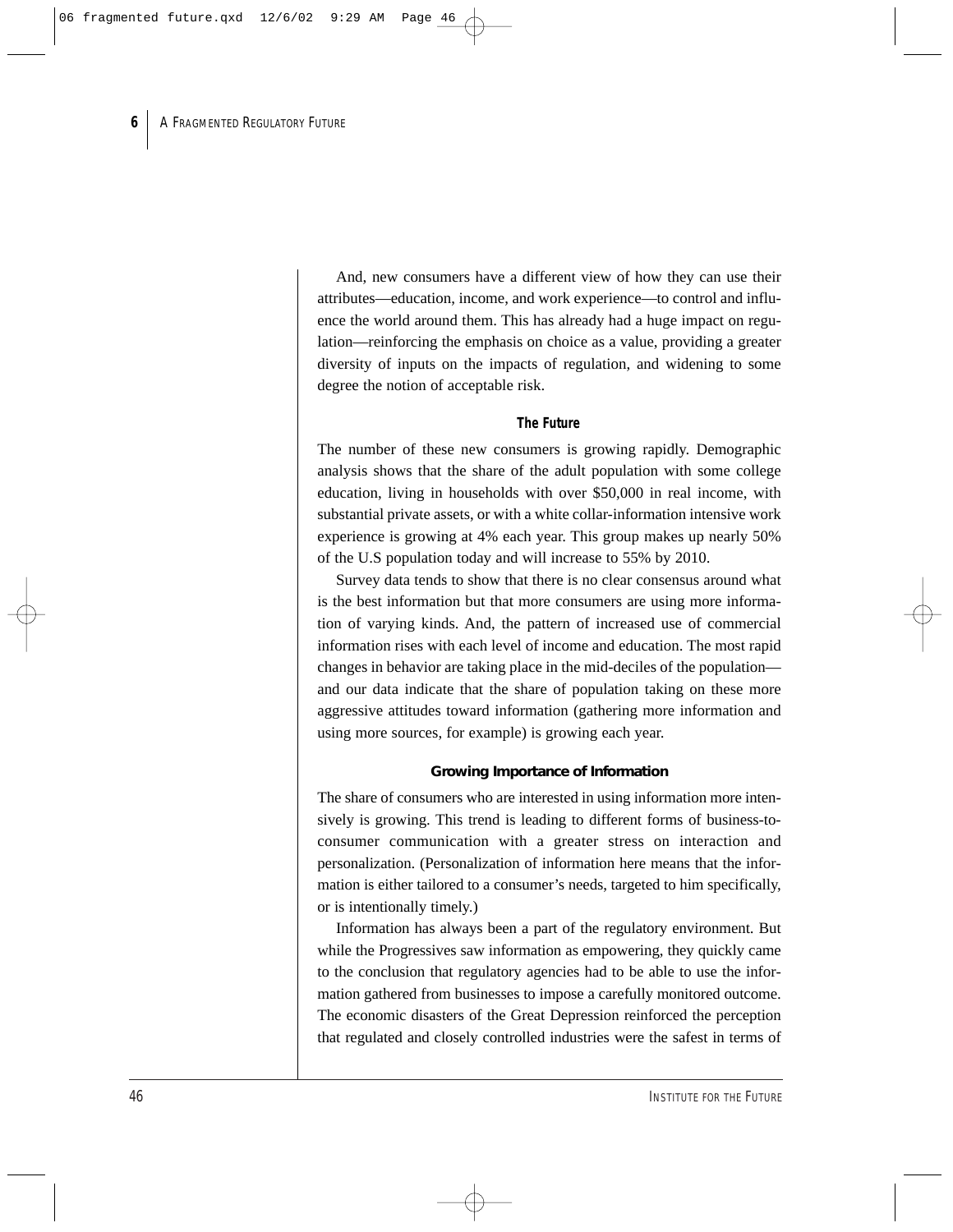And, new consumers have a different view of how they can use their attributes—education, income, and work experience—to control and influence the world around them. This has already had a huge impact on regulation—reinforcing the emphasis on choice as a value, providing a greater diversity of inputs on the impacts of regulation, and widening to some degree the notion of acceptable risk.

#### *The Future*

The number of these new consumers is growing rapidly. Demographic analysis shows that the share of the adult population with some college education, living in households with over \$50,000 in real income, with substantial private assets, or with a white collar-information intensive work experience is growing at 4% each year. This group makes up nearly 50% of the U.S population today and will increase to 55% by 2010.

Survey data tends to show that there is no clear consensus around what is the best information but that more consumers are using more information of varying kinds. And, the pattern of increased use of commercial information rises with each level of income and education. The most rapid changes in behavior are taking place in the mid-deciles of the population and our data indicate that the share of population taking on these more aggressive attitudes toward information (gathering more information and using more sources, for example) is growing each year.

#### **Growing Importance of Information**

The share of consumers who are interested in using information more intensively is growing. This trend is leading to different forms of business-toconsumer communication with a greater stress on interaction and personalization. (Personalization of information here means that the information is either tailored to a consumer's needs, targeted to him specifically, or is intentionally timely.)

Information has always been a part of the regulatory environment. But while the Progressives saw information as empowering, they quickly came to the conclusion that regulatory agencies had to be able to use the information gathered from businesses to impose a carefully monitored outcome. The economic disasters of the Great Depression reinforced the perception that regulated and closely controlled industries were the safest in terms of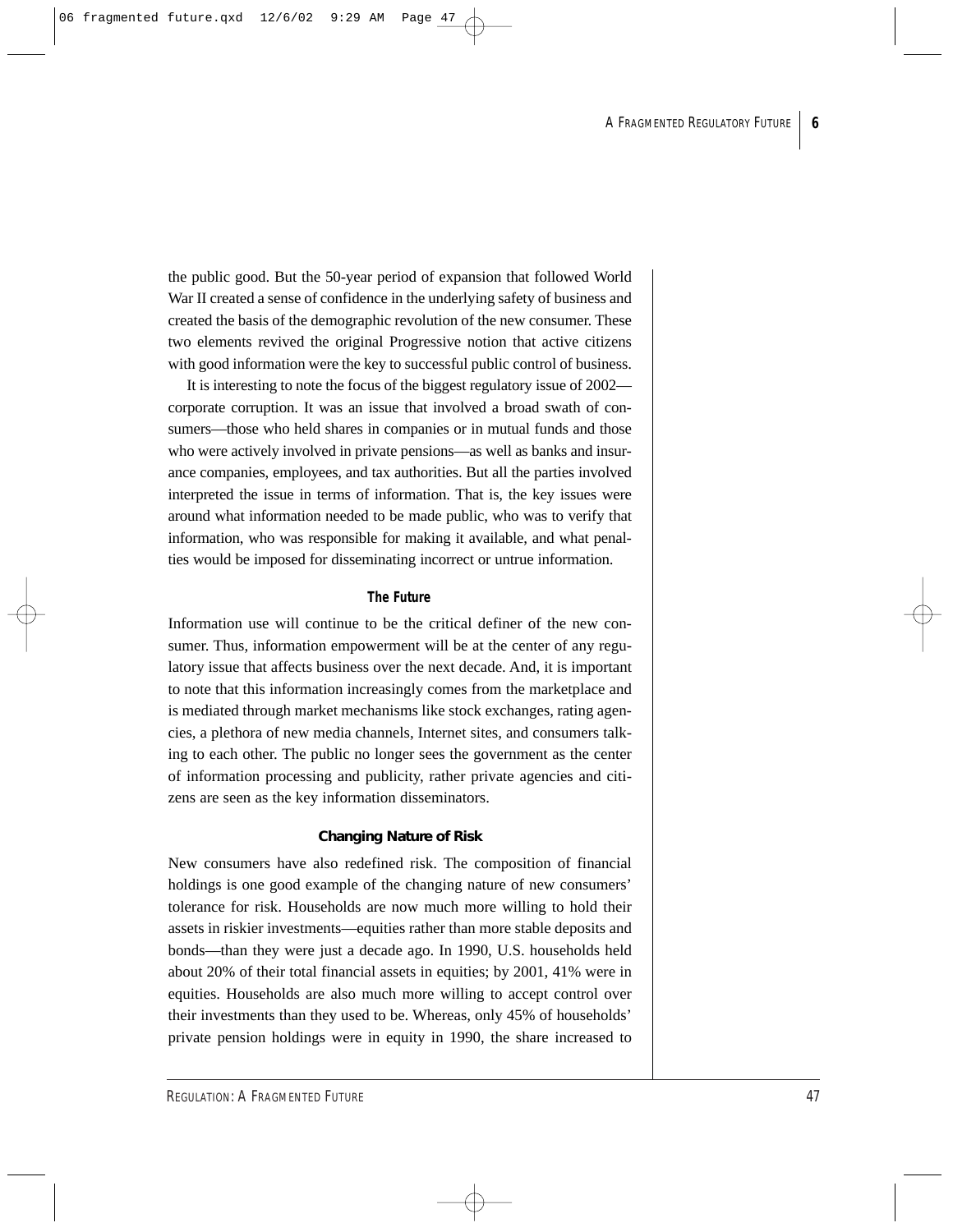the public good. But the 50-year period of expansion that followed World War II created a sense of confidence in the underlying safety of business and created the basis of the demographic revolution of the new consumer. These two elements revived the original Progressive notion that active citizens with good information were the key to successful public control of business.

It is interesting to note the focus of the biggest regulatory issue of 2002 corporate corruption. It was an issue that involved a broad swath of consumers—those who held shares in companies or in mutual funds and those who were actively involved in private pensions—as well as banks and insurance companies, employees, and tax authorities. But all the parties involved interpreted the issue in terms of information. That is, the key issues were around what information needed to be made public, who was to verify that information, who was responsible for making it available, and what penalties would be imposed for disseminating incorrect or untrue information.

#### *The Future*

Information use will continue to be the critical definer of the new consumer. Thus, information empowerment will be at the center of any regulatory issue that affects business over the next decade. And, it is important to note that this information increasingly comes from the marketplace and is mediated through market mechanisms like stock exchanges, rating agencies, a plethora of new media channels, Internet sites, and consumers talking to each other. The public no longer sees the government as the center of information processing and publicity, rather private agencies and citizens are seen as the key information disseminators.

#### **Changing Nature of Risk**

New consumers have also redefined risk. The composition of financial holdings is one good example of the changing nature of new consumers' tolerance for risk. Households are now much more willing to hold their assets in riskier investments—equities rather than more stable deposits and bonds—than they were just a decade ago. In 1990, U.S. households held about 20% of their total financial assets in equities; by 2001, 41% were in equities. Households are also much more willing to accept control over their investments than they used to be. Whereas, only 45% of households' private pension holdings were in equity in 1990, the share increased to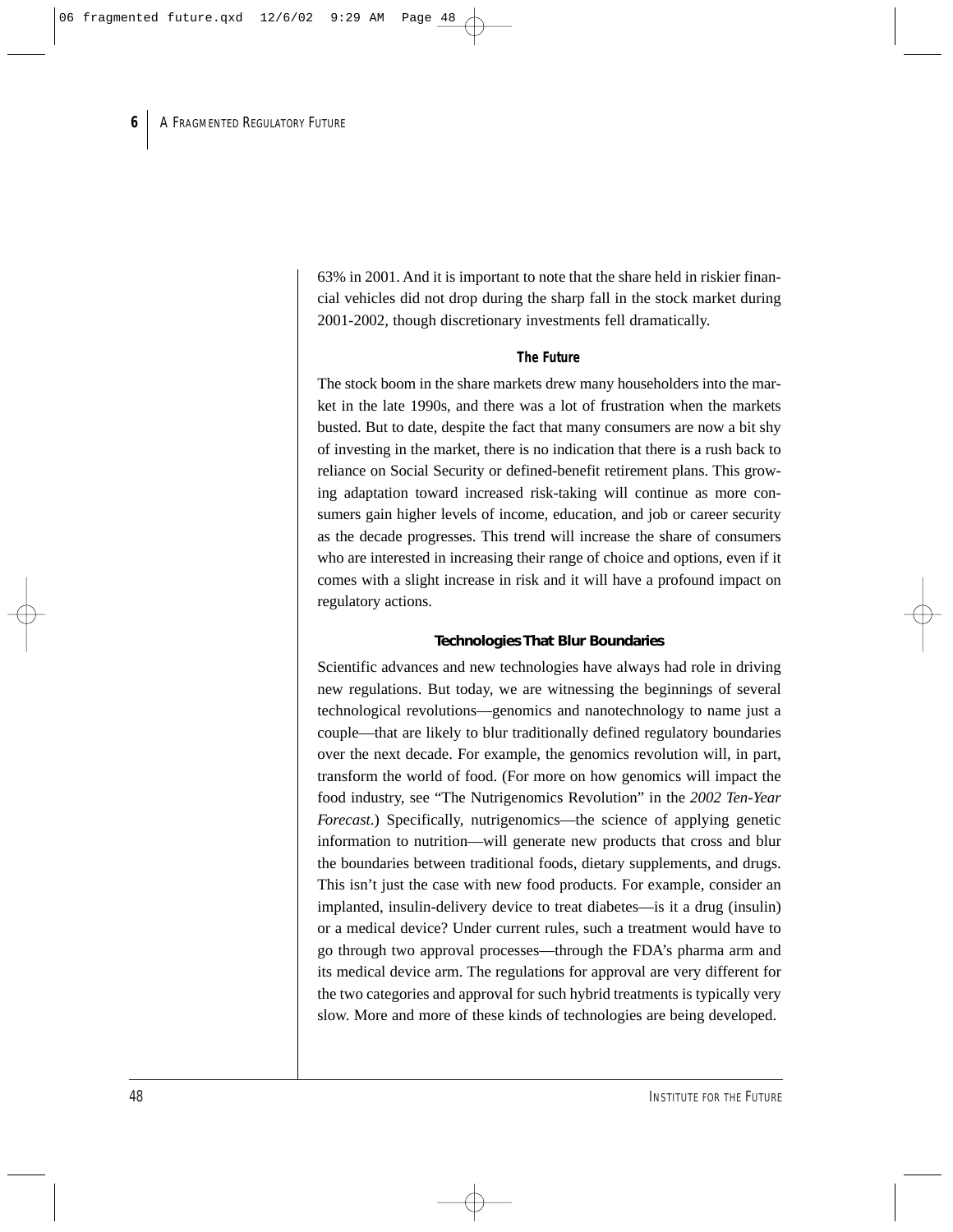63% in 2001. And it is important to note that the share held in riskier financial vehicles did not drop during the sharp fall in the stock market during 2001-2002, though discretionary investments fell dramatically.

#### *The Future*

The stock boom in the share markets drew many householders into the market in the late 1990s, and there was a lot of frustration when the markets busted. But to date, despite the fact that many consumers are now a bit shy of investing in the market, there is no indication that there is a rush back to reliance on Social Security or defined-benefit retirement plans. This growing adaptation toward increased risk-taking will continue as more consumers gain higher levels of income, education, and job or career security as the decade progresses. This trend will increase the share of consumers who are interested in increasing their range of choice and options, even if it comes with a slight increase in risk and it will have a profound impact on regulatory actions.

#### **Technologies That Blur Boundaries**

Scientific advances and new technologies have always had role in driving new regulations. But today, we are witnessing the beginnings of several technological revolutions—genomics and nanotechnology to name just a couple—that are likely to blur traditionally defined regulatory boundaries over the next decade. For example, the genomics revolution will, in part, transform the world of food. (For more on how genomics will impact the food industry, see "The Nutrigenomics Revolution" in the *2002 Ten-Year Forecast*.) Specifically, nutrigenomics—the science of applying genetic information to nutrition—will generate new products that cross and blur the boundaries between traditional foods, dietary supplements, and drugs. This isn't just the case with new food products. For example, consider an implanted, insulin-delivery device to treat diabetes—is it a drug (insulin) or a medical device? Under current rules, such a treatment would have to go through two approval processes—through the FDA's pharma arm and its medical device arm. The regulations for approval are very different for the two categories and approval for such hybrid treatments is typically very slow. More and more of these kinds of technologies are being developed.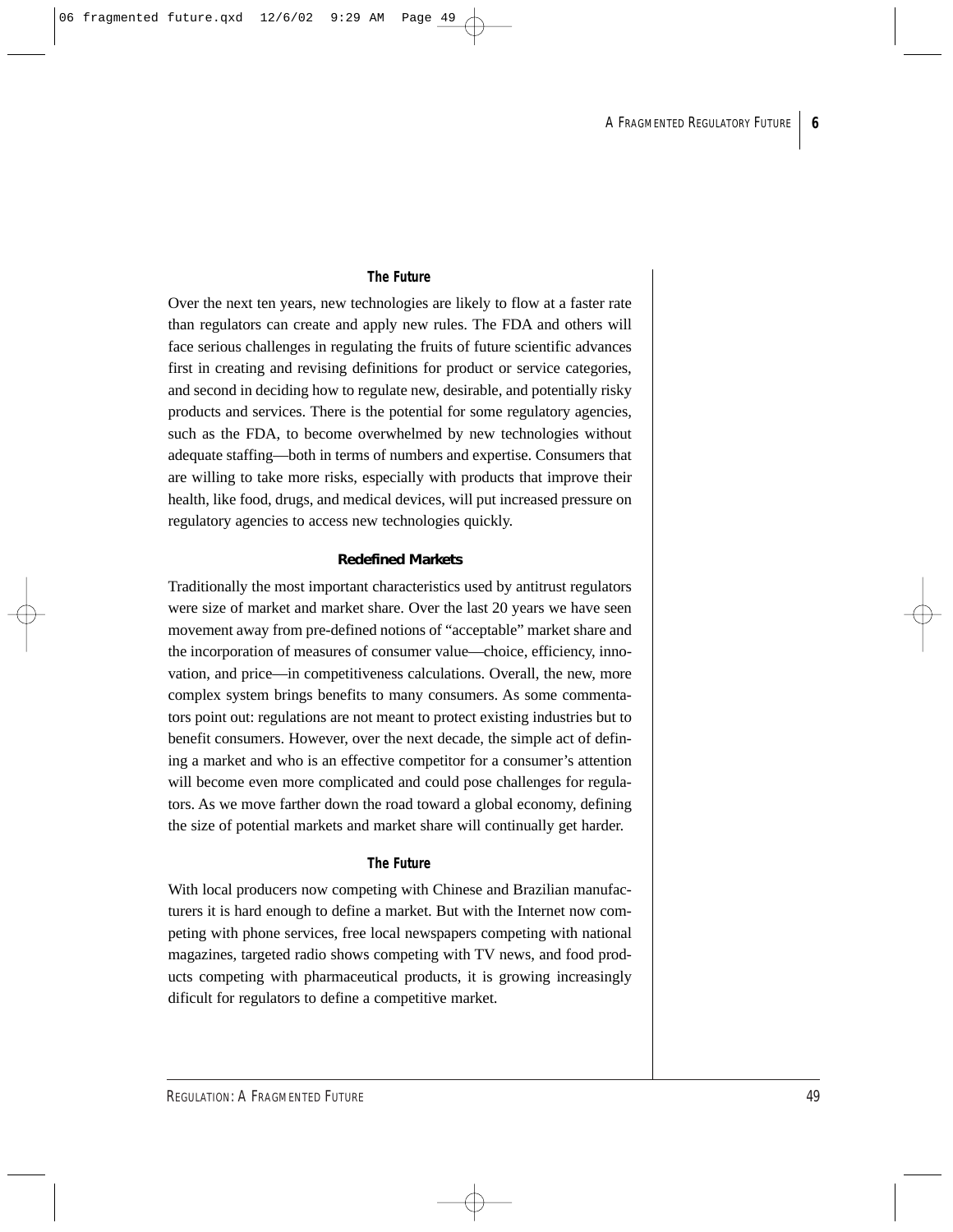#### *The Future*

Over the next ten years, new technologies are likely to flow at a faster rate than regulators can create and apply new rules. The FDA and others will face serious challenges in regulating the fruits of future scientific advances first in creating and revising definitions for product or service categories, and second in deciding how to regulate new, desirable, and potentially risky products and services. There is the potential for some regulatory agencies, such as the FDA, to become overwhelmed by new technologies without adequate staffing—both in terms of numbers and expertise. Consumers that are willing to take more risks, especially with products that improve their health, like food, drugs, and medical devices, will put increased pressure on regulatory agencies to access new technologies quickly.

#### **Redefined Markets**

Traditionally the most important characteristics used by antitrust regulators were size of market and market share. Over the last 20 years we have seen movement away from pre-defined notions of "acceptable" market share and the incorporation of measures of consumer value—choice, efficiency, innovation, and price—in competitiveness calculations. Overall, the new, more complex system brings benefits to many consumers. As some commentators point out: regulations are not meant to protect existing industries but to benefit consumers. However, over the next decade, the simple act of defining a market and who is an effective competitor for a consumer's attention will become even more complicated and could pose challenges for regulators. As we move farther down the road toward a global economy, defining the size of potential markets and market share will continually get harder.

#### *The Future*

With local producers now competing with Chinese and Brazilian manufacturers it is hard enough to define a market. But with the Internet now competing with phone services, free local newspapers competing with national magazines, targeted radio shows competing with TV news, and food products competing with pharmaceutical products, it is growing increasingly dificult for regulators to define a competitive market.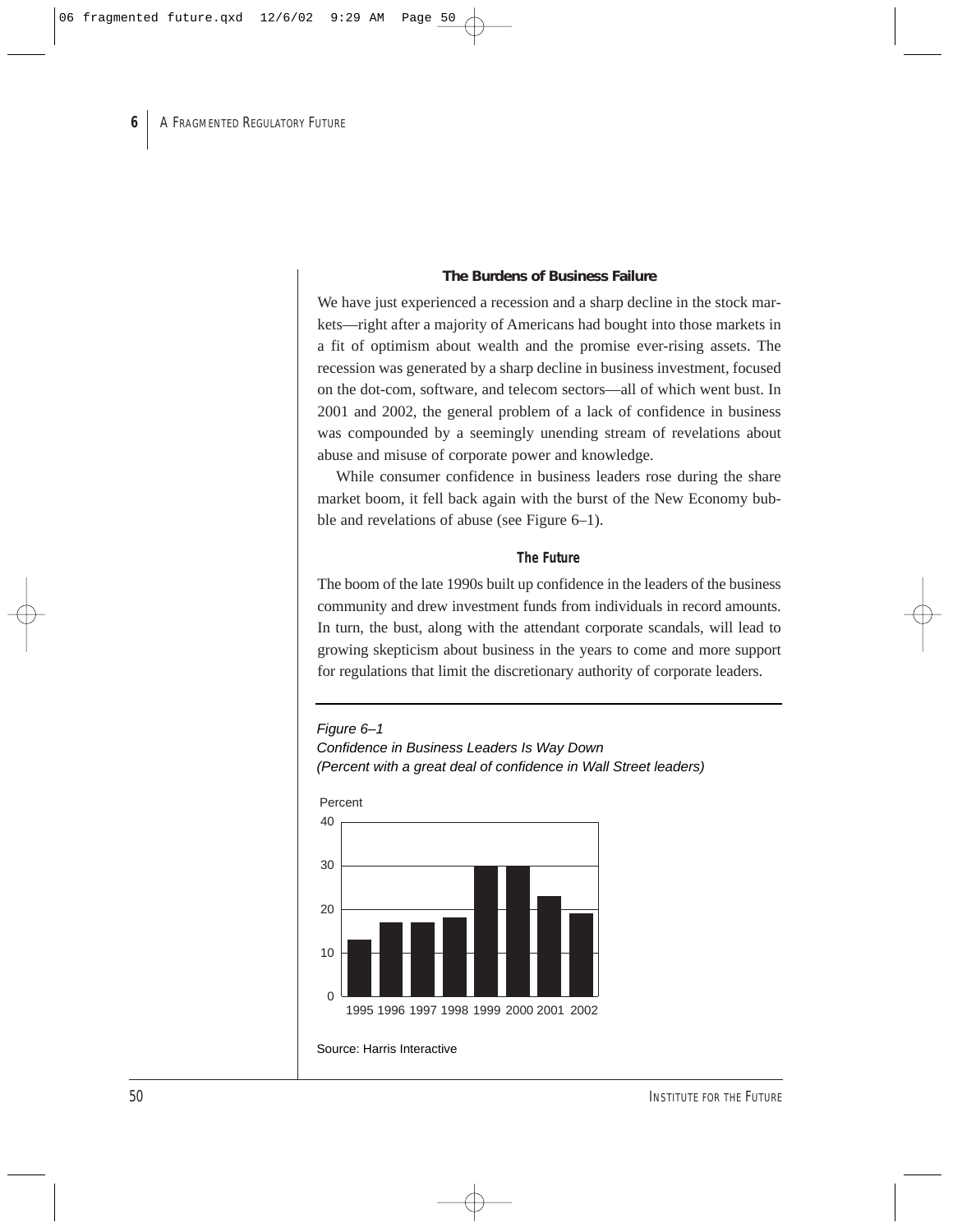#### **The Burdens of Business Failure**

We have just experienced a recession and a sharp decline in the stock markets—right after a majority of Americans had bought into those markets in a fit of optimism about wealth and the promise ever-rising assets. The recession was generated by a sharp decline in business investment, focused on the dot-com, software, and telecom sectors—all of which went bust. In 2001 and 2002, the general problem of a lack of confidence in business was compounded by a seemingly unending stream of revelations about abuse and misuse of corporate power and knowledge.

While consumer confidence in business leaders rose during the share market boom, it fell back again with the burst of the New Economy bubble and revelations of abuse (see Figure 6–1).

#### *The Future*

The boom of the late 1990s built up confidence in the leaders of the business community and drew investment funds from individuals in record amounts. In turn, the bust, along with the attendant corporate scandals, will lead to growing skepticism about business in the years to come and more support for regulations that limit the discretionary authority of corporate leaders.

#### Figure 6–1

Confidence in Business Leaders Is Way Down (Percent with a great deal of confidence in Wall Street leaders)



#### Percent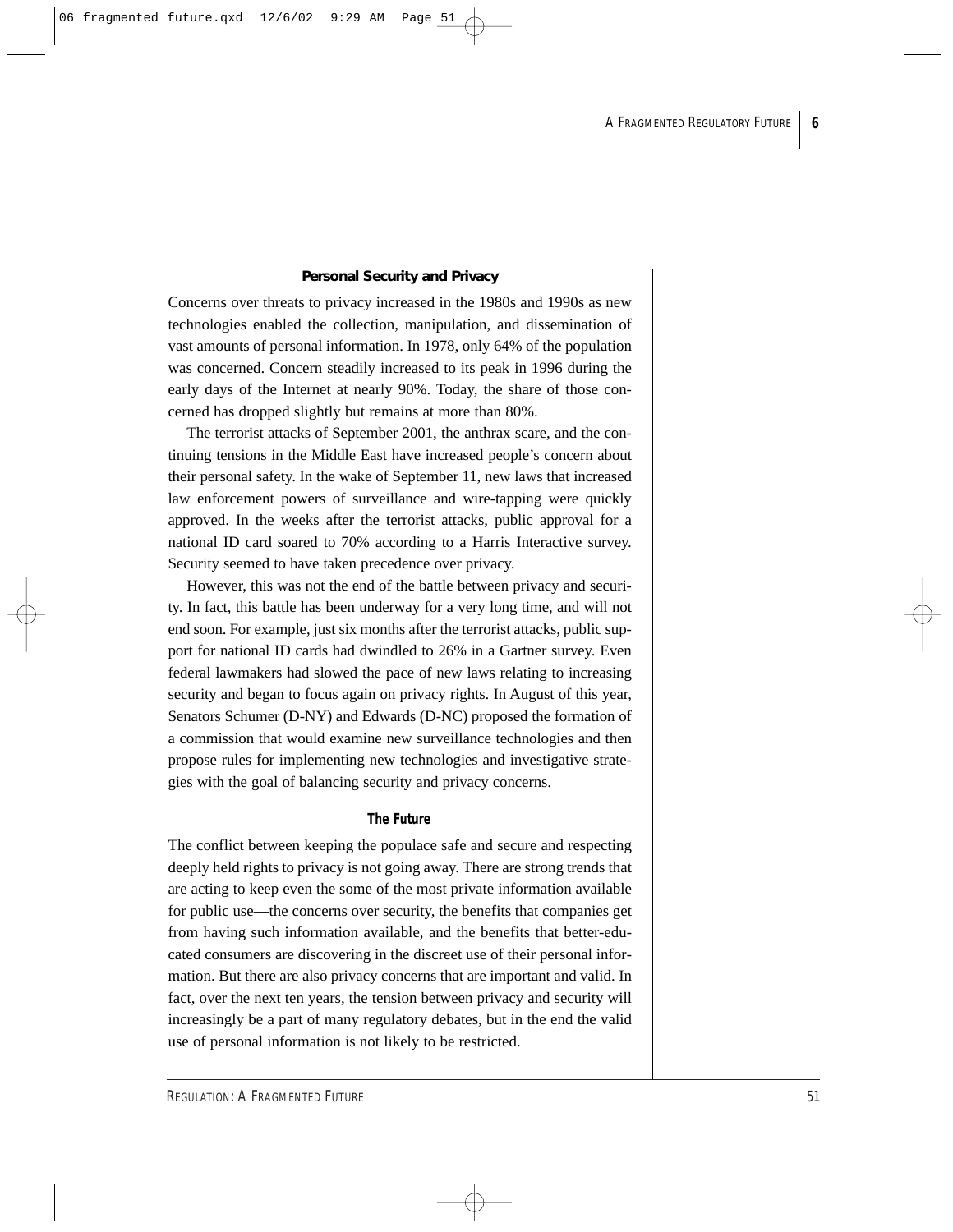#### **Personal Security and Privacy**

Concerns over threats to privacy increased in the 1980s and 1990s as new technologies enabled the collection, manipulation, and dissemination of vast amounts of personal information. In 1978, only 64% of the population was concerned. Concern steadily increased to its peak in 1996 during the early days of the Internet at nearly 90%. Today, the share of those concerned has dropped slightly but remains at more than 80%.

The terrorist attacks of September 2001, the anthrax scare, and the continuing tensions in the Middle East have increased people's concern about their personal safety. In the wake of September 11, new laws that increased law enforcement powers of surveillance and wire-tapping were quickly approved. In the weeks after the terrorist attacks, public approval for a national ID card soared to 70% according to a Harris Interactive survey. Security seemed to have taken precedence over privacy.

However, this was not the end of the battle between privacy and security. In fact, this battle has been underway for a very long time, and will not end soon. For example, just six months after the terrorist attacks, public support for national ID cards had dwindled to 26% in a Gartner survey. Even federal lawmakers had slowed the pace of new laws relating to increasing security and began to focus again on privacy rights. In August of this year, Senators Schumer (D-NY) and Edwards (D-NC) proposed the formation of a commission that would examine new surveillance technologies and then propose rules for implementing new technologies and investigative strategies with the goal of balancing security and privacy concerns.

#### *The Future*

The conflict between keeping the populace safe and secure and respecting deeply held rights to privacy is not going away. There are strong trends that are acting to keep even the some of the most private information available for public use—the concerns over security, the benefits that companies get from having such information available, and the benefits that better-educated consumers are discovering in the discreet use of their personal information. But there are also privacy concerns that are important and valid. In fact, over the next ten years, the tension between privacy and security will increasingly be a part of many regulatory debates, but in the end the valid use of personal information is not likely to be restricted.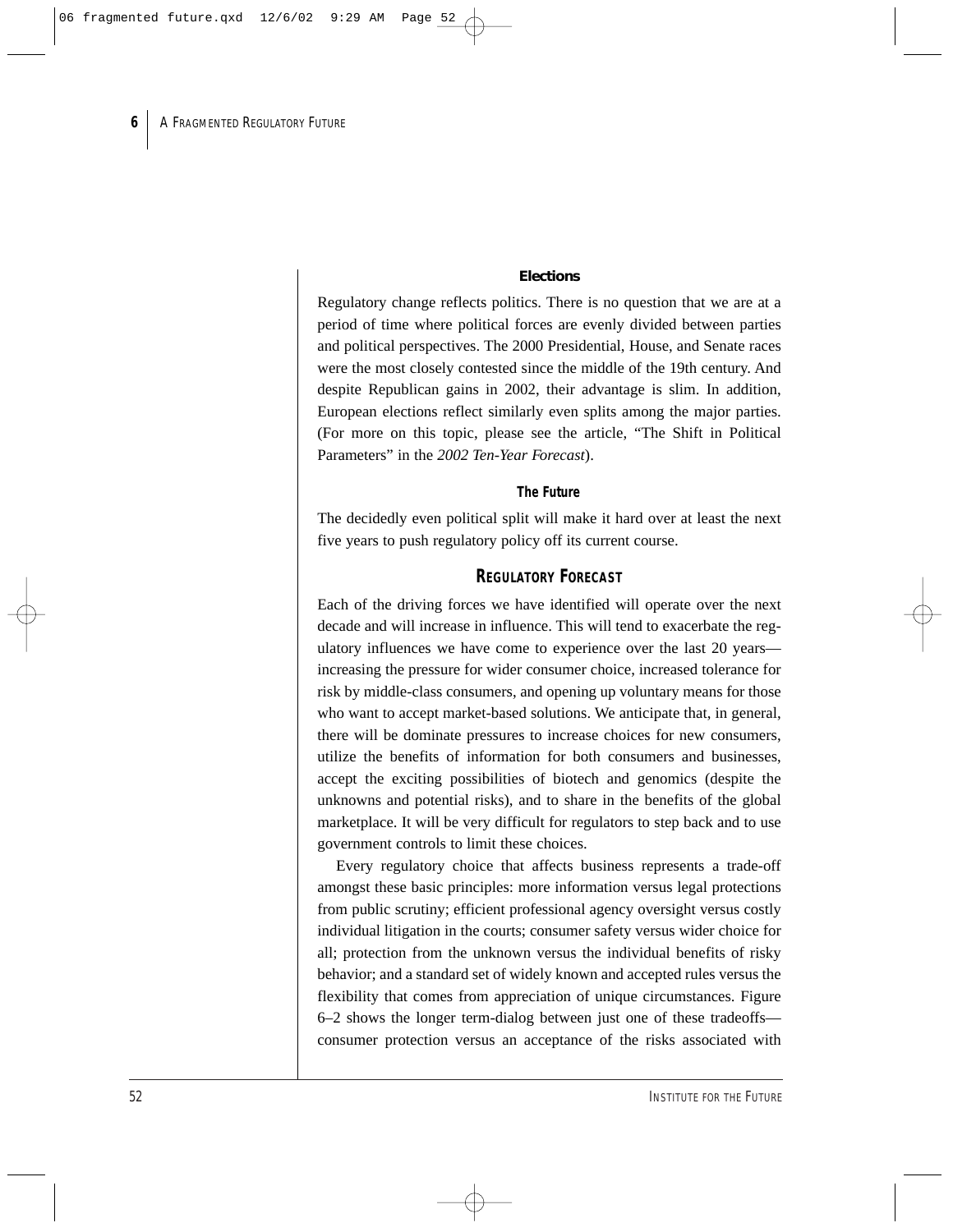#### **Elections**

Regulatory change reflects politics. There is no question that we are at a period of time where political forces are evenly divided between parties and political perspectives. The 2000 Presidential, House, and Senate races were the most closely contested since the middle of the 19th century. And despite Republican gains in 2002, their advantage is slim. In addition, European elections reflect similarly even splits among the major parties. (For more on this topic, please see the article, "The Shift in Political Parameters" in the *2002 Ten-Year Forecast*).

#### *The Future*

The decidedly even political split will make it hard over at least the next five years to push regulatory policy off its current course.

## **REGULATORY FORECAST**

Each of the driving forces we have identified will operate over the next decade and will increase in influence. This will tend to exacerbate the regulatory influences we have come to experience over the last 20 years increasing the pressure for wider consumer choice, increased tolerance for risk by middle-class consumers, and opening up voluntary means for those who want to accept market-based solutions. We anticipate that, in general, there will be dominate pressures to increase choices for new consumers, utilize the benefits of information for both consumers and businesses, accept the exciting possibilities of biotech and genomics (despite the unknowns and potential risks), and to share in the benefits of the global marketplace. It will be very difficult for regulators to step back and to use government controls to limit these choices.

Every regulatory choice that affects business represents a trade-off amongst these basic principles: more information versus legal protections from public scrutiny; efficient professional agency oversight versus costly individual litigation in the courts; consumer safety versus wider choice for all; protection from the unknown versus the individual benefits of risky behavior; and a standard set of widely known and accepted rules versus the flexibility that comes from appreciation of unique circumstances. Figure 6–2 shows the longer term-dialog between just one of these tradeoffs consumer protection versus an acceptance of the risks associated with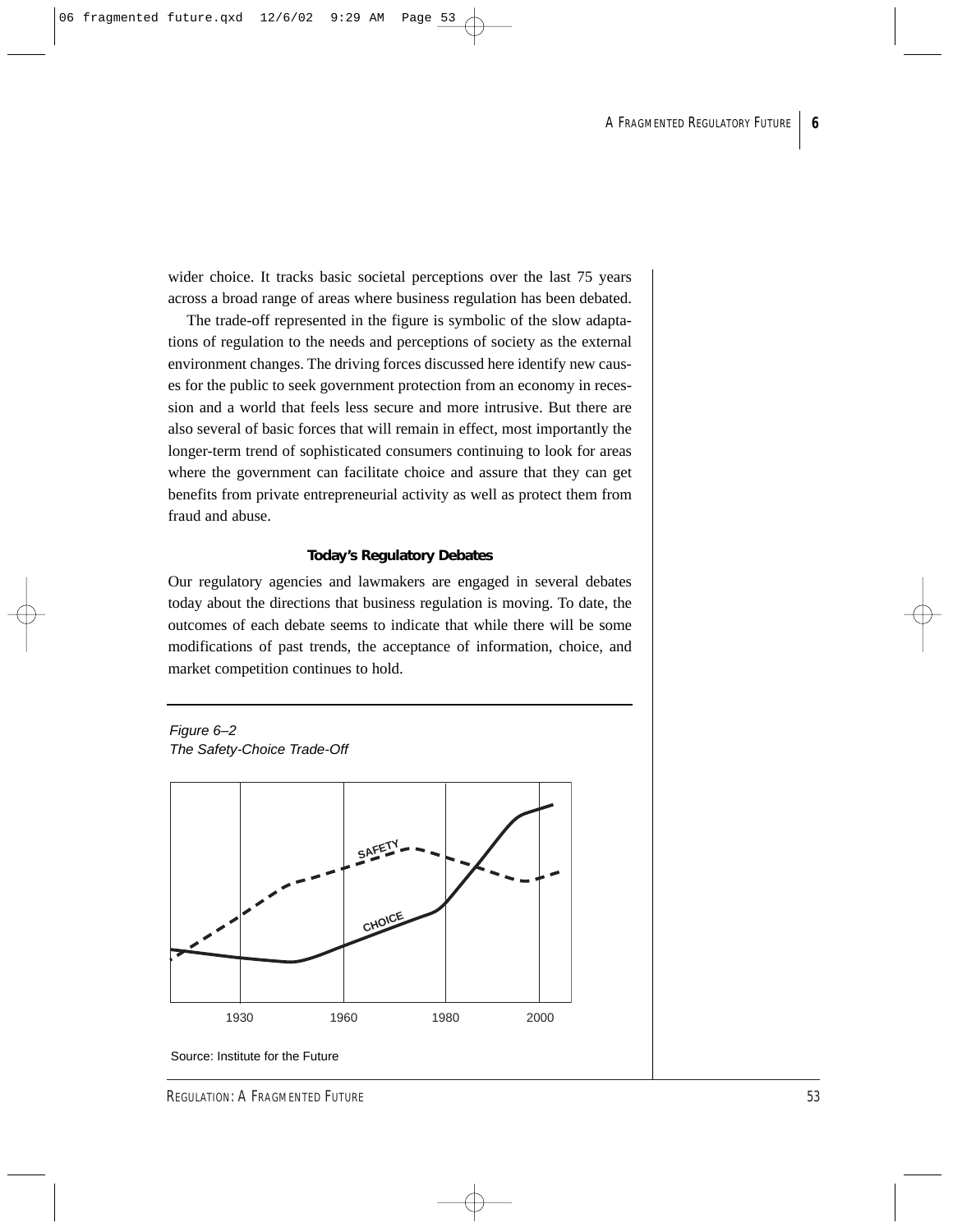wider choice. It tracks basic societal perceptions over the last 75 years across a broad range of areas where business regulation has been debated.

The trade-off represented in the figure is symbolic of the slow adaptations of regulation to the needs and perceptions of society as the external environment changes. The driving forces discussed here identify new causes for the public to seek government protection from an economy in recession and a world that feels less secure and more intrusive. But there are also several of basic forces that will remain in effect, most importantly the longer-term trend of sophisticated consumers continuing to look for areas where the government can facilitate choice and assure that they can get benefits from private entrepreneurial activity as well as protect them from fraud and abuse.

#### **Today's Regulatory Debates**

Our regulatory agencies and lawmakers are engaged in several debates today about the directions that business regulation is moving. To date, the outcomes of each debate seems to indicate that while there will be some modifications of past trends, the acceptance of information, choice, and market competition continues to hold.





Source: Institute for the Future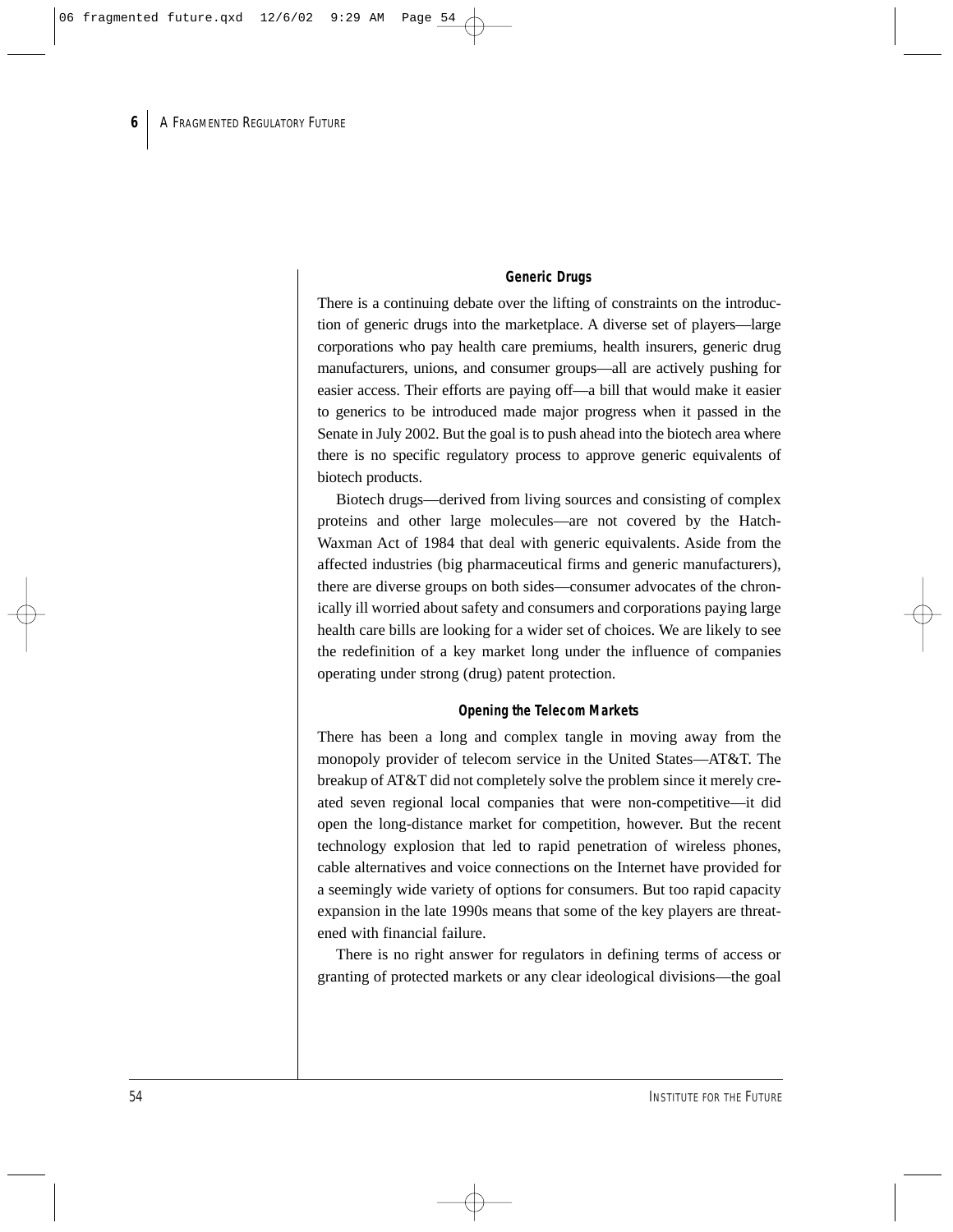#### *Generic Drugs*

There is a continuing debate over the lifting of constraints on the introduction of generic drugs into the marketplace. A diverse set of players—large corporations who pay health care premiums, health insurers, generic drug manufacturers, unions, and consumer groups—all are actively pushing for easier access. Their efforts are paying off—a bill that would make it easier to generics to be introduced made major progress when it passed in the Senate in July 2002. But the goal is to push ahead into the biotech area where there is no specific regulatory process to approve generic equivalents of biotech products.

Biotech drugs—derived from living sources and consisting of complex proteins and other large molecules—are not covered by the Hatch-Waxman Act of 1984 that deal with generic equivalents. Aside from the affected industries (big pharmaceutical firms and generic manufacturers), there are diverse groups on both sides—consumer advocates of the chronically ill worried about safety and consumers and corporations paying large health care bills are looking for a wider set of choices. We are likely to see the redefinition of a key market long under the influence of companies operating under strong (drug) patent protection.

#### *Opening the Telecom Markets*

There has been a long and complex tangle in moving away from the monopoly provider of telecom service in the United States—AT&T. The breakup of AT&T did not completely solve the problem since it merely created seven regional local companies that were non-competitive—it did open the long-distance market for competition, however. But the recent technology explosion that led to rapid penetration of wireless phones, cable alternatives and voice connections on the Internet have provided for a seemingly wide variety of options for consumers. But too rapid capacity expansion in the late 1990s means that some of the key players are threatened with financial failure.

There is no right answer for regulators in defining terms of access or granting of protected markets or any clear ideological divisions—the goal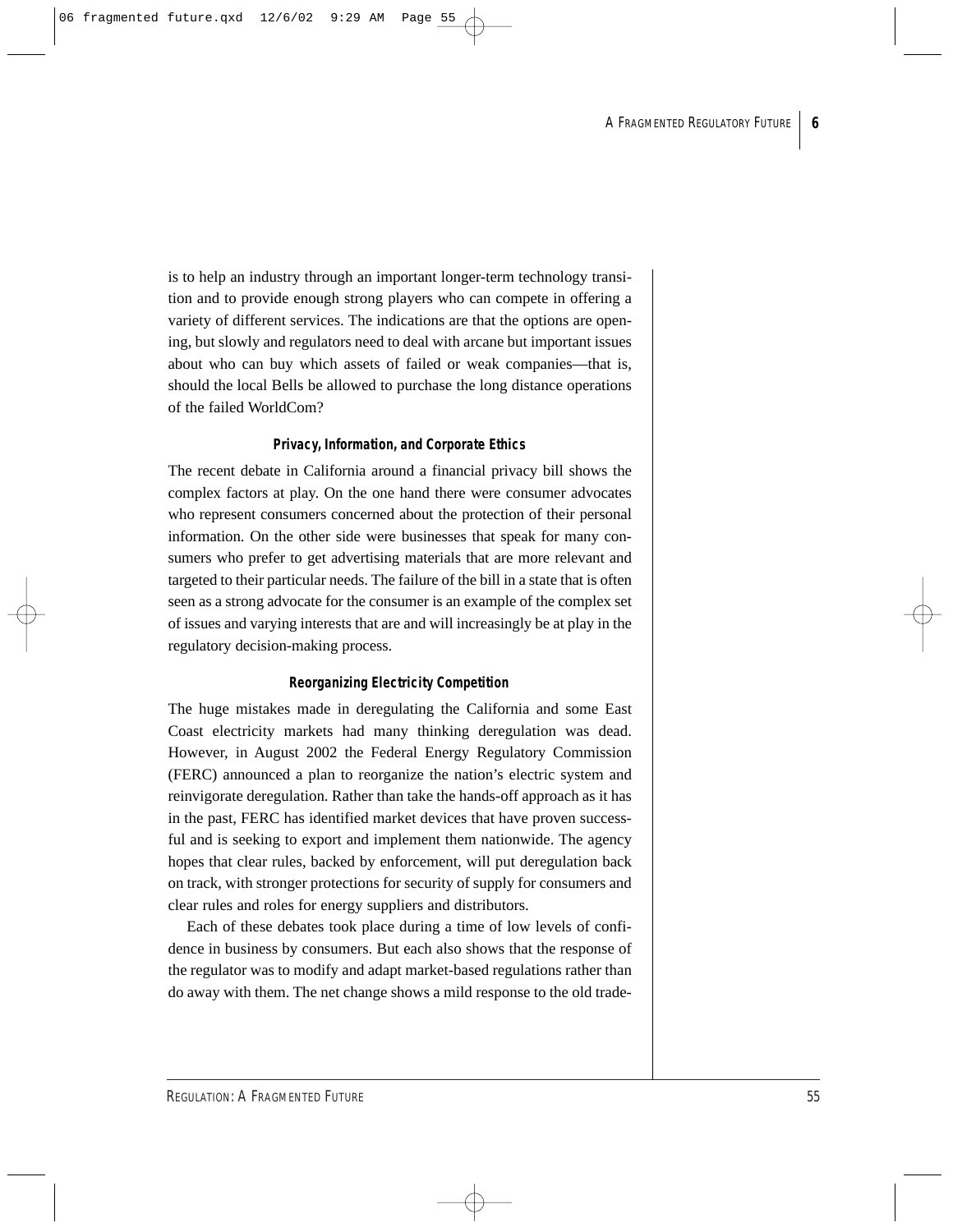is to help an industry through an important longer-term technology transition and to provide enough strong players who can compete in offering a variety of different services. The indications are that the options are opening, but slowly and regulators need to deal with arcane but important issues about who can buy which assets of failed or weak companies—that is, should the local Bells be allowed to purchase the long distance operations of the failed WorldCom?

#### *Privacy, Information, and Corporate Ethics*

The recent debate in California around a financial privacy bill shows the complex factors at play. On the one hand there were consumer advocates who represent consumers concerned about the protection of their personal information. On the other side were businesses that speak for many consumers who prefer to get advertising materials that are more relevant and targeted to their particular needs. The failure of the bill in a state that is often seen as a strong advocate for the consumer is an example of the complex set of issues and varying interests that are and will increasingly be at play in the regulatory decision-making process.

#### *Reorganizing Electricity Competition*

The huge mistakes made in deregulating the California and some East Coast electricity markets had many thinking deregulation was dead. However, in August 2002 the Federal Energy Regulatory Commission (FERC) announced a plan to reorganize the nation's electric system and reinvigorate deregulation. Rather than take the hands-off approach as it has in the past, FERC has identified market devices that have proven successful and is seeking to export and implement them nationwide. The agency hopes that clear rules, backed by enforcement, will put deregulation back on track, with stronger protections for security of supply for consumers and clear rules and roles for energy suppliers and distributors.

Each of these debates took place during a time of low levels of confidence in business by consumers. But each also shows that the response of the regulator was to modify and adapt market-based regulations rather than do away with them. The net change shows a mild response to the old trade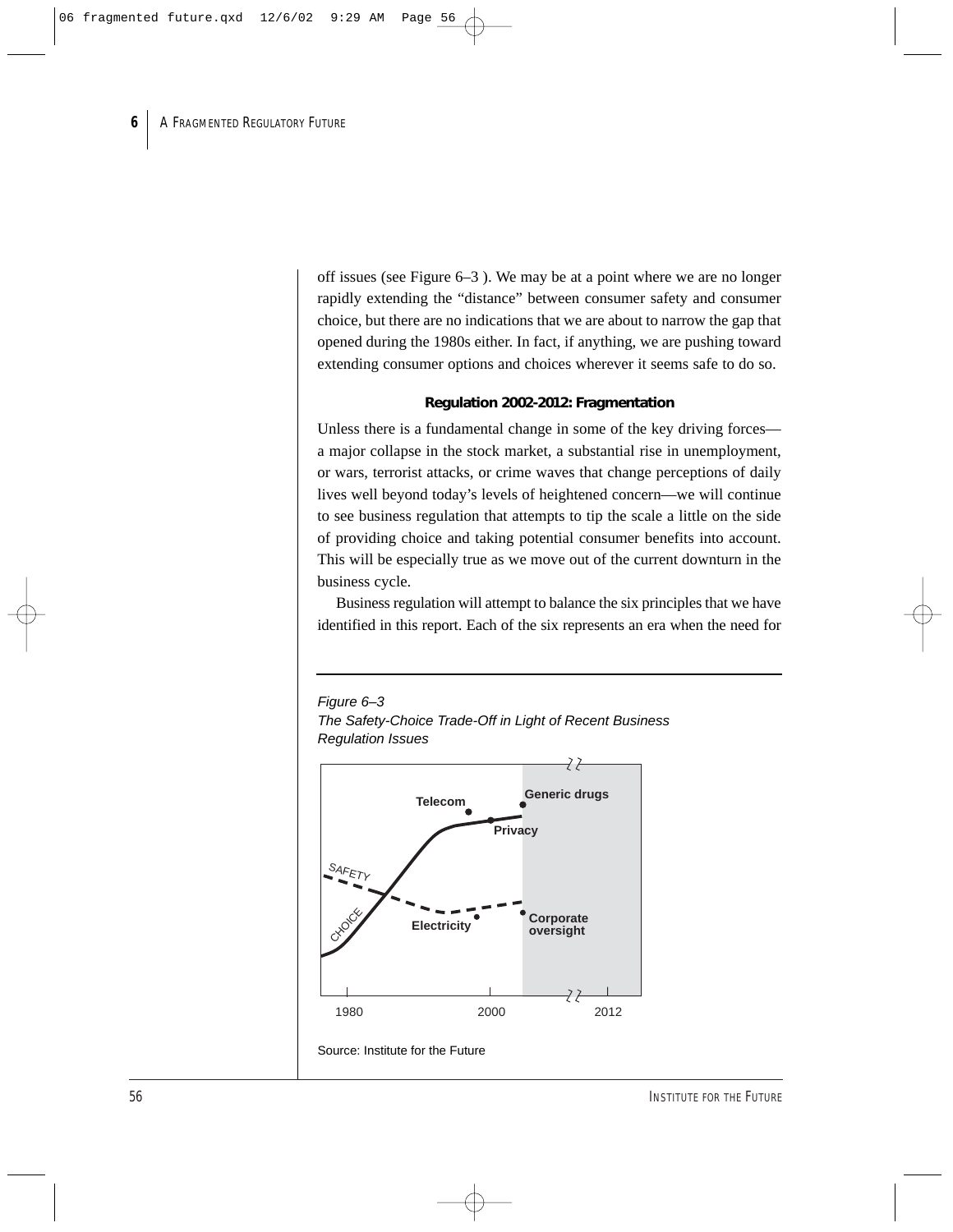off issues (see Figure 6–3 ). We may be at a point where we are no longer rapidly extending the "distance" between consumer safety and consumer choice, but there are no indications that we are about to narrow the gap that opened during the 1980s either. In fact, if anything, we are pushing toward extending consumer options and choices wherever it seems safe to do so.

#### **Regulation 2002-2012: Fragmentation**

Unless there is a fundamental change in some of the key driving forces a major collapse in the stock market, a substantial rise in unemployment, or wars, terrorist attacks, or crime waves that change perceptions of daily lives well beyond today's levels of heightened concern—we will continue to see business regulation that attempts to tip the scale a little on the side of providing choice and taking potential consumer benefits into account. This will be especially true as we move out of the current downturn in the business cycle.

Business regulation will attempt to balance the six principles that we have identified in this report. Each of the six represents an era when the need for

## Figure 6–3



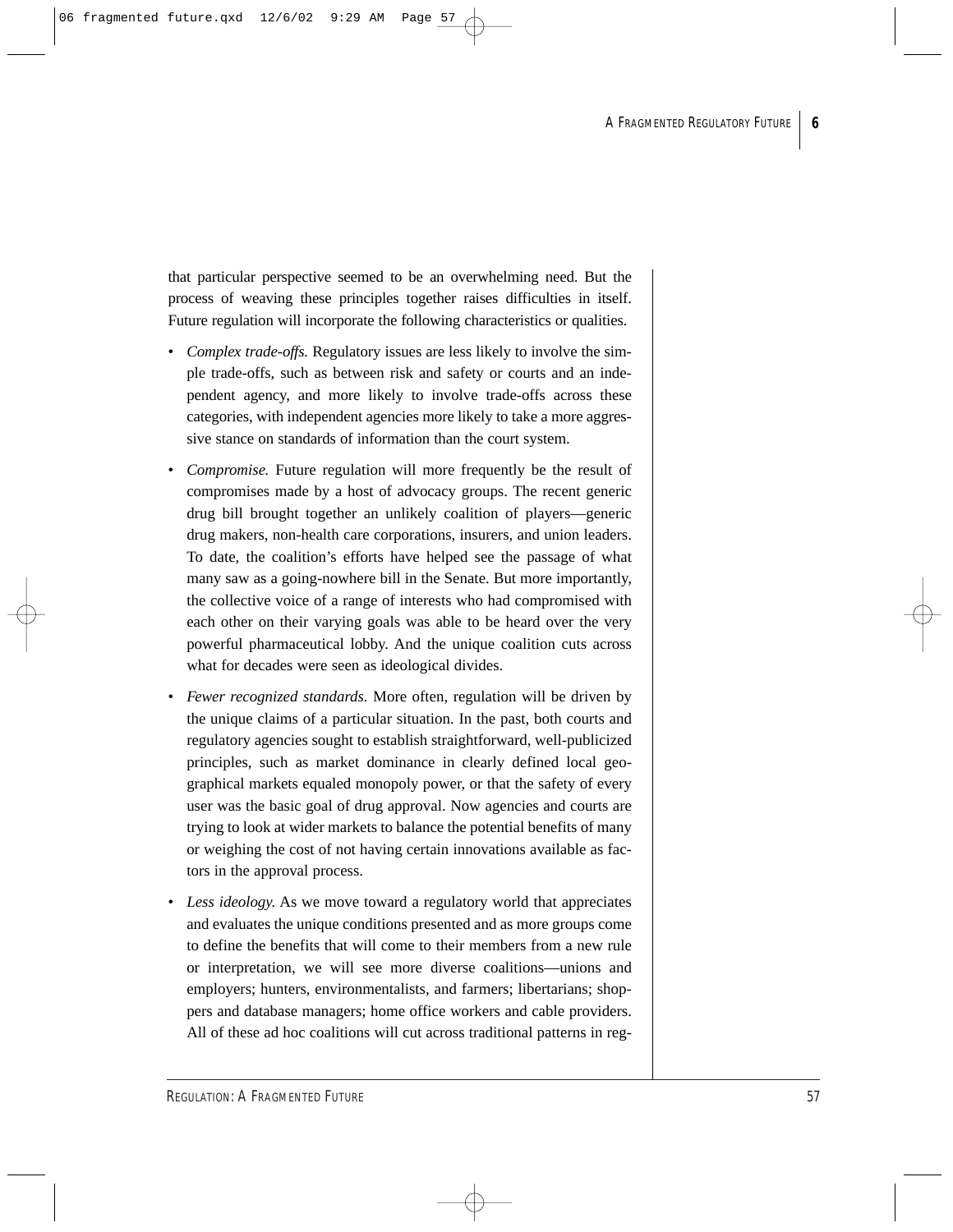that particular perspective seemed to be an overwhelming need. But the process of weaving these principles together raises difficulties in itself. Future regulation will incorporate the following characteristics or qualities.

- *Complex trade-offs.* Regulatory issues are less likely to involve the simple trade-offs, such as between risk and safety or courts and an independent agency, and more likely to involve trade-offs across these categories, with independent agencies more likely to take a more aggressive stance on standards of information than the court system.
- *Compromise.* Future regulation will more frequently be the result of compromises made by a host of advocacy groups. The recent generic drug bill brought together an unlikely coalition of players—generic drug makers, non-health care corporations, insurers, and union leaders. To date, the coalition's efforts have helped see the passage of what many saw as a going-nowhere bill in the Senate. But more importantly, the collective voice of a range of interests who had compromised with each other on their varying goals was able to be heard over the very powerful pharmaceutical lobby. And the unique coalition cuts across what for decades were seen as ideological divides.
- *Fewer recognized standards.* More often, regulation will be driven by the unique claims of a particular situation. In the past, both courts and regulatory agencies sought to establish straightforward, well-publicized principles, such as market dominance in clearly defined local geographical markets equaled monopoly power, or that the safety of every user was the basic goal of drug approval. Now agencies and courts are trying to look at wider markets to balance the potential benefits of many or weighing the cost of not having certain innovations available as factors in the approval process.
- *Less ideology.* As we move toward a regulatory world that appreciates and evaluates the unique conditions presented and as more groups come to define the benefits that will come to their members from a new rule or interpretation, we will see more diverse coalitions—unions and employers; hunters, environmentalists, and farmers; libertarians; shoppers and database managers; home office workers and cable providers. All of these ad hoc coalitions will cut across traditional patterns in reg-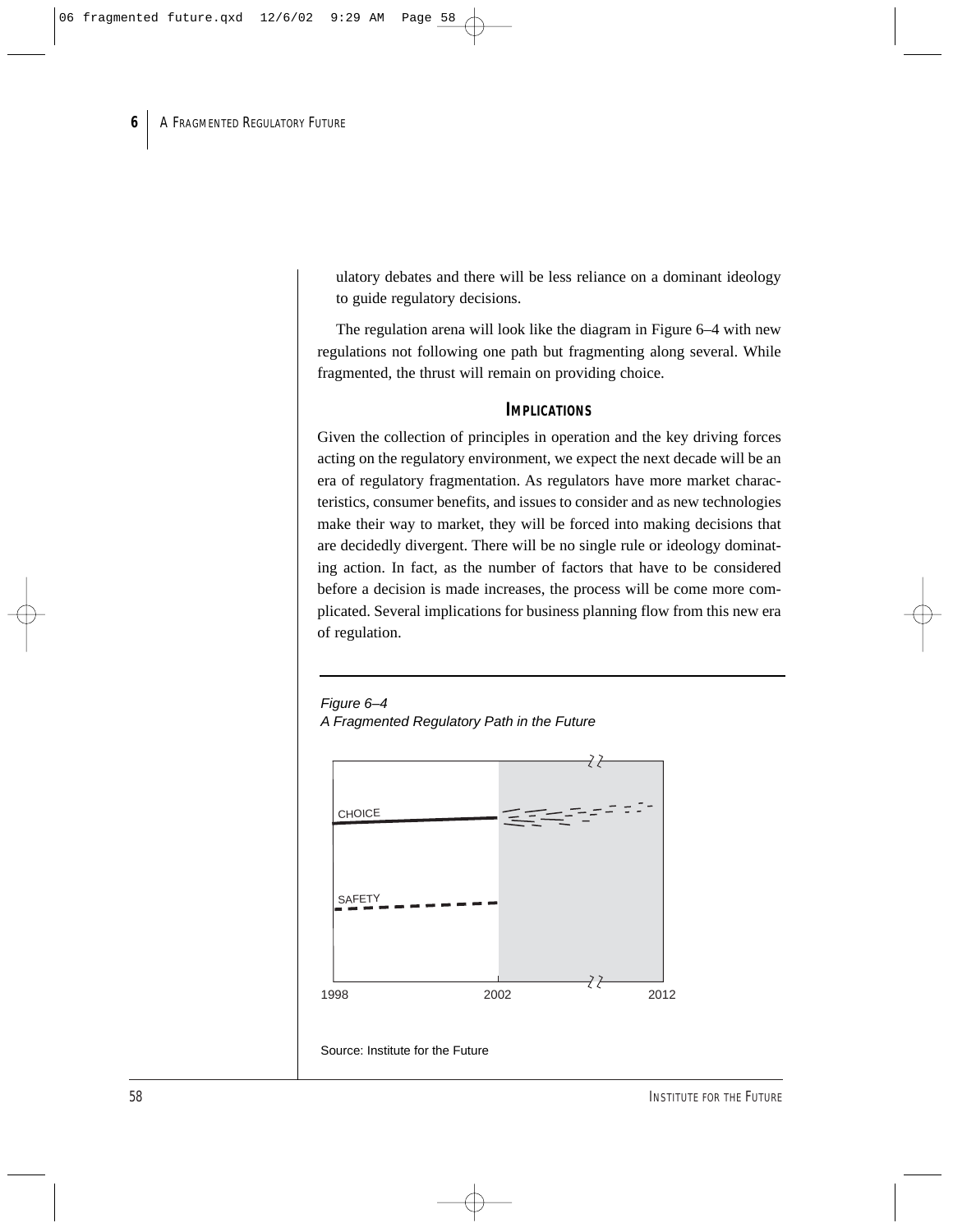ulatory debates and there will be less reliance on a dominant ideology to guide regulatory decisions.

The regulation arena will look like the diagram in Figure 6–4 with new regulations not following one path but fragmenting along several. While fragmented, the thrust will remain on providing choice.

#### **IMPLICATIONS**

Given the collection of principles in operation and the key driving forces acting on the regulatory environment, we expect the next decade will be an era of regulatory fragmentation. As regulators have more market characteristics, consumer benefits, and issues to consider and as new technologies make their way to market, they will be forced into making decisions that are decidedly divergent. There will be no single rule or ideology dominating action. In fact, as the number of factors that have to be considered before a decision is made increases, the process will be come more complicated. Several implications for business planning flow from this new era of regulation.

Figure 6-4 A Fragmented Regulatory Path in the Future

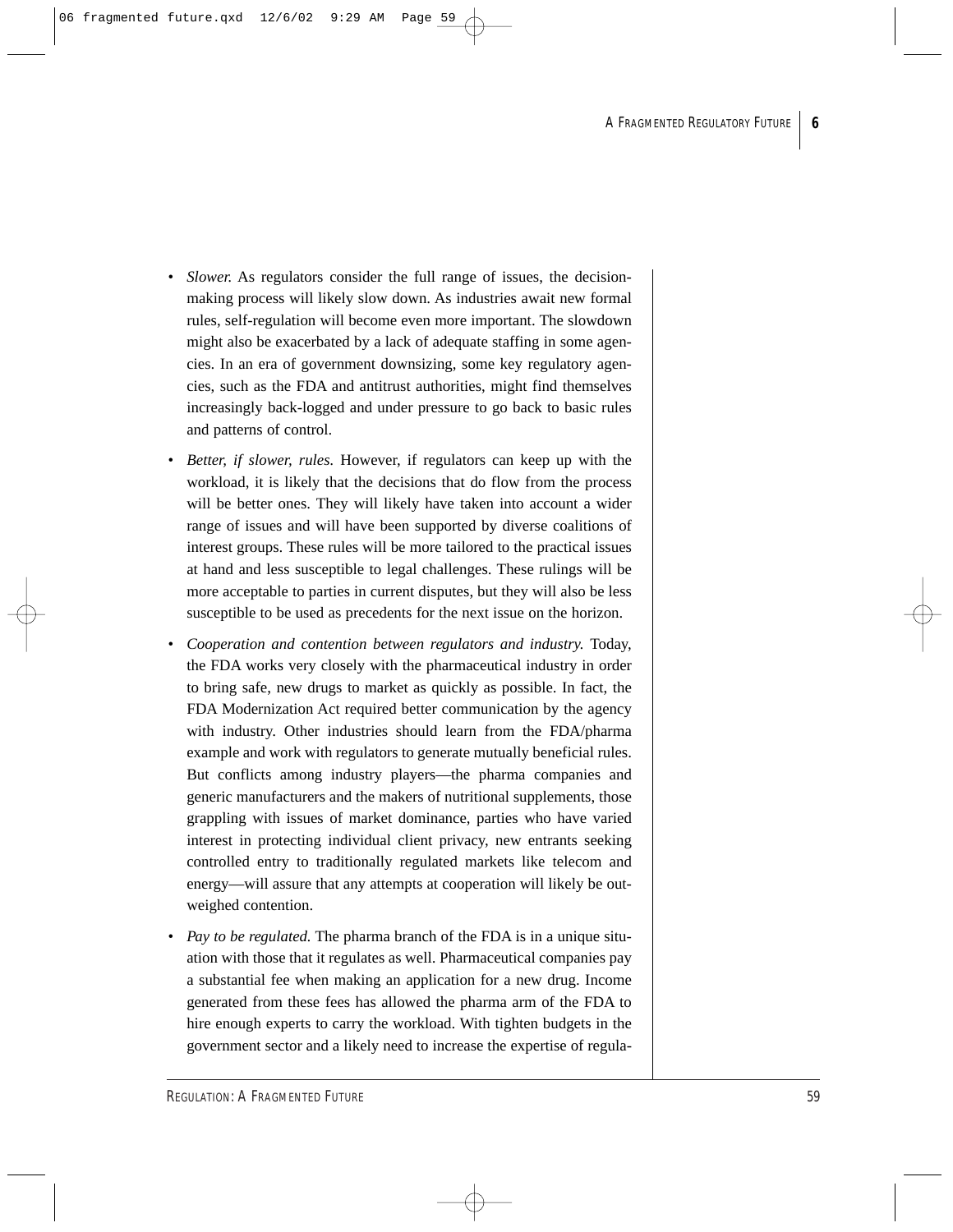- *Slower.* As regulators consider the full range of issues, the decisionmaking process will likely slow down. As industries await new formal rules, self-regulation will become even more important. The slowdown might also be exacerbated by a lack of adequate staffing in some agencies. In an era of government downsizing, some key regulatory agencies, such as the FDA and antitrust authorities, might find themselves increasingly back-logged and under pressure to go back to basic rules and patterns of control.
- *Better, if slower, rules.* However, if regulators can keep up with the workload, it is likely that the decisions that do flow from the process will be better ones. They will likely have taken into account a wider range of issues and will have been supported by diverse coalitions of interest groups. These rules will be more tailored to the practical issues at hand and less susceptible to legal challenges. These rulings will be more acceptable to parties in current disputes, but they will also be less susceptible to be used as precedents for the next issue on the horizon.
- *Cooperation and contention between regulators and industry.* Today, the FDA works very closely with the pharmaceutical industry in order to bring safe, new drugs to market as quickly as possible. In fact, the FDA Modernization Act required better communication by the agency with industry. Other industries should learn from the FDA/pharma example and work with regulators to generate mutually beneficial rules. But conflicts among industry players—the pharma companies and generic manufacturers and the makers of nutritional supplements, those grappling with issues of market dominance, parties who have varied interest in protecting individual client privacy, new entrants seeking controlled entry to traditionally regulated markets like telecom and energy—will assure that any attempts at cooperation will likely be outweighed contention.
- *Pay to be regulated.* The pharma branch of the FDA is in a unique situation with those that it regulates as well. Pharmaceutical companies pay a substantial fee when making an application for a new drug. Income generated from these fees has allowed the pharma arm of the FDA to hire enough experts to carry the workload. With tighten budgets in the government sector and a likely need to increase the expertise of regula-